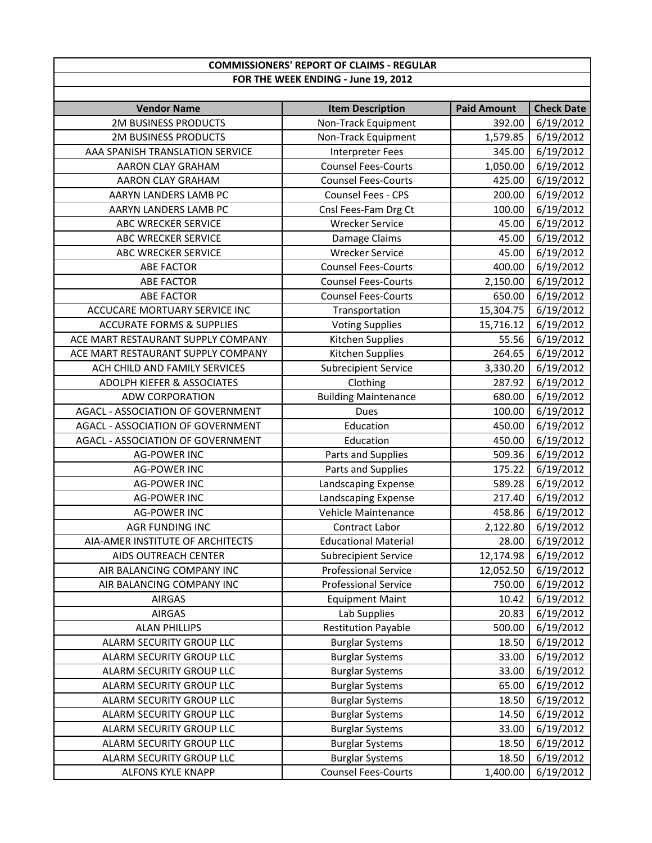## **COMMISSIONERS' REPORT OF CLAIMS ‐ REGULAR FOR THE WEEK ENDING ‐ June 19, 2012**

| <b>Vendor Name</b>                       | <b>Item Description</b>     | <b>Paid Amount</b> | <b>Check Date</b>      |
|------------------------------------------|-----------------------------|--------------------|------------------------|
| <b>2M BUSINESS PRODUCTS</b>              | Non-Track Equipment         | 392.00             | 6/19/2012              |
| <b>2M BUSINESS PRODUCTS</b>              | Non-Track Equipment         | 1,579.85           | 6/19/2012              |
| AAA SPANISH TRANSLATION SERVICE          | <b>Interpreter Fees</b>     | 345.00             | 6/19/2012              |
| AARON CLAY GRAHAM                        | <b>Counsel Fees-Courts</b>  | 1,050.00           | 6/19/2012              |
| AARON CLAY GRAHAM                        | <b>Counsel Fees-Courts</b>  | 425.00             | 6/19/2012              |
| AARYN LANDERS LAMB PC                    | Counsel Fees - CPS          | 200.00             | 6/19/2012              |
| AARYN LANDERS LAMB PC                    | Cnsl Fees-Fam Drg Ct        | 100.00             | 6/19/2012              |
| ABC WRECKER SERVICE                      | <b>Wrecker Service</b>      | 45.00              | 6/19/2012              |
| <b>ABC WRECKER SERVICE</b>               | Damage Claims               | 45.00              | 6/19/2012              |
| ABC WRECKER SERVICE                      | <b>Wrecker Service</b>      | 45.00              | 6/19/2012              |
| <b>ABE FACTOR</b>                        | <b>Counsel Fees-Courts</b>  | 400.00             | 6/19/2012              |
| <b>ABE FACTOR</b>                        | <b>Counsel Fees-Courts</b>  | 2,150.00           | 6/19/2012              |
| <b>ABE FACTOR</b>                        | <b>Counsel Fees-Courts</b>  | 650.00             | 6/19/2012              |
| ACCUCARE MORTUARY SERVICE INC            | Transportation              | 15,304.75          | 6/19/2012              |
| <b>ACCURATE FORMS &amp; SUPPLIES</b>     | <b>Voting Supplies</b>      | 15,716.12          | 6/19/2012              |
| ACE MART RESTAURANT SUPPLY COMPANY       | Kitchen Supplies            | 55.56              | 6/19/2012              |
| ACE MART RESTAURANT SUPPLY COMPANY       | Kitchen Supplies            | 264.65             | 6/19/2012              |
| ACH CHILD AND FAMILY SERVICES            | <b>Subrecipient Service</b> | 3,330.20           | 6/19/2012              |
| <b>ADOLPH KIEFER &amp; ASSOCIATES</b>    | Clothing                    | 287.92             | 6/19/2012              |
| <b>ADW CORPORATION</b>                   | <b>Building Maintenance</b> | 680.00             | 6/19/2012              |
| <b>AGACL - ASSOCIATION OF GOVERNMENT</b> | <b>Dues</b>                 | 100.00             | 6/19/2012              |
| AGACL - ASSOCIATION OF GOVERNMENT        | Education                   | 450.00             | 6/19/2012              |
| AGACL - ASSOCIATION OF GOVERNMENT        | Education                   | 450.00             | 6/19/2012              |
| <b>AG-POWER INC</b>                      | Parts and Supplies          | 509.36             | 6/19/2012              |
| <b>AG-POWER INC</b>                      | Parts and Supplies          | 175.22             | 6/19/2012              |
| <b>AG-POWER INC</b>                      | Landscaping Expense         | 589.28             | 6/19/2012              |
| <b>AG-POWER INC</b>                      | Landscaping Expense         | 217.40             | 6/19/2012              |
| <b>AG-POWER INC</b>                      | Vehicle Maintenance         | 458.86             | 6/19/2012              |
| <b>AGR FUNDING INC</b>                   | <b>Contract Labor</b>       | 2,122.80           | 6/19/2012              |
| AIA-AMER INSTITUTE OF ARCHITECTS         | <b>Educational Material</b> | 28.00              | $\frac{1}{6}$ /19/2012 |
| AIDS OUTREACH CENTER                     | <b>Subrecipient Service</b> | 12,174.98          | 6/19/2012              |
| AIR BALANCING COMPANY INC                | <b>Professional Service</b> |                    | 12,052.50 6/19/2012    |
| AIR BALANCING COMPANY INC                | <b>Professional Service</b> | 750.00             | 6/19/2012              |
| <b>AIRGAS</b>                            | <b>Equipment Maint</b>      | 10.42              | 6/19/2012              |
| <b>AIRGAS</b>                            | Lab Supplies                | 20.83              | 6/19/2012              |
| <b>ALAN PHILLIPS</b>                     | <b>Restitution Payable</b>  | 500.00             | 6/19/2012              |
| ALARM SECURITY GROUP LLC                 | <b>Burglar Systems</b>      | 18.50              | 6/19/2012              |
| ALARM SECURITY GROUP LLC                 | <b>Burglar Systems</b>      | 33.00              | 6/19/2012              |
| ALARM SECURITY GROUP LLC                 | <b>Burglar Systems</b>      | 33.00              | 6/19/2012              |
| ALARM SECURITY GROUP LLC                 | <b>Burglar Systems</b>      | 65.00              | 6/19/2012              |
| ALARM SECURITY GROUP LLC                 | <b>Burglar Systems</b>      | 18.50              | 6/19/2012              |
| ALARM SECURITY GROUP LLC                 | <b>Burglar Systems</b>      | 14.50              | 6/19/2012              |
| ALARM SECURITY GROUP LLC                 | <b>Burglar Systems</b>      | 33.00              | 6/19/2012              |
| ALARM SECURITY GROUP LLC                 | <b>Burglar Systems</b>      | 18.50              | 6/19/2012              |
| ALARM SECURITY GROUP LLC                 | <b>Burglar Systems</b>      | 18.50              | 6/19/2012              |
| ALFONS KYLE KNAPP                        | <b>Counsel Fees-Courts</b>  | 1,400.00           | 6/19/2012              |
|                                          |                             |                    |                        |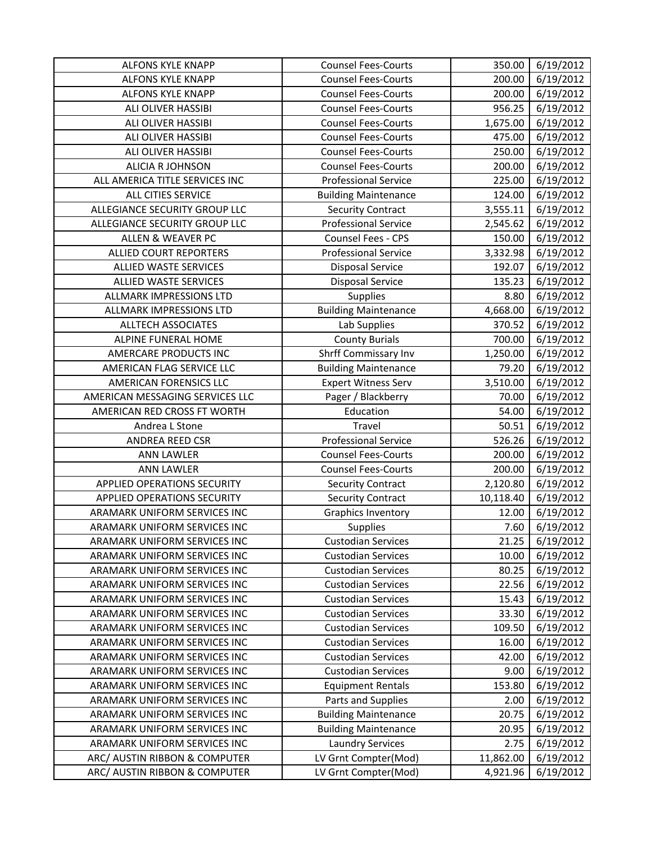| <b>ALFONS KYLE KNAPP</b>                                       | <b>Counsel Fees-Courts</b>                   | 350.00                | 6/19/2012              |
|----------------------------------------------------------------|----------------------------------------------|-----------------------|------------------------|
| <b>ALFONS KYLE KNAPP</b>                                       | <b>Counsel Fees-Courts</b>                   | 200.00                | 6/19/2012              |
| <b>ALFONS KYLE KNAPP</b>                                       | <b>Counsel Fees-Courts</b>                   | 200.00                | 6/19/2012              |
| ALI OLIVER HASSIBI                                             | <b>Counsel Fees-Courts</b>                   | 956.25                | 6/19/2012              |
| ALI OLIVER HASSIBI                                             | <b>Counsel Fees-Courts</b>                   | 1,675.00              | 6/19/2012              |
| ALI OLIVER HASSIBI                                             | <b>Counsel Fees-Courts</b>                   | 475.00                | 6/19/2012              |
| ALI OLIVER HASSIBI                                             | <b>Counsel Fees-Courts</b>                   | 250.00                | 6/19/2012              |
| <b>ALICIA R JOHNSON</b>                                        | <b>Counsel Fees-Courts</b>                   | 200.00                | 6/19/2012              |
| ALL AMERICA TITLE SERVICES INC                                 | <b>Professional Service</b>                  | 225.00                | 6/19/2012              |
| <b>ALL CITIES SERVICE</b>                                      | <b>Building Maintenance</b>                  | 124.00                | 6/19/2012              |
| ALLEGIANCE SECURITY GROUP LLC                                  | <b>Security Contract</b>                     | 3,555.11              | 6/19/2012              |
| ALLEGIANCE SECURITY GROUP LLC                                  | <b>Professional Service</b>                  | 2,545.62              | 6/19/2012              |
| ALLEN & WEAVER PC                                              | Counsel Fees - CPS                           | 150.00                | 6/19/2012              |
| ALLIED COURT REPORTERS                                         | <b>Professional Service</b>                  | 3,332.98              | 6/19/2012              |
| <b>ALLIED WASTE SERVICES</b>                                   | <b>Disposal Service</b>                      | 192.07                | 6/19/2012              |
| <b>ALLIED WASTE SERVICES</b>                                   | <b>Disposal Service</b>                      | 135.23                | 6/19/2012              |
| ALLMARK IMPRESSIONS LTD                                        | Supplies                                     | 8.80                  | 6/19/2012              |
| ALLMARK IMPRESSIONS LTD                                        | <b>Building Maintenance</b>                  | 4,668.00              | 6/19/2012              |
| <b>ALLTECH ASSOCIATES</b>                                      | Lab Supplies                                 | 370.52                | 6/19/2012              |
| ALPINE FUNERAL HOME                                            | <b>County Burials</b>                        | 700.00                | 6/19/2012              |
| AMERCARE PRODUCTS INC                                          | <b>Shrff Commissary Inv</b>                  | 1,250.00              | 6/19/2012              |
| AMERICAN FLAG SERVICE LLC                                      | <b>Building Maintenance</b>                  | 79.20                 | 6/19/2012              |
| AMERICAN FORENSICS LLC                                         | <b>Expert Witness Serv</b>                   | 3,510.00              | 6/19/2012              |
| AMERICAN MESSAGING SERVICES LLC                                | Pager / Blackberry                           | 70.00                 | 6/19/2012              |
| AMERICAN RED CROSS FT WORTH                                    | Education                                    | 54.00                 | 6/19/2012              |
|                                                                |                                              |                       |                        |
| Andrea L Stone                                                 | Travel                                       | 50.51                 | 6/19/2012              |
| ANDREA REED CSR                                                | <b>Professional Service</b>                  | 526.26                | 6/19/2012              |
| <b>ANN LAWLER</b>                                              | <b>Counsel Fees-Courts</b>                   | 200.00                | 6/19/2012              |
| <b>ANN LAWLER</b>                                              | <b>Counsel Fees-Courts</b>                   | 200.00                | 6/19/2012              |
| APPLIED OPERATIONS SECURITY                                    | <b>Security Contract</b>                     | 2,120.80              | 6/19/2012              |
| <b>APPLIED OPERATIONS SECURITY</b>                             | <b>Security Contract</b>                     | 10,118.40             | 6/19/2012              |
| ARAMARK UNIFORM SERVICES INC                                   | <b>Graphics Inventory</b>                    | 12.00                 | 6/19/2012              |
| ARAMARK UNIFORM SERVICES INC                                   | <b>Supplies</b>                              | 7.60                  | 6/19/2012              |
| ARAMARK UNIFORM SERVICES INC                                   | <b>Custodian Services</b>                    | 21.25                 | 6/19/2012              |
| ARAMARK UNIFORM SERVICES INC                                   | <b>Custodian Services</b>                    | 10.00                 | 6/19/2012              |
| ARAMARK UNIFORM SERVICES INC                                   | <b>Custodian Services</b>                    | 80.25                 | 6/19/2012              |
| ARAMARK UNIFORM SERVICES INC                                   | <b>Custodian Services</b>                    | 22.56                 | 6/19/2012              |
| ARAMARK UNIFORM SERVICES INC                                   | <b>Custodian Services</b>                    | 15.43                 | 6/19/2012              |
| ARAMARK UNIFORM SERVICES INC                                   | <b>Custodian Services</b>                    | 33.30                 | 6/19/2012              |
| ARAMARK UNIFORM SERVICES INC                                   | <b>Custodian Services</b>                    | 109.50                | 6/19/2012              |
| ARAMARK UNIFORM SERVICES INC                                   | <b>Custodian Services</b>                    | 16.00                 | 6/19/2012              |
| ARAMARK UNIFORM SERVICES INC                                   | <b>Custodian Services</b>                    | 42.00                 | 6/19/2012              |
| ARAMARK UNIFORM SERVICES INC                                   | <b>Custodian Services</b>                    | 9.00                  | 6/19/2012              |
| ARAMARK UNIFORM SERVICES INC                                   | <b>Equipment Rentals</b>                     | 153.80                | 6/19/2012              |
| ARAMARK UNIFORM SERVICES INC                                   | Parts and Supplies                           | 2.00                  | 6/19/2012              |
| ARAMARK UNIFORM SERVICES INC                                   | <b>Building Maintenance</b>                  | 20.75                 | 6/19/2012              |
| ARAMARK UNIFORM SERVICES INC                                   | <b>Building Maintenance</b>                  | 20.95                 | 6/19/2012              |
| ARAMARK UNIFORM SERVICES INC                                   | <b>Laundry Services</b>                      | 2.75                  | 6/19/2012              |
| ARC/ AUSTIN RIBBON & COMPUTER<br>ARC/ AUSTIN RIBBON & COMPUTER | LV Grnt Compter(Mod)<br>LV Grnt Compter(Mod) | 11,862.00<br>4,921.96 | 6/19/2012<br>6/19/2012 |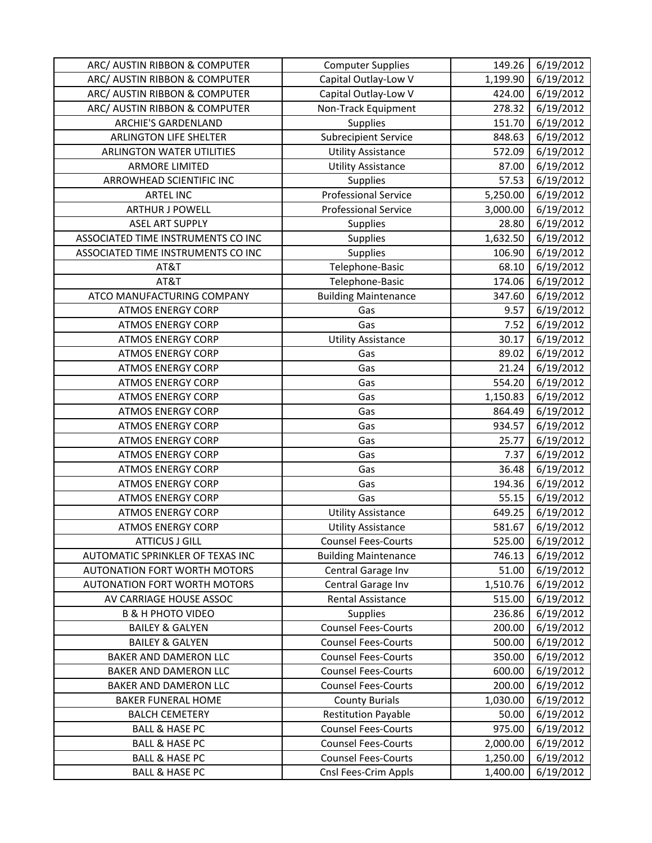| ARC/ AUSTIN RIBBON & COMPUTER      | <b>Computer Supplies</b>    | 149.26   | 6/19/2012 |
|------------------------------------|-----------------------------|----------|-----------|
| ARC/ AUSTIN RIBBON & COMPUTER      | Capital Outlay-Low V        | 1,199.90 | 6/19/2012 |
| ARC/ AUSTIN RIBBON & COMPUTER      | Capital Outlay-Low V        | 424.00   | 6/19/2012 |
| ARC/ AUSTIN RIBBON & COMPUTER      | Non-Track Equipment         | 278.32   | 6/19/2012 |
| <b>ARCHIE'S GARDENLAND</b>         | <b>Supplies</b>             | 151.70   | 6/19/2012 |
| <b>ARLINGTON LIFE SHELTER</b>      | <b>Subrecipient Service</b> | 848.63   | 6/19/2012 |
| <b>ARLINGTON WATER UTILITIES</b>   | <b>Utility Assistance</b>   | 572.09   | 6/19/2012 |
| <b>ARMORE LIMITED</b>              | <b>Utility Assistance</b>   | 87.00    | 6/19/2012 |
| ARROWHEAD SCIENTIFIC INC           | Supplies                    | 57.53    | 6/19/2012 |
| <b>ARTEL INC</b>                   | <b>Professional Service</b> | 5,250.00 | 6/19/2012 |
| <b>ARTHUR J POWELL</b>             | <b>Professional Service</b> | 3,000.00 | 6/19/2012 |
| <b>ASEL ART SUPPLY</b>             | Supplies                    | 28.80    | 6/19/2012 |
| ASSOCIATED TIME INSTRUMENTS CO INC | Supplies                    | 1,632.50 | 6/19/2012 |
| ASSOCIATED TIME INSTRUMENTS CO INC | Supplies                    | 106.90   | 6/19/2012 |
| AT&T                               | Telephone-Basic             | 68.10    | 6/19/2012 |
| AT&T                               | Telephone-Basic             | 174.06   | 6/19/2012 |
| ATCO MANUFACTURING COMPANY         | <b>Building Maintenance</b> | 347.60   | 6/19/2012 |
| <b>ATMOS ENERGY CORP</b>           | Gas                         | 9.57     | 6/19/2012 |
| <b>ATMOS ENERGY CORP</b>           | Gas                         | 7.52     | 6/19/2012 |
| <b>ATMOS ENERGY CORP</b>           | <b>Utility Assistance</b>   | 30.17    | 6/19/2012 |
| <b>ATMOS ENERGY CORP</b>           | Gas                         | 89.02    | 6/19/2012 |
| <b>ATMOS ENERGY CORP</b>           | Gas                         | 21.24    | 6/19/2012 |
| <b>ATMOS ENERGY CORP</b>           | Gas                         | 554.20   | 6/19/2012 |
| <b>ATMOS ENERGY CORP</b>           | Gas                         | 1,150.83 | 6/19/2012 |
| <b>ATMOS ENERGY CORP</b>           | Gas                         | 864.49   | 6/19/2012 |
| <b>ATMOS ENERGY CORP</b>           | Gas                         | 934.57   | 6/19/2012 |
| <b>ATMOS ENERGY CORP</b>           | Gas                         | 25.77    | 6/19/2012 |
| <b>ATMOS ENERGY CORP</b>           | Gas                         | 7.37     | 6/19/2012 |
| <b>ATMOS ENERGY CORP</b>           | Gas                         | 36.48    | 6/19/2012 |
| <b>ATMOS ENERGY CORP</b>           | Gas                         | 194.36   | 6/19/2012 |
| <b>ATMOS ENERGY CORP</b>           | Gas                         | 55.15    | 6/19/2012 |
| <b>ATMOS ENERGY CORP</b>           | <b>Utility Assistance</b>   | 649.25   | 6/19/2012 |
| <b>ATMOS ENERGY CORP</b>           | <b>Utility Assistance</b>   | 581.67   | 6/19/2012 |
| <b>ATTICUS J GILL</b>              | <b>Counsel Fees-Courts</b>  | 525.00   | 6/19/2012 |
| AUTOMATIC SPRINKLER OF TEXAS INC   | <b>Building Maintenance</b> | 746.13   | 6/19/2012 |
| AUTONATION FORT WORTH MOTORS       | Central Garage Inv          | 51.00    | 6/19/2012 |
| AUTONATION FORT WORTH MOTORS       | Central Garage Inv          | 1,510.76 | 6/19/2012 |
| AV CARRIAGE HOUSE ASSOC            | <b>Rental Assistance</b>    | 515.00   | 6/19/2012 |
| <b>B &amp; H PHOTO VIDEO</b>       | Supplies                    | 236.86   | 6/19/2012 |
| <b>BAILEY &amp; GALYEN</b>         | <b>Counsel Fees-Courts</b>  | 200.00   | 6/19/2012 |
| <b>BAILEY &amp; GALYEN</b>         | <b>Counsel Fees-Courts</b>  | 500.00   | 6/19/2012 |
| BAKER AND DAMERON LLC              | <b>Counsel Fees-Courts</b>  | 350.00   | 6/19/2012 |
| BAKER AND DAMERON LLC              | <b>Counsel Fees-Courts</b>  | 600.00   | 6/19/2012 |
| BAKER AND DAMERON LLC              | <b>Counsel Fees-Courts</b>  | 200.00   | 6/19/2012 |
| <b>BAKER FUNERAL HOME</b>          | <b>County Burials</b>       | 1,030.00 | 6/19/2012 |
| <b>BALCH CEMETERY</b>              | <b>Restitution Payable</b>  | 50.00    | 6/19/2012 |
| <b>BALL &amp; HASE PC</b>          | <b>Counsel Fees-Courts</b>  | 975.00   | 6/19/2012 |
| <b>BALL &amp; HASE PC</b>          | <b>Counsel Fees-Courts</b>  | 2,000.00 | 6/19/2012 |
| <b>BALL &amp; HASE PC</b>          | <b>Counsel Fees-Courts</b>  | 1,250.00 | 6/19/2012 |
| <b>BALL &amp; HASE PC</b>          | Cnsl Fees-Crim Appls        | 1,400.00 | 6/19/2012 |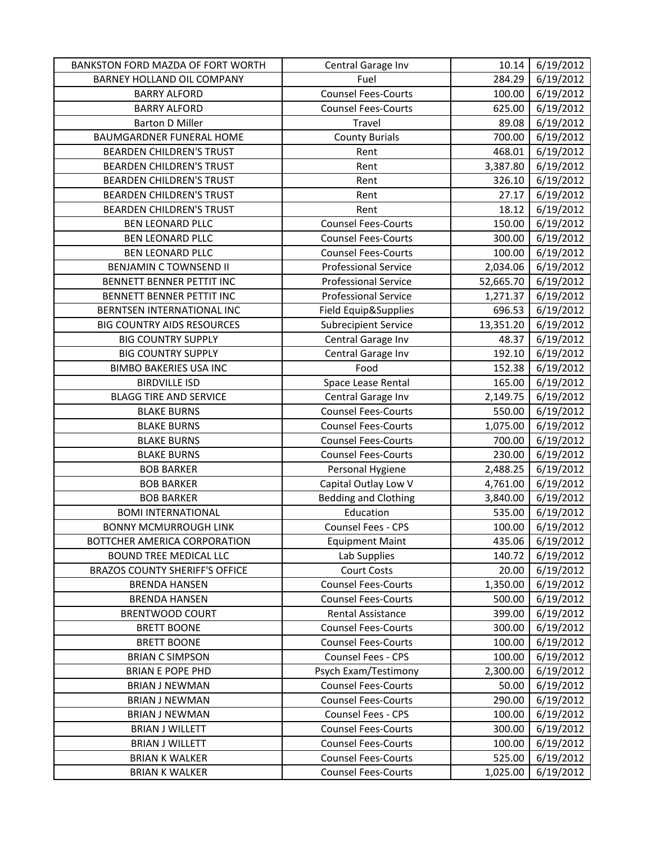| BANKSTON FORD MAZDA OF FORT WORTH     | Central Garage Inv          | 10.14     | 6/19/2012 |
|---------------------------------------|-----------------------------|-----------|-----------|
| BARNEY HOLLAND OIL COMPANY            | Fuel                        | 284.29    | 6/19/2012 |
| <b>BARRY ALFORD</b>                   | <b>Counsel Fees-Courts</b>  | 100.00    | 6/19/2012 |
| <b>BARRY ALFORD</b>                   | <b>Counsel Fees-Courts</b>  | 625.00    | 6/19/2012 |
| <b>Barton D Miller</b>                | Travel                      | 89.08     | 6/19/2012 |
| <b>BAUMGARDNER FUNERAL HOME</b>       | <b>County Burials</b>       | 700.00    | 6/19/2012 |
| <b>BEARDEN CHILDREN'S TRUST</b>       | Rent                        | 468.01    | 6/19/2012 |
| <b>BEARDEN CHILDREN'S TRUST</b>       | Rent                        | 3,387.80  | 6/19/2012 |
| <b>BEARDEN CHILDREN'S TRUST</b>       | Rent                        | 326.10    | 6/19/2012 |
| <b>BEARDEN CHILDREN'S TRUST</b>       | Rent                        | 27.17     | 6/19/2012 |
| <b>BEARDEN CHILDREN'S TRUST</b>       | Rent                        | 18.12     | 6/19/2012 |
| <b>BEN LEONARD PLLC</b>               | <b>Counsel Fees-Courts</b>  | 150.00    | 6/19/2012 |
| BEN LEONARD PLLC                      | <b>Counsel Fees-Courts</b>  | 300.00    | 6/19/2012 |
| <b>BEN LEONARD PLLC</b>               | <b>Counsel Fees-Courts</b>  | 100.00    | 6/19/2012 |
| <b>BENJAMIN C TOWNSEND II</b>         | <b>Professional Service</b> | 2,034.06  | 6/19/2012 |
| BENNETT BENNER PETTIT INC             | <b>Professional Service</b> | 52,665.70 | 6/19/2012 |
| BENNETT BENNER PETTIT INC             | <b>Professional Service</b> | 1,271.37  | 6/19/2012 |
| BERNTSEN INTERNATIONAL INC            | Field Equip&Supplies        | 696.53    | 6/19/2012 |
| <b>BIG COUNTRY AIDS RESOURCES</b>     | <b>Subrecipient Service</b> | 13,351.20 | 6/19/2012 |
| <b>BIG COUNTRY SUPPLY</b>             | Central Garage Inv          | 48.37     | 6/19/2012 |
| <b>BIG COUNTRY SUPPLY</b>             | Central Garage Inv          | 192.10    | 6/19/2012 |
| <b>BIMBO BAKERIES USA INC</b>         | Food                        | 152.38    | 6/19/2012 |
| <b>BIRDVILLE ISD</b>                  | Space Lease Rental          | 165.00    | 6/19/2012 |
| <b>BLAGG TIRE AND SERVICE</b>         | Central Garage Inv          | 2,149.75  | 6/19/2012 |
| <b>BLAKE BURNS</b>                    | <b>Counsel Fees-Courts</b>  | 550.00    | 6/19/2012 |
| <b>BLAKE BURNS</b>                    | <b>Counsel Fees-Courts</b>  | 1,075.00  | 6/19/2012 |
| <b>BLAKE BURNS</b>                    | <b>Counsel Fees-Courts</b>  | 700.00    | 6/19/2012 |
| <b>BLAKE BURNS</b>                    | <b>Counsel Fees-Courts</b>  | 230.00    | 6/19/2012 |
| <b>BOB BARKER</b>                     | Personal Hygiene            | 2,488.25  | 6/19/2012 |
| <b>BOB BARKER</b>                     | Capital Outlay Low V        | 4,761.00  | 6/19/2012 |
| <b>BOB BARKER</b>                     | Bedding and Clothing        | 3,840.00  | 6/19/2012 |
| <b>BOMI INTERNATIONAL</b>             | Education                   | 535.00    | 6/19/2012 |
| <b>BONNY MCMURROUGH LINK</b>          | Counsel Fees - CPS          | 100.00    | 6/19/2012 |
| BOTTCHER AMERICA CORPORATION          | <b>Equipment Maint</b>      | 435.06    | 6/19/2012 |
| BOUND TREE MEDICAL LLC                | Lab Supplies                | 140.72    | 6/19/2012 |
| <b>BRAZOS COUNTY SHERIFF'S OFFICE</b> | <b>Court Costs</b>          | 20.00     | 6/19/2012 |
| <b>BRENDA HANSEN</b>                  | <b>Counsel Fees-Courts</b>  | 1,350.00  | 6/19/2012 |
| <b>BRENDA HANSEN</b>                  | <b>Counsel Fees-Courts</b>  | 500.00    | 6/19/2012 |
| <b>BRENTWOOD COURT</b>                | Rental Assistance           | 399.00    | 6/19/2012 |
| <b>BRETT BOONE</b>                    | <b>Counsel Fees-Courts</b>  | 300.00    | 6/19/2012 |
| <b>BRETT BOONE</b>                    | <b>Counsel Fees-Courts</b>  | 100.00    | 6/19/2012 |
| <b>BRIAN C SIMPSON</b>                | <b>Counsel Fees - CPS</b>   | 100.00    | 6/19/2012 |
| <b>BRIAN E POPE PHD</b>               | Psych Exam/Testimony        | 2,300.00  | 6/19/2012 |
| <b>BRIAN J NEWMAN</b>                 | <b>Counsel Fees-Courts</b>  | 50.00     | 6/19/2012 |
| <b>BRIAN J NEWMAN</b>                 | <b>Counsel Fees-Courts</b>  | 290.00    | 6/19/2012 |
| <b>BRIAN J NEWMAN</b>                 | Counsel Fees - CPS          | 100.00    | 6/19/2012 |
| <b>BRIAN J WILLETT</b>                | <b>Counsel Fees-Courts</b>  | 300.00    | 6/19/2012 |
| <b>BRIAN J WILLETT</b>                | <b>Counsel Fees-Courts</b>  | 100.00    | 6/19/2012 |
| <b>BRIAN K WALKER</b>                 | <b>Counsel Fees-Courts</b>  | 525.00    | 6/19/2012 |
| <b>BRIAN K WALKER</b>                 | <b>Counsel Fees-Courts</b>  | 1,025.00  | 6/19/2012 |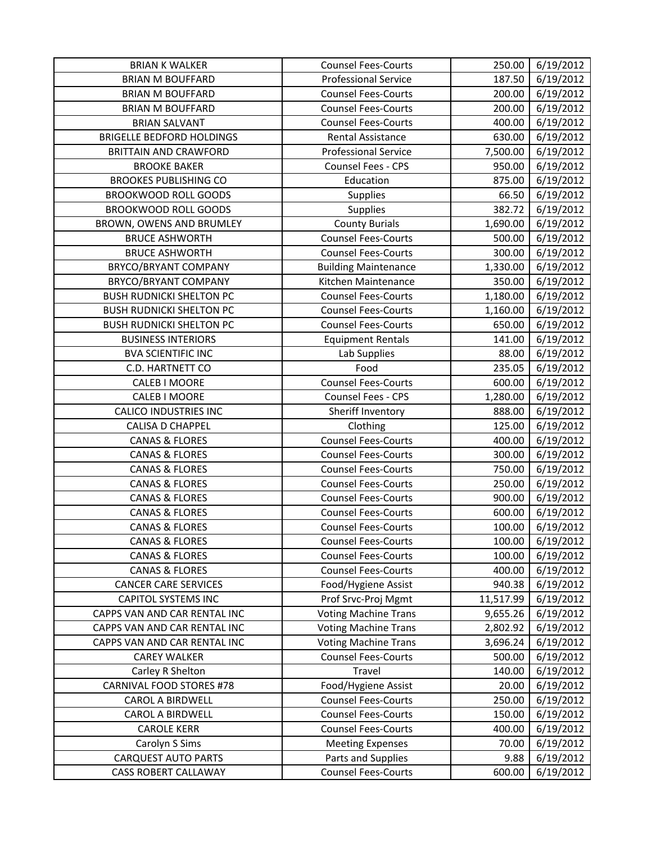| <b>BRIAN K WALKER</b>            | <b>Counsel Fees-Courts</b>  | 250.00    | 6/19/2012 |
|----------------------------------|-----------------------------|-----------|-----------|
| <b>BRIAN M BOUFFARD</b>          | <b>Professional Service</b> | 187.50    | 6/19/2012 |
| <b>BRIAN M BOUFFARD</b>          | <b>Counsel Fees-Courts</b>  | 200.00    | 6/19/2012 |
| <b>BRIAN M BOUFFARD</b>          | <b>Counsel Fees-Courts</b>  | 200.00    | 6/19/2012 |
| <b>BRIAN SALVANT</b>             | <b>Counsel Fees-Courts</b>  | 400.00    | 6/19/2012 |
| <b>BRIGELLE BEDFORD HOLDINGS</b> | Rental Assistance           | 630.00    | 6/19/2012 |
| <b>BRITTAIN AND CRAWFORD</b>     | <b>Professional Service</b> | 7,500.00  | 6/19/2012 |
| <b>BROOKE BAKER</b>              | Counsel Fees - CPS          | 950.00    | 6/19/2012 |
| <b>BROOKES PUBLISHING CO</b>     | Education                   | 875.00    | 6/19/2012 |
| <b>BROOKWOOD ROLL GOODS</b>      | Supplies                    | 66.50     | 6/19/2012 |
| BROOKWOOD ROLL GOODS             | Supplies                    | 382.72    | 6/19/2012 |
| BROWN, OWENS AND BRUMLEY         | <b>County Burials</b>       | 1,690.00  | 6/19/2012 |
| <b>BRUCE ASHWORTH</b>            | <b>Counsel Fees-Courts</b>  | 500.00    | 6/19/2012 |
| <b>BRUCE ASHWORTH</b>            | <b>Counsel Fees-Courts</b>  | 300.00    | 6/19/2012 |
| BRYCO/BRYANT COMPANY             | <b>Building Maintenance</b> | 1,330.00  | 6/19/2012 |
| BRYCO/BRYANT COMPANY             | Kitchen Maintenance         | 350.00    | 6/19/2012 |
| <b>BUSH RUDNICKI SHELTON PC</b>  | <b>Counsel Fees-Courts</b>  | 1,180.00  | 6/19/2012 |
| <b>BUSH RUDNICKI SHELTON PC</b>  | <b>Counsel Fees-Courts</b>  | 1,160.00  | 6/19/2012 |
| <b>BUSH RUDNICKI SHELTON PC</b>  | <b>Counsel Fees-Courts</b>  | 650.00    | 6/19/2012 |
| <b>BUSINESS INTERIORS</b>        | <b>Equipment Rentals</b>    | 141.00    | 6/19/2012 |
| <b>BVA SCIENTIFIC INC</b>        | Lab Supplies                | 88.00     | 6/19/2012 |
| <b>C.D. HARTNETT CO</b>          | Food                        | 235.05    | 6/19/2012 |
| <b>CALEB I MOORE</b>             | <b>Counsel Fees-Courts</b>  | 600.00    | 6/19/2012 |
| CALEB I MOORE                    | <b>Counsel Fees - CPS</b>   | 1,280.00  | 6/19/2012 |
| <b>CALICO INDUSTRIES INC</b>     | Sheriff Inventory           | 888.00    | 6/19/2012 |
| <b>CALISA D CHAPPEL</b>          | Clothing                    | 125.00    | 6/19/2012 |
| <b>CANAS &amp; FLORES</b>        | <b>Counsel Fees-Courts</b>  | 400.00    | 6/19/2012 |
| <b>CANAS &amp; FLORES</b>        | <b>Counsel Fees-Courts</b>  | 300.00    | 6/19/2012 |
| <b>CANAS &amp; FLORES</b>        | <b>Counsel Fees-Courts</b>  | 750.00    | 6/19/2012 |
| <b>CANAS &amp; FLORES</b>        | <b>Counsel Fees-Courts</b>  | 250.00    | 6/19/2012 |
| <b>CANAS &amp; FLORES</b>        | <b>Counsel Fees-Courts</b>  | 900.00    | 6/19/2012 |
| <b>CANAS &amp; FLORES</b>        | <b>Counsel Fees-Courts</b>  | 600.00    | 6/19/2012 |
| <b>CANAS &amp; FLORES</b>        | <b>Counsel Fees-Courts</b>  | 100.00    |           |
| <b>CANAS &amp; FLORES</b>        |                             |           | 6/19/2012 |
|                                  | <b>Counsel Fees-Courts</b>  | 100.00    | 6/19/2012 |
| <b>CANAS &amp; FLORES</b>        | <b>Counsel Fees-Courts</b>  | 100.00    | 6/19/2012 |
| <b>CANAS &amp; FLORES</b>        | <b>Counsel Fees-Courts</b>  | 400.00    | 6/19/2012 |
| <b>CANCER CARE SERVICES</b>      | Food/Hygiene Assist         | 940.38    | 6/19/2012 |
| <b>CAPITOL SYSTEMS INC</b>       | Prof Srvc-Proj Mgmt         | 11,517.99 | 6/19/2012 |
| CAPPS VAN AND CAR RENTAL INC     | <b>Voting Machine Trans</b> | 9,655.26  | 6/19/2012 |
| CAPPS VAN AND CAR RENTAL INC     | <b>Voting Machine Trans</b> | 2,802.92  | 6/19/2012 |
| CAPPS VAN AND CAR RENTAL INC     | <b>Voting Machine Trans</b> | 3,696.24  | 6/19/2012 |
| <b>CAREY WALKER</b>              | <b>Counsel Fees-Courts</b>  | 500.00    | 6/19/2012 |
| Carley R Shelton                 | Travel                      | 140.00    | 6/19/2012 |
| <b>CARNIVAL FOOD STORES #78</b>  | Food/Hygiene Assist         | 20.00     | 6/19/2012 |
| <b>CAROL A BIRDWELL</b>          | <b>Counsel Fees-Courts</b>  | 250.00    | 6/19/2012 |
| <b>CAROL A BIRDWELL</b>          | <b>Counsel Fees-Courts</b>  | 150.00    | 6/19/2012 |
| <b>CAROLE KERR</b>               | <b>Counsel Fees-Courts</b>  | 400.00    | 6/19/2012 |
| Carolyn S Sims                   | <b>Meeting Expenses</b>     | 70.00     | 6/19/2012 |
| <b>CARQUEST AUTO PARTS</b>       | Parts and Supplies          | 9.88      | 6/19/2012 |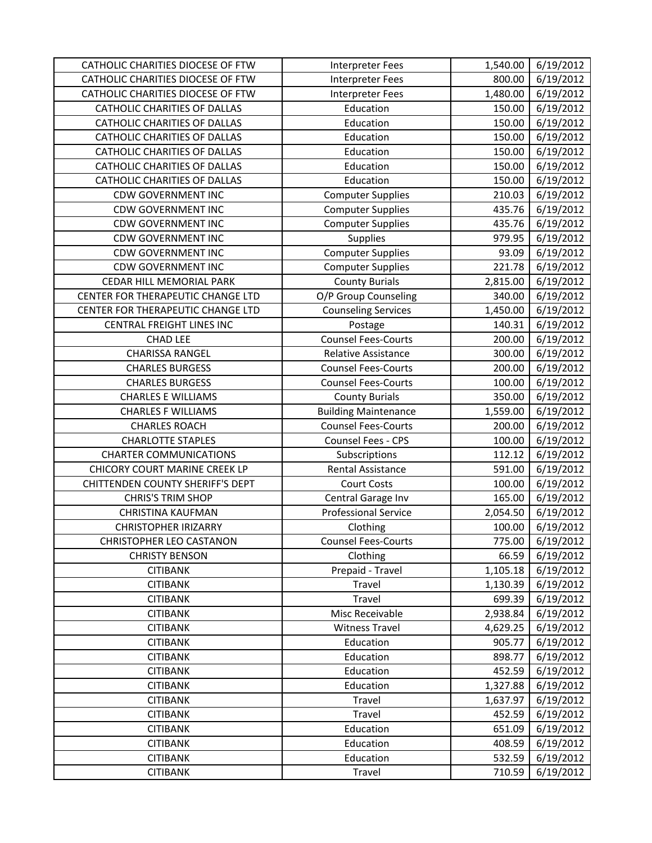| CATHOLIC CHARITIES DIOCESE OF FTW       | <b>Interpreter Fees</b>     | 1,540.00         | 6/19/2012              |
|-----------------------------------------|-----------------------------|------------------|------------------------|
| CATHOLIC CHARITIES DIOCESE OF FTW       | <b>Interpreter Fees</b>     | 800.00           | 6/19/2012              |
| CATHOLIC CHARITIES DIOCESE OF FTW       | <b>Interpreter Fees</b>     | 1,480.00         | 6/19/2012              |
| <b>CATHOLIC CHARITIES OF DALLAS</b>     | Education                   | 150.00           | 6/19/2012              |
| <b>CATHOLIC CHARITIES OF DALLAS</b>     | Education                   | 150.00           | 6/19/2012              |
| CATHOLIC CHARITIES OF DALLAS            | Education                   | 150.00           | 6/19/2012              |
| <b>CATHOLIC CHARITIES OF DALLAS</b>     | Education                   | 150.00           | 6/19/2012              |
| <b>CATHOLIC CHARITIES OF DALLAS</b>     | Education                   | 150.00           | 6/19/2012              |
| <b>CATHOLIC CHARITIES OF DALLAS</b>     | Education                   | 150.00           | 6/19/2012              |
| <b>CDW GOVERNMENT INC</b>               | <b>Computer Supplies</b>    | 210.03           | 6/19/2012              |
| <b>CDW GOVERNMENT INC</b>               | <b>Computer Supplies</b>    | 435.76           | 6/19/2012              |
| <b>CDW GOVERNMENT INC</b>               | <b>Computer Supplies</b>    | 435.76           | 6/19/2012              |
| <b>CDW GOVERNMENT INC</b>               | Supplies                    | 979.95           | 6/19/2012              |
| <b>CDW GOVERNMENT INC</b>               | <b>Computer Supplies</b>    | 93.09            | 6/19/2012              |
| <b>CDW GOVERNMENT INC</b>               | <b>Computer Supplies</b>    | 221.78           | 6/19/2012              |
| CEDAR HILL MEMORIAL PARK                | <b>County Burials</b>       | 2,815.00         | 6/19/2012              |
| CENTER FOR THERAPEUTIC CHANGE LTD       | O/P Group Counseling        | 340.00           | 6/19/2012              |
| CENTER FOR THERAPEUTIC CHANGE LTD       | <b>Counseling Services</b>  | 1,450.00         | 6/19/2012              |
| <b>CENTRAL FREIGHT LINES INC</b>        | Postage                     | 140.31           | 6/19/2012              |
| <b>CHAD LEE</b>                         | <b>Counsel Fees-Courts</b>  | 200.00           | 6/19/2012              |
| <b>CHARISSA RANGEL</b>                  | <b>Relative Assistance</b>  | 300.00           | 6/19/2012              |
| <b>CHARLES BURGESS</b>                  | <b>Counsel Fees-Courts</b>  | 200.00           | 6/19/2012              |
| <b>CHARLES BURGESS</b>                  | <b>Counsel Fees-Courts</b>  | 100.00           | 6/19/2012              |
| <b>CHARLES E WILLIAMS</b>               | <b>County Burials</b>       | 350.00           | 6/19/2012              |
| <b>CHARLES F WILLIAMS</b>               | <b>Building Maintenance</b> | 1,559.00         | 6/19/2012              |
|                                         | <b>Counsel Fees-Courts</b>  | 200.00           | 6/19/2012              |
| <b>CHARLES ROACH</b>                    |                             |                  |                        |
| <b>CHARLOTTE STAPLES</b>                | Counsel Fees - CPS          | 100.00           | 6/19/2012              |
| <b>CHARTER COMMUNICATIONS</b>           | Subscriptions               | 112.12           | 6/19/2012              |
| CHICORY COURT MARINE CREEK LP           | Rental Assistance           | 591.00           | 6/19/2012              |
| <b>CHITTENDEN COUNTY SHERIFF'S DEPT</b> | <b>Court Costs</b>          | 100.00           | 6/19/2012              |
| <b>CHRIS'S TRIM SHOP</b>                | Central Garage Inv          | 165.00           | 6/19/2012              |
| <b>CHRISTINA KAUFMAN</b>                | <b>Professional Service</b> | 2,054.50         | 6/19/2012              |
| <b>CHRISTOPHER IRIZARRY</b>             | Clothing                    | 100.00           | 6/19/2012              |
| <b>CHRISTOPHER LEO CASTANON</b>         | <b>Counsel Fees-Courts</b>  | 775.00           | 6/19/2012              |
| <b>CHRISTY BENSON</b>                   | Clothing                    | 66.59            | 6/19/2012              |
| <b>CITIBANK</b>                         | Prepaid - Travel            | 1,105.18         | 6/19/2012              |
| <b>CITIBANK</b>                         | Travel                      | 1,130.39         | 6/19/2012              |
| <b>CITIBANK</b>                         | Travel                      | 699.39           | 6/19/2012              |
| <b>CITIBANK</b>                         | Misc Receivable             | 2,938.84         | 6/19/2012              |
| <b>CITIBANK</b>                         | <b>Witness Travel</b>       | 4,629.25         | 6/19/2012              |
| <b>CITIBANK</b>                         | Education                   | 905.77           | 6/19/2012              |
| <b>CITIBANK</b>                         | Education                   | 898.77           | 6/19/2012              |
| <b>CITIBANK</b>                         | Education                   | 452.59           | 6/19/2012              |
| <b>CITIBANK</b>                         | Education                   | 1,327.88         | 6/19/2012              |
| <b>CITIBANK</b>                         | Travel                      | 1,637.97         | 6/19/2012              |
| <b>CITIBANK</b>                         | Travel                      | 452.59           | 6/19/2012              |
| <b>CITIBANK</b>                         | Education                   | 651.09           | 6/19/2012              |
| <b>CITIBANK</b>                         | Education                   | 408.59           | 6/19/2012              |
| <b>CITIBANK</b><br><b>CITIBANK</b>      | Education<br>Travel         | 532.59<br>710.59 | 6/19/2012<br>6/19/2012 |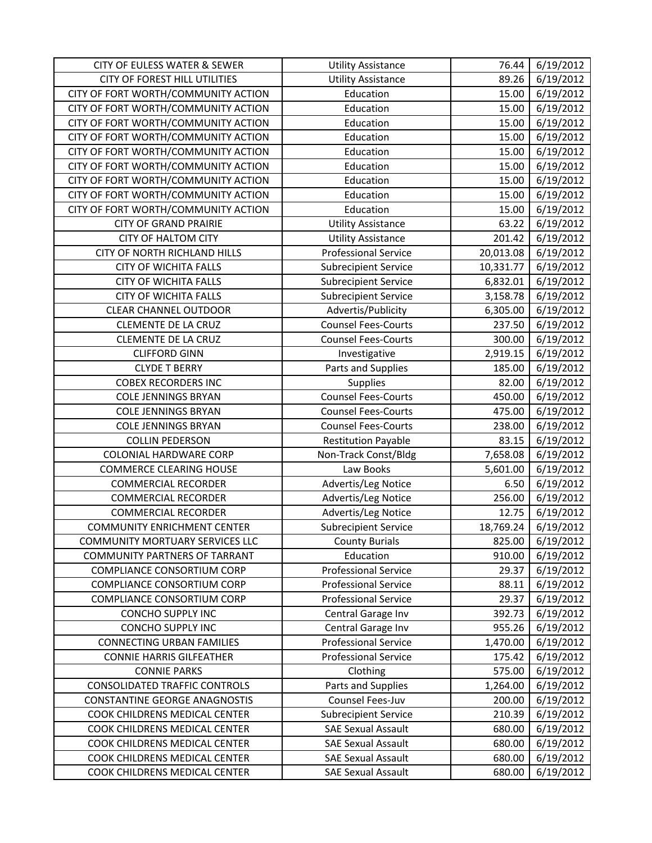| <b>CITY OF EULESS WATER &amp; SEWER</b> | <b>Utility Assistance</b>   | 76.44     | 6/19/2012 |
|-----------------------------------------|-----------------------------|-----------|-----------|
| <b>CITY OF FOREST HILL UTILITIES</b>    | <b>Utility Assistance</b>   | 89.26     | 6/19/2012 |
| CITY OF FORT WORTH/COMMUNITY ACTION     | Education                   | 15.00     | 6/19/2012 |
| CITY OF FORT WORTH/COMMUNITY ACTION     | Education                   | 15.00     | 6/19/2012 |
| CITY OF FORT WORTH/COMMUNITY ACTION     | Education                   | 15.00     | 6/19/2012 |
| CITY OF FORT WORTH/COMMUNITY ACTION     | Education                   | 15.00     | 6/19/2012 |
| CITY OF FORT WORTH/COMMUNITY ACTION     | Education                   | 15.00     | 6/19/2012 |
| CITY OF FORT WORTH/COMMUNITY ACTION     | Education                   | 15.00     | 6/19/2012 |
| CITY OF FORT WORTH/COMMUNITY ACTION     | Education                   | 15.00     | 6/19/2012 |
| CITY OF FORT WORTH/COMMUNITY ACTION     | Education                   | 15.00     | 6/19/2012 |
| CITY OF FORT WORTH/COMMUNITY ACTION     | Education                   | 15.00     | 6/19/2012 |
| <b>CITY OF GRAND PRAIRIE</b>            | <b>Utility Assistance</b>   | 63.22     | 6/19/2012 |
| <b>CITY OF HALTOM CITY</b>              | <b>Utility Assistance</b>   | 201.42    | 6/19/2012 |
| CITY OF NORTH RICHLAND HILLS            | <b>Professional Service</b> | 20,013.08 | 6/19/2012 |
| <b>CITY OF WICHITA FALLS</b>            | <b>Subrecipient Service</b> | 10,331.77 | 6/19/2012 |
| <b>CITY OF WICHITA FALLS</b>            | <b>Subrecipient Service</b> | 6,832.01  | 6/19/2012 |
| <b>CITY OF WICHITA FALLS</b>            | <b>Subrecipient Service</b> | 3,158.78  | 6/19/2012 |
| <b>CLEAR CHANNEL OUTDOOR</b>            | Advertis/Publicity          | 6,305.00  | 6/19/2012 |
| <b>CLEMENTE DE LA CRUZ</b>              | <b>Counsel Fees-Courts</b>  | 237.50    | 6/19/2012 |
| <b>CLEMENTE DE LA CRUZ</b>              | <b>Counsel Fees-Courts</b>  | 300.00    | 6/19/2012 |
| <b>CLIFFORD GINN</b>                    | Investigative               | 2,919.15  | 6/19/2012 |
| <b>CLYDE T BERRY</b>                    | Parts and Supplies          | 185.00    | 6/19/2012 |
| <b>COBEX RECORDERS INC</b>              | Supplies                    | 82.00     | 6/19/2012 |
| <b>COLE JENNINGS BRYAN</b>              | <b>Counsel Fees-Courts</b>  | 450.00    | 6/19/2012 |
| <b>COLE JENNINGS BRYAN</b>              | <b>Counsel Fees-Courts</b>  | 475.00    | 6/19/2012 |
| <b>COLE JENNINGS BRYAN</b>              | <b>Counsel Fees-Courts</b>  | 238.00    | 6/19/2012 |
| <b>COLLIN PEDERSON</b>                  | <b>Restitution Payable</b>  | 83.15     | 6/19/2012 |
| <b>COLONIAL HARDWARE CORP</b>           | Non-Track Const/Bldg        | 7,658.08  | 6/19/2012 |
| <b>COMMERCE CLEARING HOUSE</b>          | Law Books                   | 5,601.00  | 6/19/2012 |
| <b>COMMERCIAL RECORDER</b>              | Advertis/Leg Notice         | 6.50      | 6/19/2012 |
| <b>COMMERCIAL RECORDER</b>              | Advertis/Leg Notice         | 256.00    | 6/19/2012 |
| <b>COMMERCIAL RECORDER</b>              | Advertis/Leg Notice         | 12.75     | 6/19/2012 |
| <b>COMMUNITY ENRICHMENT CENTER</b>      | <b>Subrecipient Service</b> | 18,769.24 | 6/19/2012 |
| COMMUNITY MORTUARY SERVICES LLC         | <b>County Burials</b>       | 825.00    | 6/19/2012 |
| <b>COMMUNITY PARTNERS OF TARRANT</b>    | Education                   | 910.00    | 6/19/2012 |
| COMPLIANCE CONSORTIUM CORP              | <b>Professional Service</b> | 29.37     | 6/19/2012 |
| COMPLIANCE CONSORTIUM CORP              | <b>Professional Service</b> | 88.11     | 6/19/2012 |
| COMPLIANCE CONSORTIUM CORP              | <b>Professional Service</b> | 29.37     | 6/19/2012 |
| CONCHO SUPPLY INC                       | Central Garage Inv          | 392.73    | 6/19/2012 |
| CONCHO SUPPLY INC                       | Central Garage Inv          | 955.26    | 6/19/2012 |
| <b>CONNECTING URBAN FAMILIES</b>        | <b>Professional Service</b> | 1,470.00  | 6/19/2012 |
| <b>CONNIE HARRIS GILFEATHER</b>         | <b>Professional Service</b> | 175.42    | 6/19/2012 |
| <b>CONNIE PARKS</b>                     | Clothing                    | 575.00    | 6/19/2012 |
| <b>CONSOLIDATED TRAFFIC CONTROLS</b>    | Parts and Supplies          | 1,264.00  | 6/19/2012 |
| CONSTANTINE GEORGE ANAGNOSTIS           | Counsel Fees-Juv            | 200.00    | 6/19/2012 |
| COOK CHILDRENS MEDICAL CENTER           | <b>Subrecipient Service</b> | 210.39    | 6/19/2012 |
| COOK CHILDRENS MEDICAL CENTER           | <b>SAE Sexual Assault</b>   | 680.00    | 6/19/2012 |
| COOK CHILDRENS MEDICAL CENTER           | <b>SAE Sexual Assault</b>   | 680.00    | 6/19/2012 |
| COOK CHILDRENS MEDICAL CENTER           | <b>SAE Sexual Assault</b>   | 680.00    | 6/19/2012 |
| COOK CHILDRENS MEDICAL CENTER           | <b>SAE Sexual Assault</b>   | 680.00    | 6/19/2012 |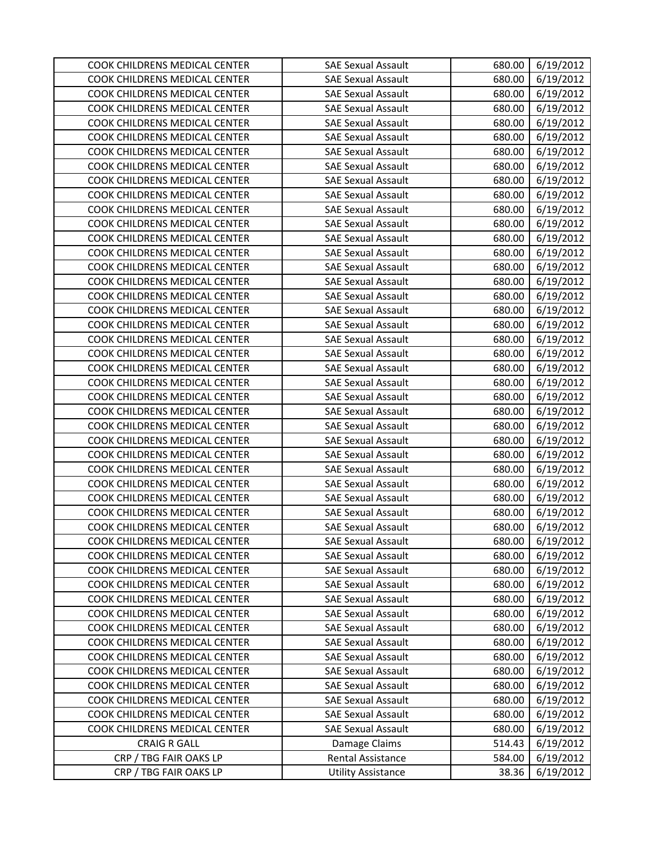| COOK CHILDRENS MEDICAL CENTER | <b>SAE Sexual Assault</b> | 680.00 | 6/19/2012 |
|-------------------------------|---------------------------|--------|-----------|
| COOK CHILDRENS MEDICAL CENTER | <b>SAE Sexual Assault</b> | 680.00 | 6/19/2012 |
| COOK CHILDRENS MEDICAL CENTER | <b>SAE Sexual Assault</b> | 680.00 | 6/19/2012 |
| COOK CHILDRENS MEDICAL CENTER | <b>SAE Sexual Assault</b> | 680.00 | 6/19/2012 |
| COOK CHILDRENS MEDICAL CENTER | <b>SAE Sexual Assault</b> | 680.00 | 6/19/2012 |
| COOK CHILDRENS MEDICAL CENTER | <b>SAE Sexual Assault</b> | 680.00 | 6/19/2012 |
| COOK CHILDRENS MEDICAL CENTER | <b>SAE Sexual Assault</b> | 680.00 | 6/19/2012 |
| COOK CHILDRENS MEDICAL CENTER | <b>SAE Sexual Assault</b> | 680.00 | 6/19/2012 |
| COOK CHILDRENS MEDICAL CENTER | <b>SAE Sexual Assault</b> | 680.00 | 6/19/2012 |
| COOK CHILDRENS MEDICAL CENTER | <b>SAE Sexual Assault</b> | 680.00 | 6/19/2012 |
| COOK CHILDRENS MEDICAL CENTER | <b>SAE Sexual Assault</b> | 680.00 | 6/19/2012 |
| COOK CHILDRENS MEDICAL CENTER | <b>SAE Sexual Assault</b> | 680.00 | 6/19/2012 |
| COOK CHILDRENS MEDICAL CENTER | <b>SAE Sexual Assault</b> | 680.00 | 6/19/2012 |
| COOK CHILDRENS MEDICAL CENTER | <b>SAE Sexual Assault</b> | 680.00 | 6/19/2012 |
| COOK CHILDRENS MEDICAL CENTER | <b>SAE Sexual Assault</b> | 680.00 | 6/19/2012 |
| COOK CHILDRENS MEDICAL CENTER | <b>SAE Sexual Assault</b> | 680.00 | 6/19/2012 |
| COOK CHILDRENS MEDICAL CENTER | <b>SAE Sexual Assault</b> | 680.00 | 6/19/2012 |
| COOK CHILDRENS MEDICAL CENTER | <b>SAE Sexual Assault</b> | 680.00 | 6/19/2012 |
| COOK CHILDRENS MEDICAL CENTER | <b>SAE Sexual Assault</b> | 680.00 | 6/19/2012 |
| COOK CHILDRENS MEDICAL CENTER | <b>SAE Sexual Assault</b> | 680.00 | 6/19/2012 |
| COOK CHILDRENS MEDICAL CENTER | <b>SAE Sexual Assault</b> | 680.00 | 6/19/2012 |
| COOK CHILDRENS MEDICAL CENTER | <b>SAE Sexual Assault</b> | 680.00 | 6/19/2012 |
| COOK CHILDRENS MEDICAL CENTER | <b>SAE Sexual Assault</b> | 680.00 | 6/19/2012 |
| COOK CHILDRENS MEDICAL CENTER | <b>SAE Sexual Assault</b> | 680.00 | 6/19/2012 |
| COOK CHILDRENS MEDICAL CENTER | <b>SAE Sexual Assault</b> | 680.00 | 6/19/2012 |
| COOK CHILDRENS MEDICAL CENTER | <b>SAE Sexual Assault</b> | 680.00 | 6/19/2012 |
| COOK CHILDRENS MEDICAL CENTER | <b>SAE Sexual Assault</b> | 680.00 | 6/19/2012 |
| COOK CHILDRENS MEDICAL CENTER | <b>SAE Sexual Assault</b> | 680.00 | 6/19/2012 |
| COOK CHILDRENS MEDICAL CENTER | <b>SAE Sexual Assault</b> | 680.00 | 6/19/2012 |
| COOK CHILDRENS MEDICAL CENTER | <b>SAE Sexual Assault</b> | 680.00 | 6/19/2012 |
| COOK CHILDRENS MEDICAL CENTER | <b>SAE Sexual Assault</b> | 680.00 | 6/19/2012 |
| COOK CHILDRENS MEDICAL CENTER | <b>SAE Sexual Assault</b> | 680.00 | 6/19/2012 |
| COOK CHILDRENS MEDICAL CENTER | <b>SAE Sexual Assault</b> | 680.00 | 6/19/2012 |
| COOK CHILDRENS MEDICAL CENTER | <b>SAE Sexual Assault</b> | 680.00 | 6/19/2012 |
| COOK CHILDRENS MEDICAL CENTER | <b>SAE Sexual Assault</b> | 680.00 | 6/19/2012 |
| COOK CHILDRENS MEDICAL CENTER | <b>SAE Sexual Assault</b> | 680.00 | 6/19/2012 |
| COOK CHILDRENS MEDICAL CENTER | <b>SAE Sexual Assault</b> | 680.00 | 6/19/2012 |
| COOK CHILDRENS MEDICAL CENTER | <b>SAE Sexual Assault</b> | 680.00 | 6/19/2012 |
| COOK CHILDRENS MEDICAL CENTER | <b>SAE Sexual Assault</b> | 680.00 | 6/19/2012 |
| COOK CHILDRENS MEDICAL CENTER | <b>SAE Sexual Assault</b> | 680.00 | 6/19/2012 |
| COOK CHILDRENS MEDICAL CENTER | <b>SAE Sexual Assault</b> | 680.00 | 6/19/2012 |
| COOK CHILDRENS MEDICAL CENTER | <b>SAE Sexual Assault</b> | 680.00 | 6/19/2012 |
| COOK CHILDRENS MEDICAL CENTER | <b>SAE Sexual Assault</b> | 680.00 | 6/19/2012 |
| COOK CHILDRENS MEDICAL CENTER | <b>SAE Sexual Assault</b> | 680.00 | 6/19/2012 |
| COOK CHILDRENS MEDICAL CENTER | <b>SAE Sexual Assault</b> | 680.00 | 6/19/2012 |
| COOK CHILDRENS MEDICAL CENTER | <b>SAE Sexual Assault</b> | 680.00 | 6/19/2012 |
| COOK CHILDRENS MEDICAL CENTER | <b>SAE Sexual Assault</b> | 680.00 | 6/19/2012 |
| <b>CRAIG R GALL</b>           | Damage Claims             | 514.43 | 6/19/2012 |
| CRP / TBG FAIR OAKS LP        | Rental Assistance         | 584.00 | 6/19/2012 |
| CRP / TBG FAIR OAKS LP        | <b>Utility Assistance</b> | 38.36  | 6/19/2012 |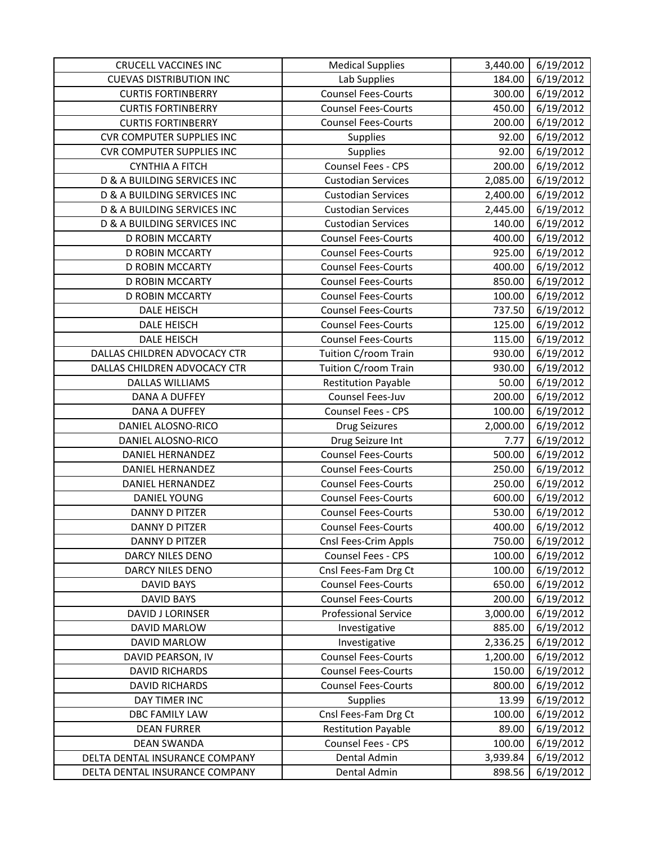| <b>CRUCELL VACCINES INC</b>            | <b>Medical Supplies</b>     | 3,440.00 | 6/19/2012 |
|----------------------------------------|-----------------------------|----------|-----------|
| <b>CUEVAS DISTRIBUTION INC</b>         | Lab Supplies                | 184.00   | 6/19/2012 |
| <b>CURTIS FORTINBERRY</b>              | <b>Counsel Fees-Courts</b>  | 300.00   | 6/19/2012 |
| <b>CURTIS FORTINBERRY</b>              | <b>Counsel Fees-Courts</b>  | 450.00   | 6/19/2012 |
| <b>CURTIS FORTINBERRY</b>              | <b>Counsel Fees-Courts</b>  | 200.00   | 6/19/2012 |
| <b>CVR COMPUTER SUPPLIES INC</b>       | Supplies                    | 92.00    | 6/19/2012 |
| <b>CVR COMPUTER SUPPLIES INC</b>       | Supplies                    | 92.00    | 6/19/2012 |
| <b>CYNTHIA A FITCH</b>                 | Counsel Fees - CPS          | 200.00   | 6/19/2012 |
| <b>D &amp; A BUILDING SERVICES INC</b> | <b>Custodian Services</b>   | 2,085.00 | 6/19/2012 |
| D & A BUILDING SERVICES INC            | <b>Custodian Services</b>   | 2,400.00 | 6/19/2012 |
| D & A BUILDING SERVICES INC            | <b>Custodian Services</b>   | 2,445.00 | 6/19/2012 |
| D & A BUILDING SERVICES INC            | <b>Custodian Services</b>   | 140.00   | 6/19/2012 |
| <b>D ROBIN MCCARTY</b>                 | <b>Counsel Fees-Courts</b>  | 400.00   | 6/19/2012 |
| <b>D ROBIN MCCARTY</b>                 | <b>Counsel Fees-Courts</b>  | 925.00   | 6/19/2012 |
| <b>D ROBIN MCCARTY</b>                 | <b>Counsel Fees-Courts</b>  | 400.00   | 6/19/2012 |
| <b>D ROBIN MCCARTY</b>                 | <b>Counsel Fees-Courts</b>  | 850.00   | 6/19/2012 |
| <b>D ROBIN MCCARTY</b>                 | <b>Counsel Fees-Courts</b>  | 100.00   | 6/19/2012 |
| DALE HEISCH                            | <b>Counsel Fees-Courts</b>  | 737.50   | 6/19/2012 |
| <b>DALE HEISCH</b>                     | <b>Counsel Fees-Courts</b>  | 125.00   | 6/19/2012 |
| <b>DALE HEISCH</b>                     | <b>Counsel Fees-Courts</b>  | 115.00   | 6/19/2012 |
| DALLAS CHILDREN ADVOCACY CTR           | Tuition C/room Train        | 930.00   | 6/19/2012 |
| DALLAS CHILDREN ADVOCACY CTR           | Tuition C/room Train        | 930.00   | 6/19/2012 |
| <b>DALLAS WILLIAMS</b>                 | <b>Restitution Payable</b>  | 50.00    | 6/19/2012 |
| DANA A DUFFEY                          | Counsel Fees-Juv            | 200.00   | 6/19/2012 |
| <b>DANA A DUFFEY</b>                   | Counsel Fees - CPS          | 100.00   | 6/19/2012 |
| DANIEL ALOSNO-RICO                     | <b>Drug Seizures</b>        | 2,000.00 | 6/19/2012 |
| DANIEL ALOSNO-RICO                     | Drug Seizure Int            | 7.77     | 6/19/2012 |
| <b>DANIEL HERNANDEZ</b>                | <b>Counsel Fees-Courts</b>  | 500.00   | 6/19/2012 |
| <b>DANIEL HERNANDEZ</b>                | <b>Counsel Fees-Courts</b>  | 250.00   | 6/19/2012 |
| <b>DANIEL HERNANDEZ</b>                | <b>Counsel Fees-Courts</b>  | 250.00   | 6/19/2012 |
| <b>DANIEL YOUNG</b>                    | <b>Counsel Fees-Courts</b>  | 600.00   | 6/19/2012 |
| <b>DANNY D PITZER</b>                  | <b>Counsel Fees-Courts</b>  | 530.00   | 6/19/2012 |
| <b>DANNY D PITZER</b>                  | <b>Counsel Fees-Courts</b>  | 400.00   | 6/19/2012 |
| DANNY D PITZER                         | Cnsl Fees-Crim Appls        | 750.00   | 6/19/2012 |
| DARCY NILES DENO                       | Counsel Fees - CPS          | 100.00   | 6/19/2012 |
| DARCY NILES DENO                       | Cnsl Fees-Fam Drg Ct        | 100.00   | 6/19/2012 |
| <b>DAVID BAYS</b>                      | <b>Counsel Fees-Courts</b>  | 650.00   | 6/19/2012 |
| <b>DAVID BAYS</b>                      | <b>Counsel Fees-Courts</b>  | 200.00   | 6/19/2012 |
| <b>DAVID J LORINSER</b>                | <b>Professional Service</b> | 3,000.00 | 6/19/2012 |
| DAVID MARLOW                           | Investigative               | 885.00   | 6/19/2012 |
| DAVID MARLOW                           | Investigative               | 2,336.25 | 6/19/2012 |
| DAVID PEARSON, IV                      | <b>Counsel Fees-Courts</b>  | 1,200.00 | 6/19/2012 |
| <b>DAVID RICHARDS</b>                  | <b>Counsel Fees-Courts</b>  | 150.00   | 6/19/2012 |
| <b>DAVID RICHARDS</b>                  | <b>Counsel Fees-Courts</b>  | 800.00   | 6/19/2012 |
| DAY TIMER INC                          | <b>Supplies</b>             | 13.99    | 6/19/2012 |
| <b>DBC FAMILY LAW</b>                  | Cnsl Fees-Fam Drg Ct        | 100.00   | 6/19/2012 |
| <b>DEAN FURRER</b>                     | <b>Restitution Payable</b>  | 89.00    | 6/19/2012 |
| <b>DEAN SWANDA</b>                     | Counsel Fees - CPS          | 100.00   | 6/19/2012 |
| DELTA DENTAL INSURANCE COMPANY         | Dental Admin                | 3,939.84 | 6/19/2012 |
| DELTA DENTAL INSURANCE COMPANY         | Dental Admin                | 898.56   | 6/19/2012 |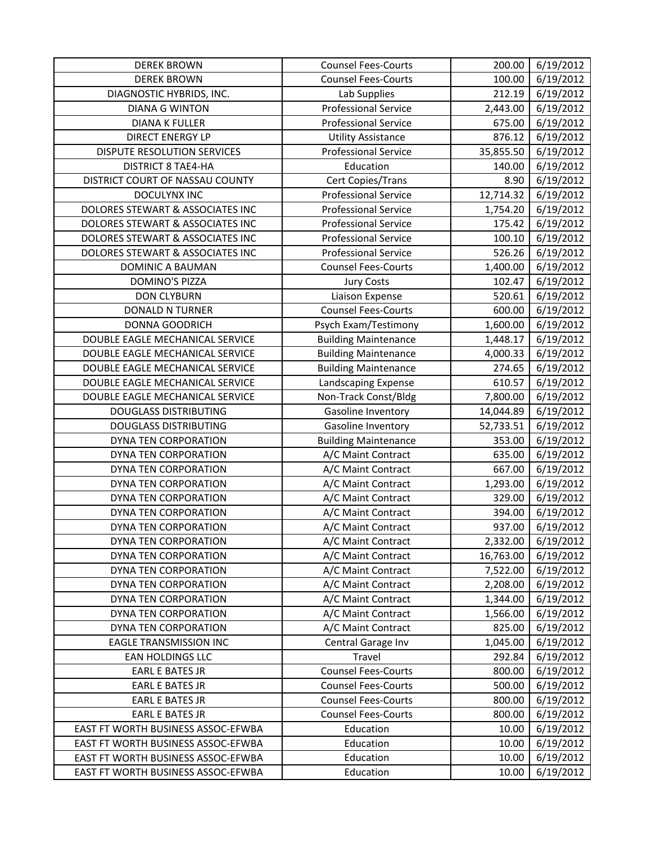| <b>DEREK BROWN</b>                 | <b>Counsel Fees-Courts</b>  | 200.00    | 6/19/2012 |
|------------------------------------|-----------------------------|-----------|-----------|
| <b>DEREK BROWN</b>                 | <b>Counsel Fees-Courts</b>  | 100.00    | 6/19/2012 |
| DIAGNOSTIC HYBRIDS, INC.           | Lab Supplies                | 212.19    | 6/19/2012 |
| <b>DIANA G WINTON</b>              | <b>Professional Service</b> | 2,443.00  | 6/19/2012 |
| <b>DIANA K FULLER</b>              | <b>Professional Service</b> | 675.00    | 6/19/2012 |
| <b>DIRECT ENERGY LP</b>            | <b>Utility Assistance</b>   | 876.12    | 6/19/2012 |
| DISPUTE RESOLUTION SERVICES        | <b>Professional Service</b> | 35,855.50 | 6/19/2012 |
| <b>DISTRICT 8 TAE4-HA</b>          | Education                   | 140.00    | 6/19/2012 |
| DISTRICT COURT OF NASSAU COUNTY    | Cert Copies/Trans           | 8.90      | 6/19/2012 |
| DOCULYNX INC                       | <b>Professional Service</b> | 12,714.32 | 6/19/2012 |
| DOLORES STEWART & ASSOCIATES INC   | <b>Professional Service</b> | 1,754.20  | 6/19/2012 |
| DOLORES STEWART & ASSOCIATES INC   | <b>Professional Service</b> | 175.42    | 6/19/2012 |
| DOLORES STEWART & ASSOCIATES INC   | <b>Professional Service</b> | 100.10    | 6/19/2012 |
| DOLORES STEWART & ASSOCIATES INC   | <b>Professional Service</b> | 526.26    | 6/19/2012 |
| DOMINIC A BAUMAN                   | <b>Counsel Fees-Courts</b>  | 1,400.00  | 6/19/2012 |
| <b>DOMINO'S PIZZA</b>              | <b>Jury Costs</b>           | 102.47    | 6/19/2012 |
| <b>DON CLYBURN</b>                 | Liaison Expense             | 520.61    | 6/19/2012 |
| DONALD N TURNER                    | <b>Counsel Fees-Courts</b>  | 600.00    | 6/19/2012 |
| DONNA GOODRICH                     | Psych Exam/Testimony        | 1,600.00  | 6/19/2012 |
| DOUBLE EAGLE MECHANICAL SERVICE    | <b>Building Maintenance</b> | 1,448.17  | 6/19/2012 |
| DOUBLE EAGLE MECHANICAL SERVICE    | <b>Building Maintenance</b> | 4,000.33  | 6/19/2012 |
| DOUBLE EAGLE MECHANICAL SERVICE    | <b>Building Maintenance</b> | 274.65    | 6/19/2012 |
| DOUBLE EAGLE MECHANICAL SERVICE    | Landscaping Expense         | 610.57    | 6/19/2012 |
| DOUBLE EAGLE MECHANICAL SERVICE    | Non-Track Const/Bldg        | 7,800.00  | 6/19/2012 |
| <b>DOUGLASS DISTRIBUTING</b>       | Gasoline Inventory          | 14,044.89 | 6/19/2012 |
| <b>DOUGLASS DISTRIBUTING</b>       | Gasoline Inventory          | 52,733.51 | 6/19/2012 |
| DYNA TEN CORPORATION               | <b>Building Maintenance</b> | 353.00    | 6/19/2012 |
| DYNA TEN CORPORATION               | A/C Maint Contract          | 635.00    | 6/19/2012 |
| DYNA TEN CORPORATION               | A/C Maint Contract          | 667.00    | 6/19/2012 |
| DYNA TEN CORPORATION               | A/C Maint Contract          | 1,293.00  | 6/19/2012 |
| DYNA TEN CORPORATION               | A/C Maint Contract          | 329.00    | 6/19/2012 |
| DYNA TEN CORPORATION               | A/C Maint Contract          | 394.00    | 6/19/2012 |
| DYNA TEN CORPORATION               | A/C Maint Contract          | 937.00    | 6/19/2012 |
| DYNA TEN CORPORATION               | A/C Maint Contract          | 2,332.00  | 6/19/2012 |
| DYNA TEN CORPORATION               | A/C Maint Contract          | 16,763.00 | 6/19/2012 |
| DYNA TEN CORPORATION               | A/C Maint Contract          | 7,522.00  | 6/19/2012 |
| DYNA TEN CORPORATION               | A/C Maint Contract          | 2,208.00  | 6/19/2012 |
| DYNA TEN CORPORATION               | A/C Maint Contract          | 1,344.00  | 6/19/2012 |
| DYNA TEN CORPORATION               | A/C Maint Contract          | 1,566.00  | 6/19/2012 |
| DYNA TEN CORPORATION               | A/C Maint Contract          | 825.00    | 6/19/2012 |
| <b>EAGLE TRANSMISSION INC</b>      | Central Garage Inv          | 1,045.00  | 6/19/2012 |
| <b>EAN HOLDINGS LLC</b>            | Travel                      | 292.84    | 6/19/2012 |
| <b>EARL E BATES JR</b>             | <b>Counsel Fees-Courts</b>  | 800.00    | 6/19/2012 |
| <b>EARL E BATES JR</b>             | <b>Counsel Fees-Courts</b>  | 500.00    | 6/19/2012 |
| <b>EARL E BATES JR</b>             | <b>Counsel Fees-Courts</b>  | 800.00    | 6/19/2012 |
| <b>EARL E BATES JR</b>             | <b>Counsel Fees-Courts</b>  | 800.00    | 6/19/2012 |
| EAST FT WORTH BUSINESS ASSOC-EFWBA | Education                   | 10.00     | 6/19/2012 |
| EAST FT WORTH BUSINESS ASSOC-EFWBA | Education                   | 10.00     | 6/19/2012 |
| EAST FT WORTH BUSINESS ASSOC-EFWBA | Education                   | 10.00     | 6/19/2012 |
| EAST FT WORTH BUSINESS ASSOC-EFWBA | Education                   | 10.00     | 6/19/2012 |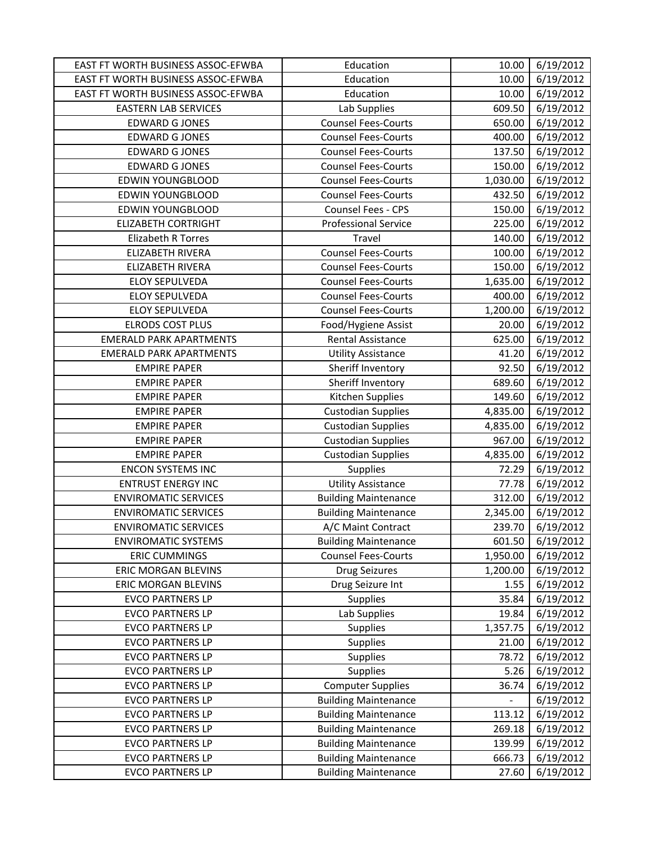| EAST FT WORTH BUSINESS ASSOC-EFWBA | Education                                                  | 10.00           | 6/19/2012              |
|------------------------------------|------------------------------------------------------------|-----------------|------------------------|
| EAST FT WORTH BUSINESS ASSOC-EFWBA | Education                                                  | 10.00           | 6/19/2012              |
| EAST FT WORTH BUSINESS ASSOC-EFWBA | Education                                                  | 10.00           | 6/19/2012              |
| <b>EASTERN LAB SERVICES</b>        | Lab Supplies                                               | 609.50          | 6/19/2012              |
| <b>EDWARD G JONES</b>              | <b>Counsel Fees-Courts</b>                                 | 650.00          | 6/19/2012              |
| <b>EDWARD G JONES</b>              | <b>Counsel Fees-Courts</b>                                 | 400.00          | 6/19/2012              |
| <b>EDWARD G JONES</b>              | <b>Counsel Fees-Courts</b>                                 | 137.50          | 6/19/2012              |
| <b>EDWARD G JONES</b>              | <b>Counsel Fees-Courts</b>                                 | 150.00          | 6/19/2012              |
| <b>EDWIN YOUNGBLOOD</b>            | <b>Counsel Fees-Courts</b>                                 | 1,030.00        | 6/19/2012              |
| <b>EDWIN YOUNGBLOOD</b>            | <b>Counsel Fees-Courts</b>                                 | 432.50          | 6/19/2012              |
| EDWIN YOUNGBLOOD                   | Counsel Fees - CPS                                         | 150.00          | 6/19/2012              |
| <b>ELIZABETH CORTRIGHT</b>         | <b>Professional Service</b>                                | 225.00          | 6/19/2012              |
| <b>Elizabeth R Torres</b>          | Travel                                                     | 140.00          | 6/19/2012              |
| <b>ELIZABETH RIVERA</b>            | <b>Counsel Fees-Courts</b>                                 | 100.00          | 6/19/2012              |
| <b>ELIZABETH RIVERA</b>            | <b>Counsel Fees-Courts</b>                                 | 150.00          | 6/19/2012              |
| <b>ELOY SEPULVEDA</b>              | <b>Counsel Fees-Courts</b>                                 | 1,635.00        | 6/19/2012              |
| <b>ELOY SEPULVEDA</b>              | <b>Counsel Fees-Courts</b>                                 | 400.00          | 6/19/2012              |
| <b>ELOY SEPULVEDA</b>              | <b>Counsel Fees-Courts</b>                                 | 1,200.00        | 6/19/2012              |
| <b>ELRODS COST PLUS</b>            | Food/Hygiene Assist                                        | 20.00           | 6/19/2012              |
| <b>EMERALD PARK APARTMENTS</b>     | Rental Assistance                                          | 625.00          | 6/19/2012              |
| <b>EMERALD PARK APARTMENTS</b>     | <b>Utility Assistance</b>                                  | 41.20           | 6/19/2012              |
| <b>EMPIRE PAPER</b>                | Sheriff Inventory                                          | 92.50           | 6/19/2012              |
| <b>EMPIRE PAPER</b>                | Sheriff Inventory                                          | 689.60          | 6/19/2012              |
| <b>EMPIRE PAPER</b>                | Kitchen Supplies                                           | 149.60          | 6/19/2012              |
| <b>EMPIRE PAPER</b>                | <b>Custodian Supplies</b>                                  | 4,835.00        | 6/19/2012              |
| <b>EMPIRE PAPER</b>                | <b>Custodian Supplies</b>                                  | 4,835.00        | 6/19/2012              |
| <b>EMPIRE PAPER</b>                | <b>Custodian Supplies</b>                                  | 967.00          | 6/19/2012              |
| <b>EMPIRE PAPER</b>                | <b>Custodian Supplies</b>                                  | 4,835.00        | 6/19/2012              |
| <b>ENCON SYSTEMS INC</b>           | Supplies                                                   | 72.29           | 6/19/2012              |
| <b>ENTRUST ENERGY INC</b>          | <b>Utility Assistance</b>                                  | 77.78           | 6/19/2012              |
| <b>ENVIROMATIC SERVICES</b>        | <b>Building Maintenance</b>                                | 312.00          | 6/19/2012              |
| <b>ENVIROMATIC SERVICES</b>        | <b>Building Maintenance</b>                                | 2,345.00        | 6/19/2012              |
| <b>ENVIROMATIC SERVICES</b>        | A/C Maint Contract                                         | 239.70          | 6/19/2012              |
| <b>ENVIROMATIC SYSTEMS</b>         | <b>Building Maintenance</b>                                | 601.50          | 6/19/2012              |
| <b>ERIC CUMMINGS</b>               | <b>Counsel Fees-Courts</b>                                 | 1,950.00        | 6/19/2012              |
| <b>ERIC MORGAN BLEVINS</b>         | Drug Seizures                                              | 1,200.00        | 6/19/2012              |
| ERIC MORGAN BLEVINS                | Drug Seizure Int                                           | 1.55            | 6/19/2012              |
| <b>EVCO PARTNERS LP</b>            | Supplies                                                   | 35.84           | 6/19/2012              |
| <b>EVCO PARTNERS LP</b>            | Lab Supplies                                               | 19.84           | 6/19/2012              |
| <b>EVCO PARTNERS LP</b>            | Supplies                                                   | 1,357.75        | 6/19/2012              |
| <b>EVCO PARTNERS LP</b>            | Supplies                                                   | 21.00           | 6/19/2012              |
| <b>EVCO PARTNERS LP</b>            | Supplies                                                   | 78.72           | 6/19/2012              |
| <b>EVCO PARTNERS LP</b>            | Supplies                                                   | 5.26            | 6/19/2012              |
| <b>EVCO PARTNERS LP</b>            | <b>Computer Supplies</b>                                   | 36.74           | 6/19/2012              |
| <b>EVCO PARTNERS LP</b>            | <b>Building Maintenance</b>                                |                 | 6/19/2012              |
| <b>EVCO PARTNERS LP</b>            | <b>Building Maintenance</b>                                | 113.12          | 6/19/2012              |
| <b>EVCO PARTNERS LP</b>            | <b>Building Maintenance</b>                                | 269.18          | 6/19/2012              |
| <b>EVCO PARTNERS LP</b>            | <b>Building Maintenance</b>                                | 139.99          | 6/19/2012              |
| <b>EVCO PARTNERS LP</b>            |                                                            |                 |                        |
| <b>EVCO PARTNERS LP</b>            | <b>Building Maintenance</b><br><b>Building Maintenance</b> | 666.73<br>27.60 | 6/19/2012<br>6/19/2012 |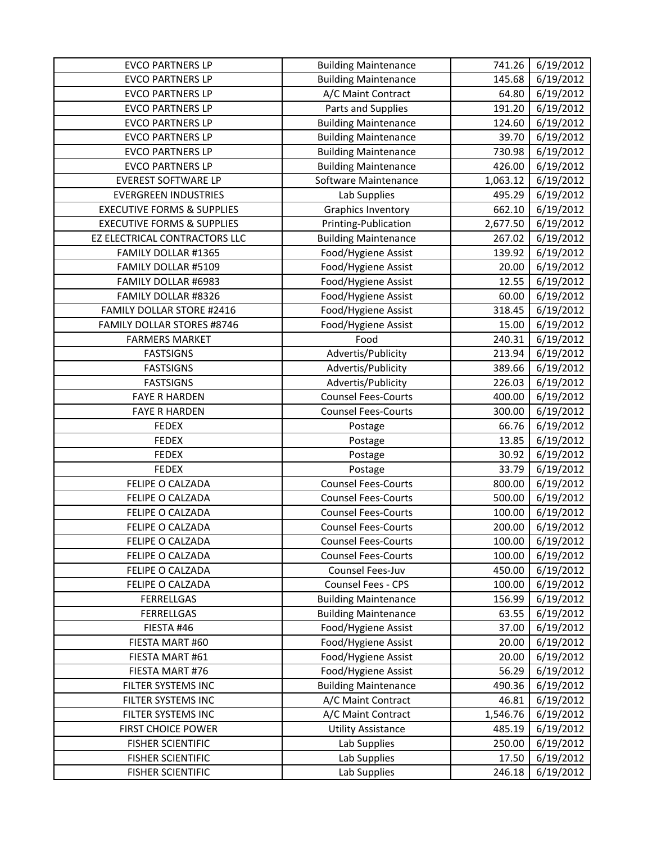| <b>EVCO PARTNERS LP</b><br><b>EVCO PARTNERS LP</b>   | <b>Building Maintenance</b>  | 741.26          | 6/19/2012              |
|------------------------------------------------------|------------------------------|-----------------|------------------------|
|                                                      | <b>Building Maintenance</b>  | 145.68          | 6/19/2012              |
| <b>EVCO PARTNERS LP</b>                              | A/C Maint Contract           | 64.80           | 6/19/2012              |
| <b>EVCO PARTNERS LP</b>                              | Parts and Supplies           | 191.20          | 6/19/2012              |
| <b>EVCO PARTNERS LP</b>                              | <b>Building Maintenance</b>  | 124.60          | 6/19/2012              |
| <b>EVCO PARTNERS LP</b>                              | <b>Building Maintenance</b>  | 39.70           | 6/19/2012              |
| <b>EVCO PARTNERS LP</b>                              | <b>Building Maintenance</b>  | 730.98          | 6/19/2012              |
| <b>EVCO PARTNERS LP</b>                              | <b>Building Maintenance</b>  | 426.00          | 6/19/2012              |
| <b>EVEREST SOFTWARE LP</b>                           | Software Maintenance         | 1,063.12        | 6/19/2012              |
| <b>EVERGREEN INDUSTRIES</b>                          | Lab Supplies                 | 495.29          | 6/19/2012              |
| <b>EXECUTIVE FORMS &amp; SUPPLIES</b>                | <b>Graphics Inventory</b>    | 662.10          | 6/19/2012              |
| <b>EXECUTIVE FORMS &amp; SUPPLIES</b>                | Printing-Publication         | 2,677.50        | 6/19/2012              |
| EZ ELECTRICAL CONTRACTORS LLC                        | <b>Building Maintenance</b>  | 267.02          | 6/19/2012              |
| FAMILY DOLLAR #1365                                  | Food/Hygiene Assist          | 139.92          | 6/19/2012              |
| FAMILY DOLLAR #5109                                  | Food/Hygiene Assist          | 20.00           | 6/19/2012              |
| FAMILY DOLLAR #6983                                  | Food/Hygiene Assist          | 12.55           | 6/19/2012              |
| FAMILY DOLLAR #8326                                  | Food/Hygiene Assist          | 60.00           | 6/19/2012              |
| <b>FAMILY DOLLAR STORE #2416</b>                     | Food/Hygiene Assist          | 318.45          | 6/19/2012              |
| <b>FAMILY DOLLAR STORES #8746</b>                    | Food/Hygiene Assist          | 15.00           | 6/19/2012              |
| <b>FARMERS MARKET</b>                                | Food                         | 240.31          | 6/19/2012              |
| <b>FASTSIGNS</b>                                     | Advertis/Publicity           | 213.94          | 6/19/2012              |
| <b>FASTSIGNS</b>                                     | Advertis/Publicity           | 389.66          | 6/19/2012              |
| <b>FASTSIGNS</b>                                     | Advertis/Publicity           | 226.03          | 6/19/2012              |
| <b>FAYE R HARDEN</b>                                 | <b>Counsel Fees-Courts</b>   | 400.00          | 6/19/2012              |
| <b>FAYE R HARDEN</b>                                 | <b>Counsel Fees-Courts</b>   | 300.00          | 6/19/2012              |
| <b>FEDEX</b>                                         | Postage                      | 66.76           | 6/19/2012              |
| <b>FEDEX</b>                                         | Postage                      | 13.85           | 6/19/2012              |
| <b>FEDEX</b>                                         | Postage                      | 30.92           | 6/19/2012              |
|                                                      |                              |                 |                        |
|                                                      |                              |                 |                        |
| <b>FEDEX</b>                                         | Postage                      | 33.79           | 6/19/2012              |
| FELIPE O CALZADA                                     | <b>Counsel Fees-Courts</b>   | 800.00          | 6/19/2012              |
| FELIPE O CALZADA                                     | <b>Counsel Fees-Courts</b>   | 500.00          | 6/19/2012              |
| FELIPE O CALZADA                                     | <b>Counsel Fees-Courts</b>   | 100.00          | 6/19/2012              |
| FELIPE O CALZADA                                     | <b>Counsel Fees-Courts</b>   | 200.00          | 6/19/2012              |
| FELIPE O CALZADA                                     | <b>Counsel Fees-Courts</b>   | 100.00          | 6/19/2012              |
| FELIPE O CALZADA                                     | <b>Counsel Fees-Courts</b>   | 100.00          | 6/19/2012              |
| FELIPE O CALZADA                                     | Counsel Fees-Juv             | 450.00          | 6/19/2012              |
| FELIPE O CALZADA                                     | Counsel Fees - CPS           | 100.00          | 6/19/2012              |
| <b>FERRELLGAS</b>                                    | <b>Building Maintenance</b>  | 156.99          | 6/19/2012              |
| <b>FERRELLGAS</b>                                    | <b>Building Maintenance</b>  | 63.55           | 6/19/2012              |
| FIESTA #46                                           | Food/Hygiene Assist          | 37.00           | 6/19/2012              |
| FIESTA MART #60                                      | Food/Hygiene Assist          | 20.00           | 6/19/2012              |
| FIESTA MART #61                                      | Food/Hygiene Assist          | 20.00           | 6/19/2012              |
| FIESTA MART #76                                      | Food/Hygiene Assist          | 56.29           | 6/19/2012              |
| FILTER SYSTEMS INC                                   | <b>Building Maintenance</b>  | 490.36          | 6/19/2012              |
| FILTER SYSTEMS INC                                   | A/C Maint Contract           | 46.81           | 6/19/2012              |
| FILTER SYSTEMS INC                                   | A/C Maint Contract           | 1,546.76        | 6/19/2012              |
| FIRST CHOICE POWER                                   | <b>Utility Assistance</b>    | 485.19          | 6/19/2012              |
| <b>FISHER SCIENTIFIC</b>                             | Lab Supplies                 | 250.00          | 6/19/2012              |
| <b>FISHER SCIENTIFIC</b><br><b>FISHER SCIENTIFIC</b> | Lab Supplies<br>Lab Supplies | 17.50<br>246.18 | 6/19/2012<br>6/19/2012 |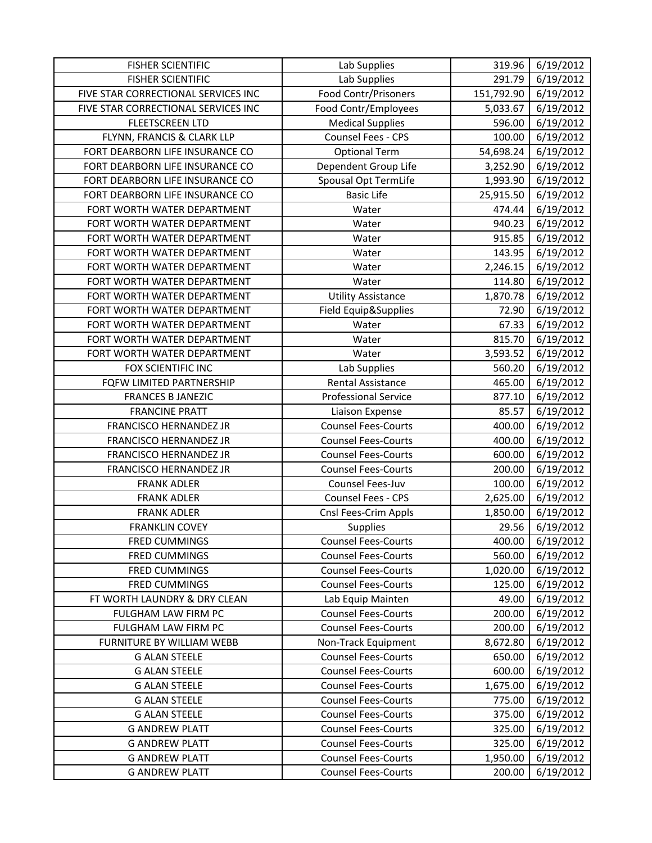| <b>FISHER SCIENTIFIC</b>            | Lab Supplies                | 319.96     | 6/19/2012 |
|-------------------------------------|-----------------------------|------------|-----------|
| <b>FISHER SCIENTIFIC</b>            | Lab Supplies                | 291.79     | 6/19/2012 |
| FIVE STAR CORRECTIONAL SERVICES INC | <b>Food Contr/Prisoners</b> | 151,792.90 | 6/19/2012 |
| FIVE STAR CORRECTIONAL SERVICES INC | Food Contr/Employees        | 5,033.67   | 6/19/2012 |
| <b>FLEETSCREEN LTD</b>              | <b>Medical Supplies</b>     | 596.00     | 6/19/2012 |
| FLYNN, FRANCIS & CLARK LLP          | Counsel Fees - CPS          | 100.00     | 6/19/2012 |
| FORT DEARBORN LIFE INSURANCE CO     | <b>Optional Term</b>        | 54,698.24  | 6/19/2012 |
| FORT DEARBORN LIFE INSURANCE CO     | Dependent Group Life        | 3,252.90   | 6/19/2012 |
| FORT DEARBORN LIFE INSURANCE CO     | Spousal Opt TermLife        | 1,993.90   | 6/19/2012 |
| FORT DEARBORN LIFE INSURANCE CO     | <b>Basic Life</b>           | 25,915.50  | 6/19/2012 |
| FORT WORTH WATER DEPARTMENT         | Water                       | 474.44     | 6/19/2012 |
| FORT WORTH WATER DEPARTMENT         | Water                       | 940.23     | 6/19/2012 |
| FORT WORTH WATER DEPARTMENT         | Water                       | 915.85     | 6/19/2012 |
| FORT WORTH WATER DEPARTMENT         | Water                       | 143.95     | 6/19/2012 |
| FORT WORTH WATER DEPARTMENT         | Water                       | 2,246.15   | 6/19/2012 |
| FORT WORTH WATER DEPARTMENT         | Water                       | 114.80     | 6/19/2012 |
| FORT WORTH WATER DEPARTMENT         | <b>Utility Assistance</b>   | 1,870.78   | 6/19/2012 |
| FORT WORTH WATER DEPARTMENT         | Field Equip&Supplies        | 72.90      | 6/19/2012 |
| FORT WORTH WATER DEPARTMENT         | Water                       | 67.33      | 6/19/2012 |
| FORT WORTH WATER DEPARTMENT         | Water                       | 815.70     | 6/19/2012 |
| FORT WORTH WATER DEPARTMENT         | Water                       | 3,593.52   | 6/19/2012 |
| FOX SCIENTIFIC INC                  | Lab Supplies                | 560.20     | 6/19/2012 |
| FQFW LIMITED PARTNERSHIP            | <b>Rental Assistance</b>    | 465.00     | 6/19/2012 |
| <b>FRANCES B JANEZIC</b>            | Professional Service        | 877.10     | 6/19/2012 |
| <b>FRANCINE PRATT</b>               | Liaison Expense             | 85.57      | 6/19/2012 |
| FRANCISCO HERNANDEZ JR              | <b>Counsel Fees-Courts</b>  | 400.00     | 6/19/2012 |
| FRANCISCO HERNANDEZ JR              | <b>Counsel Fees-Courts</b>  | 400.00     | 6/19/2012 |
| FRANCISCO HERNANDEZ JR              | <b>Counsel Fees-Courts</b>  | 600.00     | 6/19/2012 |
| FRANCISCO HERNANDEZ JR              | <b>Counsel Fees-Courts</b>  | 200.00     | 6/19/2012 |
| <b>FRANK ADLER</b>                  | Counsel Fees-Juv            | 100.00     | 6/19/2012 |
| <b>FRANK ADLER</b>                  | Counsel Fees - CPS          | 2,625.00   | 6/19/2012 |
| <b>FRANK ADLER</b>                  | Cnsl Fees-Crim Appls        | 1,850.00   | 6/19/2012 |
| <b>FRANKLIN COVEY</b>               | Supplies                    | 29.56      | 6/19/2012 |
| <b>FRED CUMMINGS</b>                | <b>Counsel Fees-Courts</b>  | 400.00     | 6/19/2012 |
| <b>FRED CUMMINGS</b>                | <b>Counsel Fees-Courts</b>  | 560.00     | 6/19/2012 |
| <b>FRED CUMMINGS</b>                | <b>Counsel Fees-Courts</b>  | 1,020.00   | 6/19/2012 |
| <b>FRED CUMMINGS</b>                | <b>Counsel Fees-Courts</b>  | 125.00     | 6/19/2012 |
| FT WORTH LAUNDRY & DRY CLEAN        | Lab Equip Mainten           | 49.00      | 6/19/2012 |
| FULGHAM LAW FIRM PC                 | <b>Counsel Fees-Courts</b>  | 200.00     | 6/19/2012 |
| FULGHAM LAW FIRM PC                 | <b>Counsel Fees-Courts</b>  | 200.00     | 6/19/2012 |
| FURNITURE BY WILLIAM WEBB           | Non-Track Equipment         | 8,672.80   | 6/19/2012 |
| <b>G ALAN STEELE</b>                | <b>Counsel Fees-Courts</b>  | 650.00     | 6/19/2012 |
| <b>G ALAN STEELE</b>                | <b>Counsel Fees-Courts</b>  | 600.00     | 6/19/2012 |
| <b>G ALAN STEELE</b>                | <b>Counsel Fees-Courts</b>  | 1,675.00   | 6/19/2012 |
| <b>G ALAN STEELE</b>                | <b>Counsel Fees-Courts</b>  | 775.00     | 6/19/2012 |
| <b>G ALAN STEELE</b>                | <b>Counsel Fees-Courts</b>  | 375.00     | 6/19/2012 |
| <b>G ANDREW PLATT</b>               | <b>Counsel Fees-Courts</b>  | 325.00     | 6/19/2012 |
| <b>G ANDREW PLATT</b>               | <b>Counsel Fees-Courts</b>  | 325.00     | 6/19/2012 |
| <b>G ANDREW PLATT</b>               | <b>Counsel Fees-Courts</b>  | 1,950.00   | 6/19/2012 |
| <b>G ANDREW PLATT</b>               | <b>Counsel Fees-Courts</b>  | 200.00     | 6/19/2012 |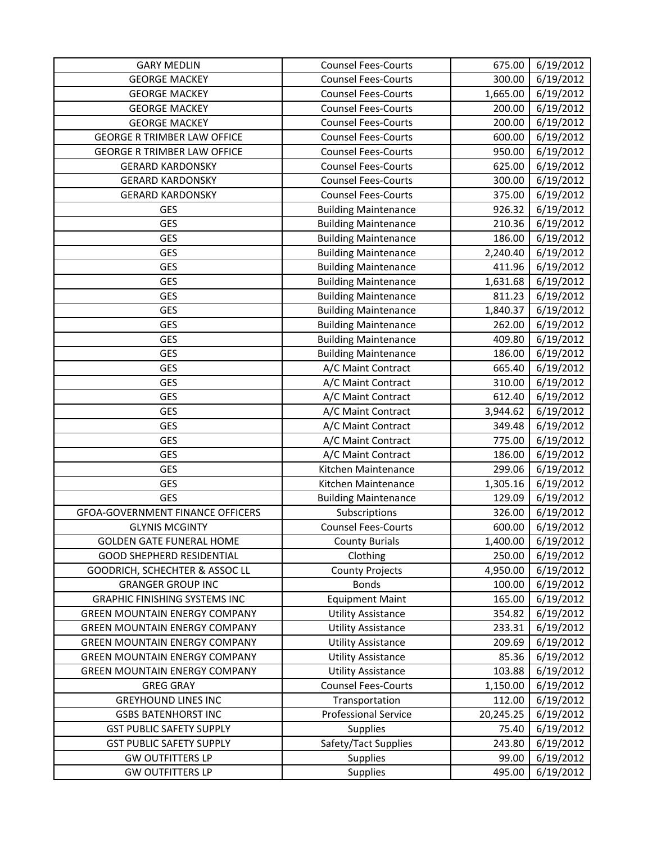| <b>GARY MEDLIN</b>                      | <b>Counsel Fees-Courts</b>  | 675.00    | 6/19/2012 |
|-----------------------------------------|-----------------------------|-----------|-----------|
| <b>GEORGE MACKEY</b>                    | <b>Counsel Fees-Courts</b>  | 300.00    | 6/19/2012 |
| <b>GEORGE MACKEY</b>                    | <b>Counsel Fees-Courts</b>  | 1,665.00  | 6/19/2012 |
| <b>GEORGE MACKEY</b>                    | <b>Counsel Fees-Courts</b>  | 200.00    | 6/19/2012 |
| <b>GEORGE MACKEY</b>                    | <b>Counsel Fees-Courts</b>  | 200.00    | 6/19/2012 |
| <b>GEORGE R TRIMBER LAW OFFICE</b>      | <b>Counsel Fees-Courts</b>  | 600.00    | 6/19/2012 |
| <b>GEORGE R TRIMBER LAW OFFICE</b>      | <b>Counsel Fees-Courts</b>  | 950.00    | 6/19/2012 |
| <b>GERARD KARDONSKY</b>                 | <b>Counsel Fees-Courts</b>  | 625.00    | 6/19/2012 |
| <b>GERARD KARDONSKY</b>                 | <b>Counsel Fees-Courts</b>  | 300.00    | 6/19/2012 |
| <b>GERARD KARDONSKY</b>                 | <b>Counsel Fees-Courts</b>  | 375.00    | 6/19/2012 |
| <b>GES</b>                              | <b>Building Maintenance</b> | 926.32    | 6/19/2012 |
| <b>GES</b>                              | <b>Building Maintenance</b> | 210.36    | 6/19/2012 |
| <b>GES</b>                              | <b>Building Maintenance</b> | 186.00    | 6/19/2012 |
| <b>GES</b>                              | <b>Building Maintenance</b> | 2,240.40  | 6/19/2012 |
| <b>GES</b>                              | <b>Building Maintenance</b> | 411.96    | 6/19/2012 |
| GES                                     | <b>Building Maintenance</b> | 1,631.68  | 6/19/2012 |
| <b>GES</b>                              | <b>Building Maintenance</b> | 811.23    | 6/19/2012 |
| <b>GES</b>                              | <b>Building Maintenance</b> | 1,840.37  | 6/19/2012 |
| <b>GES</b>                              | <b>Building Maintenance</b> | 262.00    | 6/19/2012 |
| GES                                     | <b>Building Maintenance</b> | 409.80    | 6/19/2012 |
| <b>GES</b>                              | <b>Building Maintenance</b> | 186.00    | 6/19/2012 |
| <b>GES</b>                              | A/C Maint Contract          | 665.40    | 6/19/2012 |
| <b>GES</b>                              | A/C Maint Contract          | 310.00    | 6/19/2012 |
| <b>GES</b>                              | A/C Maint Contract          | 612.40    | 6/19/2012 |
| <b>GES</b>                              | A/C Maint Contract          | 3,944.62  | 6/19/2012 |
| <b>GES</b>                              | A/C Maint Contract          | 349.48    | 6/19/2012 |
| <b>GES</b>                              | A/C Maint Contract          | 775.00    | 6/19/2012 |
| <b>GES</b>                              | A/C Maint Contract          | 186.00    | 6/19/2012 |
| <b>GES</b>                              | Kitchen Maintenance         | 299.06    | 6/19/2012 |
| <b>GES</b>                              | Kitchen Maintenance         | 1,305.16  | 6/19/2012 |
| <b>GES</b>                              | <b>Building Maintenance</b> | 129.09    | 6/19/2012 |
| <b>GFOA-GOVERNMENT FINANCE OFFICERS</b> | Subscriptions               | 326.00    | 6/19/2012 |
| <b>GLYNIS MCGINTY</b>                   | <b>Counsel Fees-Courts</b>  | 600.00    | 6/19/2012 |
| <b>GOLDEN GATE FUNERAL HOME</b>         | <b>County Burials</b>       | 1,400.00  | 6/19/2012 |
| <b>GOOD SHEPHERD RESIDENTIAL</b>        | Clothing                    | 250.00    | 6/19/2012 |
| GOODRICH, SCHECHTER & ASSOC LL          | <b>County Projects</b>      | 4,950.00  | 6/19/2012 |
| <b>GRANGER GROUP INC</b>                | <b>Bonds</b>                | 100.00    | 6/19/2012 |
| <b>GRAPHIC FINISHING SYSTEMS INC</b>    | <b>Equipment Maint</b>      | 165.00    | 6/19/2012 |
| <b>GREEN MOUNTAIN ENERGY COMPANY</b>    | <b>Utility Assistance</b>   | 354.82    | 6/19/2012 |
| <b>GREEN MOUNTAIN ENERGY COMPANY</b>    | <b>Utility Assistance</b>   | 233.31    | 6/19/2012 |
| <b>GREEN MOUNTAIN ENERGY COMPANY</b>    | <b>Utility Assistance</b>   | 209.69    | 6/19/2012 |
| <b>GREEN MOUNTAIN ENERGY COMPANY</b>    | <b>Utility Assistance</b>   | 85.36     | 6/19/2012 |
| <b>GREEN MOUNTAIN ENERGY COMPANY</b>    | <b>Utility Assistance</b>   | 103.88    | 6/19/2012 |
| <b>GREG GRAY</b>                        | <b>Counsel Fees-Courts</b>  | 1,150.00  | 6/19/2012 |
| <b>GREYHOUND LINES INC</b>              | Transportation              | 112.00    | 6/19/2012 |
| <b>GSBS BATENHORST INC</b>              | <b>Professional Service</b> | 20,245.25 | 6/19/2012 |
| <b>GST PUBLIC SAFETY SUPPLY</b>         | <b>Supplies</b>             | 75.40     | 6/19/2012 |
| <b>GST PUBLIC SAFETY SUPPLY</b>         | Safety/Tact Supplies        | 243.80    | 6/19/2012 |
| <b>GW OUTFITTERS LP</b>                 | <b>Supplies</b>             | 99.00     | 6/19/2012 |
| <b>GW OUTFITTERS LP</b>                 | Supplies                    | 495.00    | 6/19/2012 |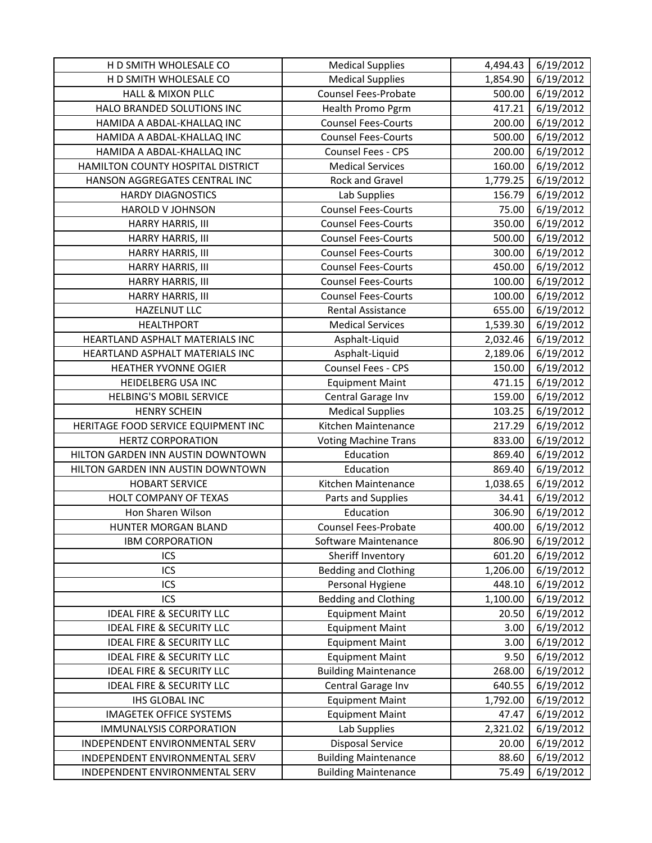| H D SMITH WHOLESALE CO               | <b>Medical Supplies</b>     | 4,494.43 | 6/19/2012 |
|--------------------------------------|-----------------------------|----------|-----------|
| H D SMITH WHOLESALE CO               | <b>Medical Supplies</b>     | 1,854.90 | 6/19/2012 |
| <b>HALL &amp; MIXON PLLC</b>         | <b>Counsel Fees-Probate</b> | 500.00   | 6/19/2012 |
| HALO BRANDED SOLUTIONS INC           | Health Promo Pgrm           | 417.21   | 6/19/2012 |
| HAMIDA A ABDAL-KHALLAQ INC           | <b>Counsel Fees-Courts</b>  | 200.00   | 6/19/2012 |
| HAMIDA A ABDAL-KHALLAQ INC           | <b>Counsel Fees-Courts</b>  | 500.00   | 6/19/2012 |
| HAMIDA A ABDAL-KHALLAQ INC           | <b>Counsel Fees - CPS</b>   | 200.00   | 6/19/2012 |
| HAMILTON COUNTY HOSPITAL DISTRICT    | <b>Medical Services</b>     | 160.00   | 6/19/2012 |
| HANSON AGGREGATES CENTRAL INC        | Rock and Gravel             | 1,779.25 | 6/19/2012 |
| <b>HARDY DIAGNOSTICS</b>             | Lab Supplies                | 156.79   | 6/19/2012 |
| <b>HAROLD V JOHNSON</b>              | <b>Counsel Fees-Courts</b>  | 75.00    | 6/19/2012 |
| HARRY HARRIS, III                    | <b>Counsel Fees-Courts</b>  | 350.00   | 6/19/2012 |
| HARRY HARRIS, III                    | <b>Counsel Fees-Courts</b>  | 500.00   | 6/19/2012 |
| HARRY HARRIS, III                    | <b>Counsel Fees-Courts</b>  | 300.00   | 6/19/2012 |
| HARRY HARRIS, III                    | <b>Counsel Fees-Courts</b>  | 450.00   | 6/19/2012 |
| HARRY HARRIS, III                    | <b>Counsel Fees-Courts</b>  | 100.00   | 6/19/2012 |
| HARRY HARRIS, III                    | <b>Counsel Fees-Courts</b>  | 100.00   | 6/19/2012 |
| <b>HAZELNUT LLC</b>                  | Rental Assistance           | 655.00   | 6/19/2012 |
| <b>HEALTHPORT</b>                    | <b>Medical Services</b>     | 1,539.30 | 6/19/2012 |
| HEARTLAND ASPHALT MATERIALS INC      | Asphalt-Liquid              | 2,032.46 | 6/19/2012 |
| HEARTLAND ASPHALT MATERIALS INC      | Asphalt-Liquid              | 2,189.06 | 6/19/2012 |
| <b>HEATHER YVONNE OGIER</b>          | Counsel Fees - CPS          | 150.00   | 6/19/2012 |
| HEIDELBERG USA INC                   | <b>Equipment Maint</b>      | 471.15   | 6/19/2012 |
| <b>HELBING'S MOBIL SERVICE</b>       | Central Garage Inv          | 159.00   | 6/19/2012 |
| <b>HENRY SCHEIN</b>                  | <b>Medical Supplies</b>     | 103.25   | 6/19/2012 |
| HERITAGE FOOD SERVICE EQUIPMENT INC  | Kitchen Maintenance         | 217.29   | 6/19/2012 |
| <b>HERTZ CORPORATION</b>             | <b>Voting Machine Trans</b> | 833.00   | 6/19/2012 |
| HILTON GARDEN INN AUSTIN DOWNTOWN    | Education                   | 869.40   | 6/19/2012 |
| HILTON GARDEN INN AUSTIN DOWNTOWN    | Education                   | 869.40   | 6/19/2012 |
| <b>HOBART SERVICE</b>                | Kitchen Maintenance         | 1,038.65 | 6/19/2012 |
| HOLT COMPANY OF TEXAS                | Parts and Supplies          | 34.41    | 6/19/2012 |
| Hon Sharen Wilson                    | Education                   | 306.90   | 6/19/2012 |
| HUNTER MORGAN BLAND                  | <b>Counsel Fees-Probate</b> | 400.00   | 6/19/2012 |
| <b>IBM CORPORATION</b>               | Software Maintenance        | 806.90   | 6/19/2012 |
| ICS                                  | Sheriff Inventory           | 601.20   | 6/19/2012 |
| ICS                                  | <b>Bedding and Clothing</b> | 1,206.00 | 6/19/2012 |
| ICS                                  | Personal Hygiene            | 448.10   | 6/19/2012 |
| ICS                                  | <b>Bedding and Clothing</b> | 1,100.00 | 6/19/2012 |
| <b>IDEAL FIRE &amp; SECURITY LLC</b> | <b>Equipment Maint</b>      | 20.50    | 6/19/2012 |
| <b>IDEAL FIRE &amp; SECURITY LLC</b> | <b>Equipment Maint</b>      | 3.00     | 6/19/2012 |
| <b>IDEAL FIRE &amp; SECURITY LLC</b> | <b>Equipment Maint</b>      | 3.00     | 6/19/2012 |
| <b>IDEAL FIRE &amp; SECURITY LLC</b> | <b>Equipment Maint</b>      | 9.50     | 6/19/2012 |
| <b>IDEAL FIRE &amp; SECURITY LLC</b> | <b>Building Maintenance</b> | 268.00   | 6/19/2012 |
| <b>IDEAL FIRE &amp; SECURITY LLC</b> | Central Garage Inv          | 640.55   | 6/19/2012 |
| <b>IHS GLOBAL INC</b>                | <b>Equipment Maint</b>      | 1,792.00 | 6/19/2012 |
| <b>IMAGETEK OFFICE SYSTEMS</b>       | <b>Equipment Maint</b>      | 47.47    | 6/19/2012 |
| <b>IMMUNALYSIS CORPORATION</b>       | Lab Supplies                | 2,321.02 | 6/19/2012 |
| INDEPENDENT ENVIRONMENTAL SERV       | <b>Disposal Service</b>     | 20.00    | 6/19/2012 |
| INDEPENDENT ENVIRONMENTAL SERV       |                             |          |           |
|                                      | <b>Building Maintenance</b> | 88.60    | 6/19/2012 |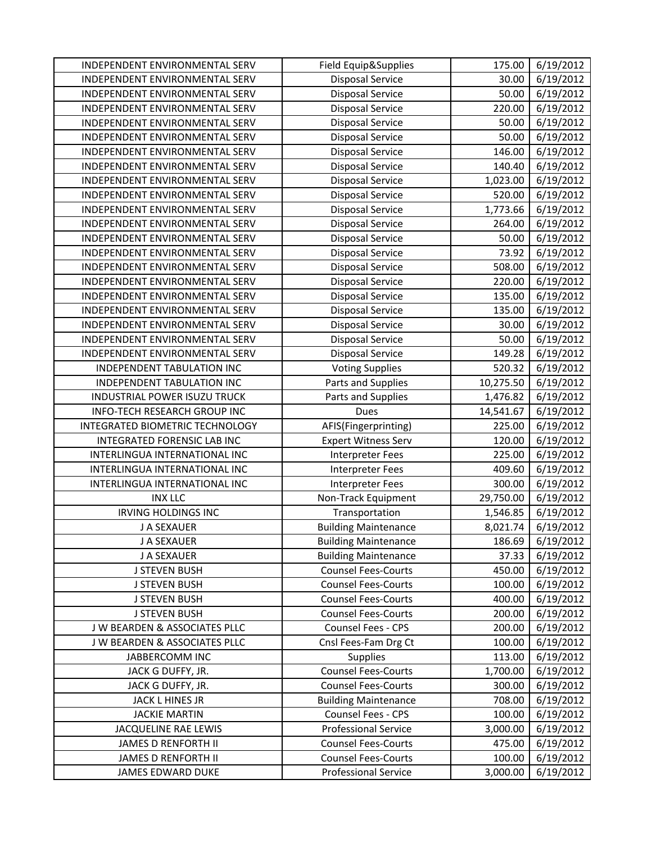| INDEPENDENT ENVIRONMENTAL SERV  | Field Equip&Supplies        | 175.00    | 6/19/2012 |
|---------------------------------|-----------------------------|-----------|-----------|
| INDEPENDENT ENVIRONMENTAL SERV  | <b>Disposal Service</b>     | 30.00     | 6/19/2012 |
| INDEPENDENT ENVIRONMENTAL SERV  | <b>Disposal Service</b>     | 50.00     | 6/19/2012 |
| INDEPENDENT ENVIRONMENTAL SERV  | <b>Disposal Service</b>     | 220.00    | 6/19/2012 |
| INDEPENDENT ENVIRONMENTAL SERV  | <b>Disposal Service</b>     | 50.00     | 6/19/2012 |
| INDEPENDENT ENVIRONMENTAL SERV  | <b>Disposal Service</b>     | 50.00     | 6/19/2012 |
| INDEPENDENT ENVIRONMENTAL SERV  | <b>Disposal Service</b>     | 146.00    | 6/19/2012 |
| INDEPENDENT ENVIRONMENTAL SERV  | <b>Disposal Service</b>     | 140.40    | 6/19/2012 |
| INDEPENDENT ENVIRONMENTAL SERV  | <b>Disposal Service</b>     | 1,023.00  | 6/19/2012 |
| INDEPENDENT ENVIRONMENTAL SERV  | <b>Disposal Service</b>     | 520.00    | 6/19/2012 |
| INDEPENDENT ENVIRONMENTAL SERV  | <b>Disposal Service</b>     | 1,773.66  | 6/19/2012 |
| INDEPENDENT ENVIRONMENTAL SERV  | <b>Disposal Service</b>     | 264.00    | 6/19/2012 |
| INDEPENDENT ENVIRONMENTAL SERV  | <b>Disposal Service</b>     | 50.00     | 6/19/2012 |
| INDEPENDENT ENVIRONMENTAL SERV  | <b>Disposal Service</b>     | 73.92     | 6/19/2012 |
| INDEPENDENT ENVIRONMENTAL SERV  | <b>Disposal Service</b>     | 508.00    | 6/19/2012 |
| INDEPENDENT ENVIRONMENTAL SERV  | <b>Disposal Service</b>     | 220.00    | 6/19/2012 |
| INDEPENDENT ENVIRONMENTAL SERV  | <b>Disposal Service</b>     | 135.00    | 6/19/2012 |
| INDEPENDENT ENVIRONMENTAL SERV  | <b>Disposal Service</b>     | 135.00    | 6/19/2012 |
| INDEPENDENT ENVIRONMENTAL SERV  | <b>Disposal Service</b>     | 30.00     | 6/19/2012 |
| INDEPENDENT ENVIRONMENTAL SERV  | <b>Disposal Service</b>     | 50.00     | 6/19/2012 |
| INDEPENDENT ENVIRONMENTAL SERV  | <b>Disposal Service</b>     | 149.28    | 6/19/2012 |
| INDEPENDENT TABULATION INC      | <b>Voting Supplies</b>      | 520.32    | 6/19/2012 |
| INDEPENDENT TABULATION INC      | Parts and Supplies          | 10,275.50 | 6/19/2012 |
| INDUSTRIAL POWER ISUZU TRUCK    | Parts and Supplies          | 1,476.82  | 6/19/2012 |
| INFO-TECH RESEARCH GROUP INC    | Dues                        | 14,541.67 | 6/19/2012 |
| INTEGRATED BIOMETRIC TECHNOLOGY | AFIS(Fingerprinting)        | 225.00    | 6/19/2012 |
| INTEGRATED FORENSIC LAB INC     | <b>Expert Witness Serv</b>  | 120.00    | 6/19/2012 |
| INTERLINGUA INTERNATIONAL INC   | <b>Interpreter Fees</b>     | 225.00    | 6/19/2012 |
| INTERLINGUA INTERNATIONAL INC   | <b>Interpreter Fees</b>     | 409.60    | 6/19/2012 |
| INTERLINGUA INTERNATIONAL INC   | <b>Interpreter Fees</b>     | 300.00    | 6/19/2012 |
| <b>INX LLC</b>                  | Non-Track Equipment         | 29,750.00 | 6/19/2012 |
| <b>IRVING HOLDINGS INC</b>      | Transportation              | 1,546.85  | 6/19/2012 |
| J A SEXAUER                     | <b>Building Maintenance</b> | 8,021.74  | 6/19/2012 |
| J A SEXAUER                     | <b>Building Maintenance</b> | 186.69    | 6/19/2012 |
| J A SEXAUER                     | <b>Building Maintenance</b> | 37.33     | 6/19/2012 |
| <b>J STEVEN BUSH</b>            | <b>Counsel Fees-Courts</b>  | 450.00    | 6/19/2012 |
| <b>J STEVEN BUSH</b>            | <b>Counsel Fees-Courts</b>  | 100.00    | 6/19/2012 |
| <b>J STEVEN BUSH</b>            | <b>Counsel Fees-Courts</b>  | 400.00    | 6/19/2012 |
| <b>J STEVEN BUSH</b>            | <b>Counsel Fees-Courts</b>  | 200.00    | 6/19/2012 |
| J W BEARDEN & ASSOCIATES PLLC   | Counsel Fees - CPS          | 200.00    | 6/19/2012 |
| J W BEARDEN & ASSOCIATES PLLC   | Cnsl Fees-Fam Drg Ct        | 100.00    | 6/19/2012 |
| JABBERCOMM INC                  | Supplies                    | 113.00    | 6/19/2012 |
| JACK G DUFFY, JR.               | <b>Counsel Fees-Courts</b>  | 1,700.00  | 6/19/2012 |
| JACK G DUFFY, JR.               | <b>Counsel Fees-Courts</b>  | 300.00    | 6/19/2012 |
| JACK L HINES JR                 | <b>Building Maintenance</b> | 708.00    | 6/19/2012 |
| <b>JACKIE MARTIN</b>            | Counsel Fees - CPS          | 100.00    | 6/19/2012 |
| JACQUELINE RAE LEWIS            | <b>Professional Service</b> | 3,000.00  | 6/19/2012 |
| <b>JAMES D RENFORTH II</b>      | <b>Counsel Fees-Courts</b>  | 475.00    | 6/19/2012 |
| JAMES D RENFORTH II             | <b>Counsel Fees-Courts</b>  | 100.00    | 6/19/2012 |
| JAMES EDWARD DUKE               | <b>Professional Service</b> | 3,000.00  | 6/19/2012 |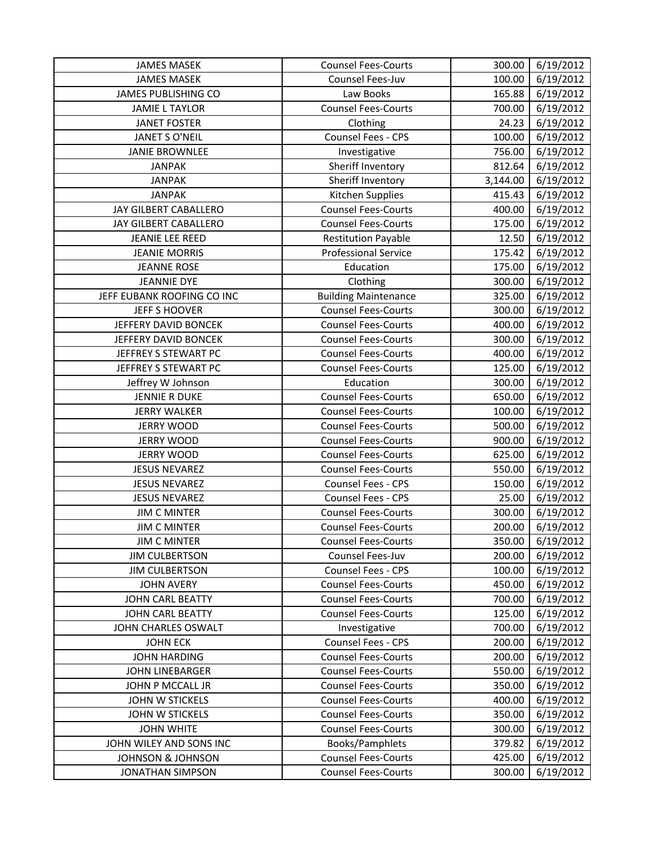| <b>JAMES MASEK</b>           | <b>Counsel Fees-Courts</b>  | 300.00   | 6/19/2012 |
|------------------------------|-----------------------------|----------|-----------|
| <b>JAMES MASEK</b>           | Counsel Fees-Juv            | 100.00   | 6/19/2012 |
| <b>JAMES PUBLISHING CO</b>   | Law Books                   | 165.88   | 6/19/2012 |
| <b>JAMIE L TAYLOR</b>        | <b>Counsel Fees-Courts</b>  | 700.00   | 6/19/2012 |
| <b>JANET FOSTER</b>          | Clothing                    | 24.23    | 6/19/2012 |
| <b>JANET S O'NEIL</b>        | Counsel Fees - CPS          | 100.00   | 6/19/2012 |
| <b>JANIE BROWNLEE</b>        | Investigative               | 756.00   | 6/19/2012 |
| <b>JANPAK</b>                | Sheriff Inventory           | 812.64   | 6/19/2012 |
| <b>JANPAK</b>                | Sheriff Inventory           | 3,144.00 | 6/19/2012 |
| <b>JANPAK</b>                | Kitchen Supplies            | 415.43   | 6/19/2012 |
| JAY GILBERT CABALLERO        | <b>Counsel Fees-Courts</b>  | 400.00   | 6/19/2012 |
| JAY GILBERT CABALLERO        | <b>Counsel Fees-Courts</b>  | 175.00   | 6/19/2012 |
| <b>JEANIE LEE REED</b>       | <b>Restitution Payable</b>  | 12.50    | 6/19/2012 |
| <b>JEANIE MORRIS</b>         | <b>Professional Service</b> | 175.42   | 6/19/2012 |
| <b>JEANNE ROSE</b>           | Education                   | 175.00   | 6/19/2012 |
| <b>JEANNIE DYE</b>           | Clothing                    | 300.00   | 6/19/2012 |
| JEFF EUBANK ROOFING CO INC   | <b>Building Maintenance</b> | 325.00   | 6/19/2012 |
| JEFF S HOOVER                | <b>Counsel Fees-Courts</b>  | 300.00   | 6/19/2012 |
| JEFFERY DAVID BONCEK         | <b>Counsel Fees-Courts</b>  | 400.00   | 6/19/2012 |
| JEFFERY DAVID BONCEK         | <b>Counsel Fees-Courts</b>  | 300.00   | 6/19/2012 |
| JEFFREY S STEWART PC         | <b>Counsel Fees-Courts</b>  | 400.00   | 6/19/2012 |
| JEFFREY S STEWART PC         | <b>Counsel Fees-Courts</b>  | 125.00   | 6/19/2012 |
| Jeffrey W Johnson            | Education                   | 300.00   | 6/19/2012 |
| <b>JENNIE R DUKE</b>         | <b>Counsel Fees-Courts</b>  | 650.00   | 6/19/2012 |
| <b>JERRY WALKER</b>          | <b>Counsel Fees-Courts</b>  | 100.00   | 6/19/2012 |
| <b>JERRY WOOD</b>            | <b>Counsel Fees-Courts</b>  | 500.00   | 6/19/2012 |
| <b>JERRY WOOD</b>            | <b>Counsel Fees-Courts</b>  | 900.00   | 6/19/2012 |
| <b>JERRY WOOD</b>            | <b>Counsel Fees-Courts</b>  | 625.00   | 6/19/2012 |
| <b>JESUS NEVAREZ</b>         | <b>Counsel Fees-Courts</b>  | 550.00   | 6/19/2012 |
| <b>JESUS NEVAREZ</b>         | Counsel Fees - CPS          | 150.00   | 6/19/2012 |
| <b>JESUS NEVAREZ</b>         | Counsel Fees - CPS          | 25.00    | 6/19/2012 |
| <b>JIM C MINTER</b>          | <b>Counsel Fees-Courts</b>  | 300.00   | 6/19/2012 |
| <b>JIM C MINTER</b>          | <b>Counsel Fees-Courts</b>  | 200.00   | 6/19/2012 |
| <b>JIM C MINTER</b>          | <b>Counsel Fees-Courts</b>  | 350.00   | 6/19/2012 |
| <b>JIM CULBERTSON</b>        | Counsel Fees-Juv            | 200.00   | 6/19/2012 |
| <b>JIM CULBERTSON</b>        | <b>Counsel Fees - CPS</b>   | 100.00   | 6/19/2012 |
| <b>JOHN AVERY</b>            | <b>Counsel Fees-Courts</b>  | 450.00   | 6/19/2012 |
| JOHN CARL BEATTY             | <b>Counsel Fees-Courts</b>  | 700.00   | 6/19/2012 |
| <b>JOHN CARL BEATTY</b>      | <b>Counsel Fees-Courts</b>  | 125.00   | 6/19/2012 |
| JOHN CHARLES OSWALT          | Investigative               | 700.00   | 6/19/2012 |
| <b>JOHN ECK</b>              | Counsel Fees - CPS          | 200.00   | 6/19/2012 |
| <b>JOHN HARDING</b>          | <b>Counsel Fees-Courts</b>  | 200.00   | 6/19/2012 |
| <b>JOHN LINEBARGER</b>       | <b>Counsel Fees-Courts</b>  | 550.00   | 6/19/2012 |
| JOHN P MCCALL JR             | <b>Counsel Fees-Courts</b>  | 350.00   | 6/19/2012 |
| <b>JOHN W STICKELS</b>       | <b>Counsel Fees-Courts</b>  | 400.00   | 6/19/2012 |
| <b>JOHN W STICKELS</b>       | <b>Counsel Fees-Courts</b>  | 350.00   | 6/19/2012 |
| <b>JOHN WHITE</b>            | <b>Counsel Fees-Courts</b>  | 300.00   | 6/19/2012 |
| JOHN WILEY AND SONS INC      | Books/Pamphlets             | 379.82   | 6/19/2012 |
| <b>JOHNSON &amp; JOHNSON</b> | <b>Counsel Fees-Courts</b>  | 425.00   | 6/19/2012 |
| <b>JONATHAN SIMPSON</b>      | <b>Counsel Fees-Courts</b>  | 300.00   | 6/19/2012 |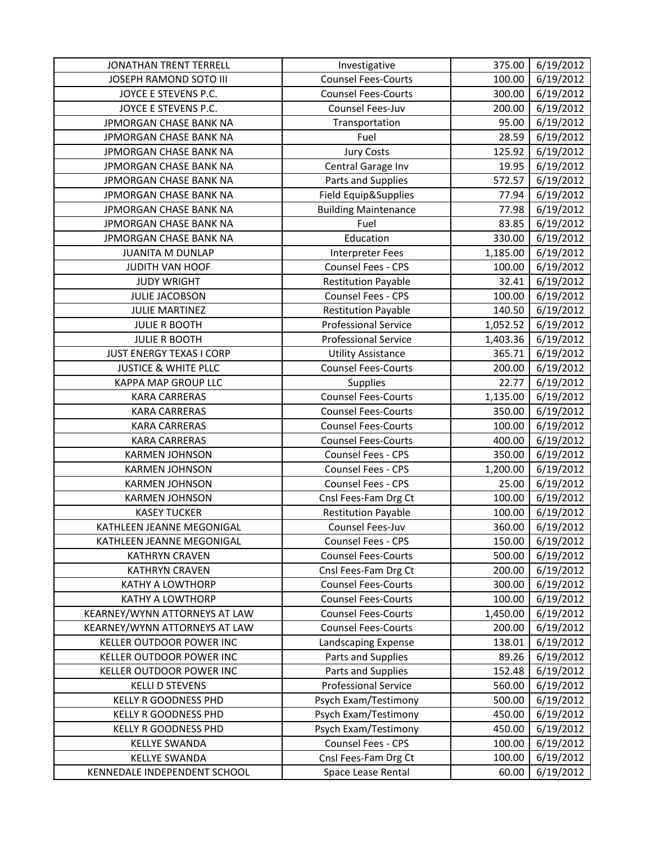| <b>JONATHAN TRENT TERRELL</b>   | Investigative               | 375.00   | 6/19/2012 |
|---------------------------------|-----------------------------|----------|-----------|
| JOSEPH RAMOND SOTO III          | <b>Counsel Fees-Courts</b>  | 100.00   | 6/19/2012 |
| JOYCE E STEVENS P.C.            | <b>Counsel Fees-Courts</b>  | 300.00   | 6/19/2012 |
| JOYCE E STEVENS P.C.            | Counsel Fees-Juv            | 200.00   | 6/19/2012 |
| JPMORGAN CHASE BANK NA          | Transportation              | 95.00    | 6/19/2012 |
| JPMORGAN CHASE BANK NA          | Fuel                        | 28.59    | 6/19/2012 |
| JPMORGAN CHASE BANK NA          | <b>Jury Costs</b>           | 125.92   | 6/19/2012 |
| JPMORGAN CHASE BANK NA          | Central Garage Inv          | 19.95    | 6/19/2012 |
| JPMORGAN CHASE BANK NA          | Parts and Supplies          | 572.57   | 6/19/2012 |
| JPMORGAN CHASE BANK NA          | Field Equip&Supplies        | 77.94    | 6/19/2012 |
| JPMORGAN CHASE BANK NA          | <b>Building Maintenance</b> | 77.98    | 6/19/2012 |
| JPMORGAN CHASE BANK NA          | Fuel                        | 83.85    | 6/19/2012 |
| JPMORGAN CHASE BANK NA          | Education                   | 330.00   | 6/19/2012 |
| <b>JUANITA M DUNLAP</b>         | <b>Interpreter Fees</b>     | 1,185.00 | 6/19/2012 |
| <b>JUDITH VAN HOOF</b>          | Counsel Fees - CPS          | 100.00   | 6/19/2012 |
| <b>JUDY WRIGHT</b>              | <b>Restitution Payable</b>  | 32.41    | 6/19/2012 |
| <b>JULIE JACOBSON</b>           | Counsel Fees - CPS          | 100.00   | 6/19/2012 |
| <b>JULIE MARTINEZ</b>           | <b>Restitution Payable</b>  | 140.50   | 6/19/2012 |
| <b>JULIE R BOOTH</b>            | <b>Professional Service</b> | 1,052.52 | 6/19/2012 |
| <b>JULIE R BOOTH</b>            | <b>Professional Service</b> | 1,403.36 | 6/19/2012 |
| <b>JUST ENERGY TEXAS I CORP</b> | <b>Utility Assistance</b>   | 365.71   | 6/19/2012 |
| <b>JUSTICE &amp; WHITE PLLC</b> | <b>Counsel Fees-Courts</b>  | 200.00   | 6/19/2012 |
| KAPPA MAP GROUP LLC             | Supplies                    | 22.77    | 6/19/2012 |
| <b>KARA CARRERAS</b>            | <b>Counsel Fees-Courts</b>  | 1,135.00 | 6/19/2012 |
| <b>KARA CARRERAS</b>            | <b>Counsel Fees-Courts</b>  | 350.00   | 6/19/2012 |
| <b>KARA CARRERAS</b>            | <b>Counsel Fees-Courts</b>  | 100.00   | 6/19/2012 |
| <b>KARA CARRERAS</b>            | <b>Counsel Fees-Courts</b>  | 400.00   | 6/19/2012 |
| <b>KARMEN JOHNSON</b>           | Counsel Fees - CPS          | 350.00   | 6/19/2012 |
| <b>KARMEN JOHNSON</b>           | Counsel Fees - CPS          | 1,200.00 | 6/19/2012 |
| <b>KARMEN JOHNSON</b>           | <b>Counsel Fees - CPS</b>   | 25.00    | 6/19/2012 |
| <b>KARMEN JOHNSON</b>           | Cnsl Fees-Fam Drg Ct        | 100.00   | 6/19/2012 |
| <b>KASEY TUCKER</b>             | <b>Restitution Payable</b>  | 100.00   | 6/19/2012 |
| KATHLEEN JEANNE MEGONIGAL       | Counsel Fees-Juv            | 360.00   | 6/19/2012 |
| KATHLEEN JEANNE MEGONIGAL       | Counsel Fees - CPS          | 150.00   | 6/19/2012 |
| <b>KATHRYN CRAVEN</b>           | <b>Counsel Fees-Courts</b>  | 500.00   | 6/19/2012 |
| <b>KATHRYN CRAVEN</b>           | Cnsl Fees-Fam Drg Ct        | 200.00   | 6/19/2012 |
| KATHY A LOWTHORP                | <b>Counsel Fees-Courts</b>  | 300.00   | 6/19/2012 |
| <b>KATHY A LOWTHORP</b>         | <b>Counsel Fees-Courts</b>  | 100.00   | 6/19/2012 |
| KEARNEY/WYNN ATTORNEYS AT LAW   | <b>Counsel Fees-Courts</b>  | 1,450.00 | 6/19/2012 |
| KEARNEY/WYNN ATTORNEYS AT LAW   | <b>Counsel Fees-Courts</b>  | 200.00   | 6/19/2012 |
| <b>KELLER OUTDOOR POWER INC</b> | Landscaping Expense         | 138.01   | 6/19/2012 |
| <b>KELLER OUTDOOR POWER INC</b> | Parts and Supplies          | 89.26    | 6/19/2012 |
| KELLER OUTDOOR POWER INC        | Parts and Supplies          | 152.48   | 6/19/2012 |
| <b>KELLI D STEVENS</b>          | <b>Professional Service</b> | 560.00   | 6/19/2012 |
| KELLY R GOODNESS PHD            | Psych Exam/Testimony        | 500.00   | 6/19/2012 |
| KELLY R GOODNESS PHD            | Psych Exam/Testimony        | 450.00   | 6/19/2012 |
| KELLY R GOODNESS PHD            | Psych Exam/Testimony        | 450.00   | 6/19/2012 |
| <b>KELLYE SWANDA</b>            | Counsel Fees - CPS          | 100.00   | 6/19/2012 |
| <b>KELLYE SWANDA</b>            | Cnsl Fees-Fam Drg Ct        | 100.00   | 6/19/2012 |
| KENNEDALE INDEPENDENT SCHOOL    | Space Lease Rental          | 60.00    | 6/19/2012 |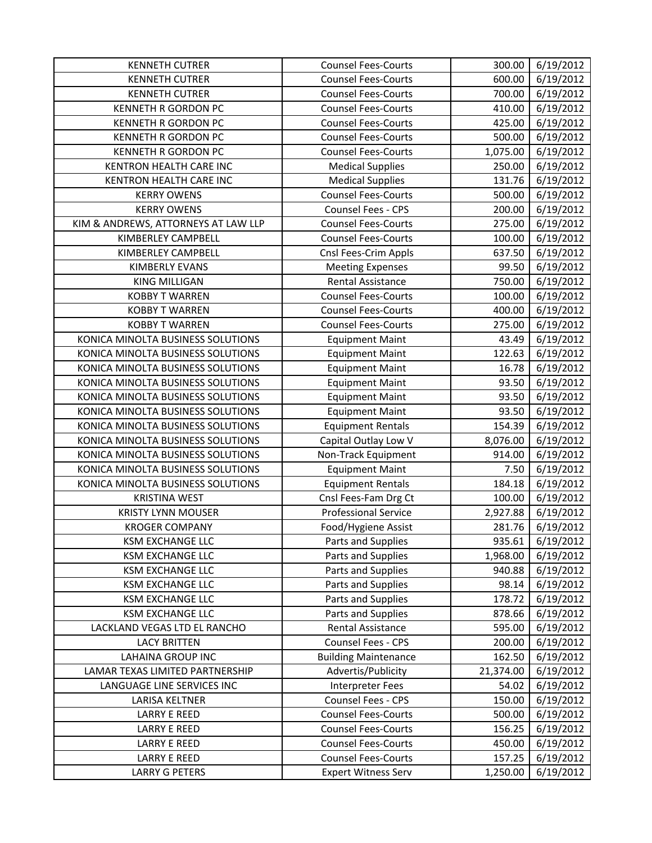| <b>KENNETH CUTRER</b>                        | <b>Counsel Fees-Courts</b>                               | 300.00             | 6/19/2012              |
|----------------------------------------------|----------------------------------------------------------|--------------------|------------------------|
| <b>KENNETH CUTRER</b>                        | <b>Counsel Fees-Courts</b>                               | 600.00             | 6/19/2012              |
| <b>KENNETH CUTRER</b>                        | <b>Counsel Fees-Courts</b>                               | 700.00             | 6/19/2012              |
| <b>KENNETH R GORDON PC</b>                   | <b>Counsel Fees-Courts</b>                               | 410.00             | 6/19/2012              |
| <b>KENNETH R GORDON PC</b>                   | <b>Counsel Fees-Courts</b>                               | 425.00             | 6/19/2012              |
| <b>KENNETH R GORDON PC</b>                   | <b>Counsel Fees-Courts</b>                               | 500.00             | 6/19/2012              |
| <b>KENNETH R GORDON PC</b>                   | <b>Counsel Fees-Courts</b>                               | 1,075.00           | 6/19/2012              |
| KENTRON HEALTH CARE INC                      | <b>Medical Supplies</b>                                  | 250.00             | 6/19/2012              |
| KENTRON HEALTH CARE INC                      | <b>Medical Supplies</b>                                  | 131.76             | 6/19/2012              |
| <b>KERRY OWENS</b>                           | <b>Counsel Fees-Courts</b>                               | 500.00             | 6/19/2012              |
| <b>KERRY OWENS</b>                           | Counsel Fees - CPS                                       | 200.00             | 6/19/2012              |
| KIM & ANDREWS, ATTORNEYS AT LAW LLP          | <b>Counsel Fees-Courts</b>                               | 275.00             | 6/19/2012              |
| KIMBERLEY CAMPBELL                           | <b>Counsel Fees-Courts</b>                               | 100.00             | 6/19/2012              |
| KIMBERLEY CAMPBELL                           | Cnsl Fees-Crim Appls                                     | 637.50             | 6/19/2012              |
| <b>KIMBERLY EVANS</b>                        | <b>Meeting Expenses</b>                                  | 99.50              | 6/19/2012              |
| <b>KING MILLIGAN</b>                         | <b>Rental Assistance</b>                                 | 750.00             | 6/19/2012              |
| <b>KOBBY T WARREN</b>                        | <b>Counsel Fees-Courts</b>                               | 100.00             | 6/19/2012              |
| <b>KOBBY T WARREN</b>                        | <b>Counsel Fees-Courts</b>                               | 400.00             | 6/19/2012              |
| <b>KOBBY T WARREN</b>                        | <b>Counsel Fees-Courts</b>                               | 275.00             | 6/19/2012              |
| KONICA MINOLTA BUSINESS SOLUTIONS            | <b>Equipment Maint</b>                                   | 43.49              | 6/19/2012              |
| KONICA MINOLTA BUSINESS SOLUTIONS            | <b>Equipment Maint</b>                                   | 122.63             | 6/19/2012              |
| KONICA MINOLTA BUSINESS SOLUTIONS            | <b>Equipment Maint</b>                                   | 16.78              | 6/19/2012              |
| KONICA MINOLTA BUSINESS SOLUTIONS            | <b>Equipment Maint</b>                                   | 93.50              | 6/19/2012              |
| KONICA MINOLTA BUSINESS SOLUTIONS            | <b>Equipment Maint</b>                                   | 93.50              | 6/19/2012              |
| KONICA MINOLTA BUSINESS SOLUTIONS            | <b>Equipment Maint</b>                                   | 93.50              | 6/19/2012              |
| KONICA MINOLTA BUSINESS SOLUTIONS            | <b>Equipment Rentals</b>                                 | 154.39             | 6/19/2012              |
| KONICA MINOLTA BUSINESS SOLUTIONS            | Capital Outlay Low V                                     | 8,076.00           | 6/19/2012              |
| KONICA MINOLTA BUSINESS SOLUTIONS            | Non-Track Equipment                                      | 914.00             | 6/19/2012              |
| KONICA MINOLTA BUSINESS SOLUTIONS            | <b>Equipment Maint</b>                                   | 7.50               | 6/19/2012              |
| KONICA MINOLTA BUSINESS SOLUTIONS            | <b>Equipment Rentals</b>                                 | 184.18             | 6/19/2012              |
| <b>KRISTINA WEST</b>                         | Cnsl Fees-Fam Drg Ct                                     | 100.00             | 6/19/2012              |
| <b>KRISTY LYNN MOUSER</b>                    | <b>Professional Service</b>                              | 2,927.88           | 6/19/2012              |
| <b>KROGER COMPANY</b>                        | Food/Hygiene Assist                                      | 281.76             | 6/19/2012              |
| <b>KSM EXCHANGE LLC</b>                      | Parts and Supplies                                       | 935.61             | 6/19/2012              |
| <b>KSM EXCHANGE LLC</b>                      | Parts and Supplies                                       | 1,968.00           | 6/19/2012              |
| <b>KSM EXCHANGE LLC</b>                      | Parts and Supplies                                       | 940.88             | 6/19/2012              |
| <b>KSM EXCHANGE LLC</b>                      | Parts and Supplies                                       | 98.14              | 6/19/2012              |
| <b>KSM EXCHANGE LLC</b>                      | Parts and Supplies                                       | 178.72             | 6/19/2012              |
| <b>KSM EXCHANGE LLC</b>                      | Parts and Supplies                                       | 878.66             | 6/19/2012              |
| LACKLAND VEGAS LTD EL RANCHO                 | Rental Assistance                                        | 595.00             | 6/19/2012              |
| <b>LACY BRITTEN</b>                          | Counsel Fees - CPS                                       | 200.00             | 6/19/2012              |
| <b>LAHAINA GROUP INC</b>                     | <b>Building Maintenance</b>                              | 162.50             | 6/19/2012              |
| LAMAR TEXAS LIMITED PARTNERSHIP              | Advertis/Publicity                                       | 21,374.00          | 6/19/2012              |
| LANGUAGE LINE SERVICES INC                   | <b>Interpreter Fees</b>                                  | 54.02              | 6/19/2012              |
| LARISA KELTNER                               | Counsel Fees - CPS                                       | 150.00             | 6/19/2012              |
| <b>LARRY E REED</b>                          | <b>Counsel Fees-Courts</b>                               | 500.00             | 6/19/2012              |
| <b>LARRY E REED</b>                          |                                                          |                    |                        |
|                                              | <b>Counsel Fees-Courts</b>                               | 156.25             | 6/19/2012              |
| <b>LARRY E REED</b>                          | <b>Counsel Fees-Courts</b>                               | 450.00             | 6/19/2012              |
| <b>LARRY E REED</b><br><b>LARRY G PETERS</b> | <b>Counsel Fees-Courts</b><br><b>Expert Witness Serv</b> | 157.25<br>1,250.00 | 6/19/2012<br>6/19/2012 |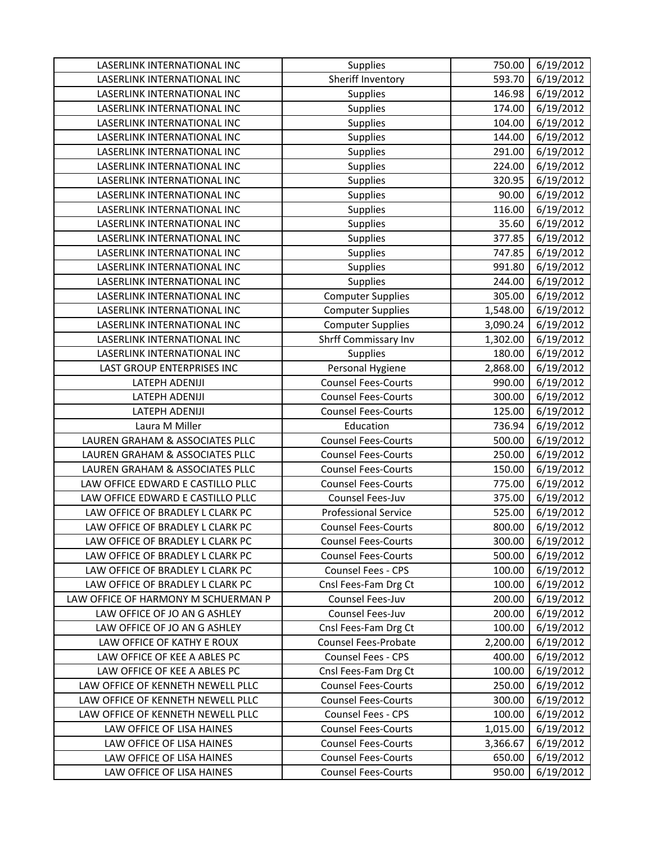| LASERLINK INTERNATIONAL INC         | Supplies                    | 750.00   | 6/19/2012 |
|-------------------------------------|-----------------------------|----------|-----------|
| LASERLINK INTERNATIONAL INC         | Sheriff Inventory           | 593.70   | 6/19/2012 |
| LASERLINK INTERNATIONAL INC         | Supplies                    | 146.98   | 6/19/2012 |
| LASERLINK INTERNATIONAL INC         | Supplies                    | 174.00   | 6/19/2012 |
| LASERLINK INTERNATIONAL INC         | Supplies                    | 104.00   | 6/19/2012 |
| LASERLINK INTERNATIONAL INC         | Supplies                    | 144.00   | 6/19/2012 |
| LASERLINK INTERNATIONAL INC         | Supplies                    | 291.00   | 6/19/2012 |
| LASERLINK INTERNATIONAL INC         | Supplies                    | 224.00   | 6/19/2012 |
| LASERLINK INTERNATIONAL INC         | Supplies                    | 320.95   | 6/19/2012 |
| LASERLINK INTERNATIONAL INC         | Supplies                    | 90.00    | 6/19/2012 |
| LASERLINK INTERNATIONAL INC         | Supplies                    | 116.00   | 6/19/2012 |
| LASERLINK INTERNATIONAL INC         | Supplies                    | 35.60    | 6/19/2012 |
| LASERLINK INTERNATIONAL INC         | Supplies                    | 377.85   | 6/19/2012 |
| LASERLINK INTERNATIONAL INC         | Supplies                    | 747.85   | 6/19/2012 |
| LASERLINK INTERNATIONAL INC         | Supplies                    | 991.80   | 6/19/2012 |
| LASERLINK INTERNATIONAL INC         | Supplies                    | 244.00   | 6/19/2012 |
| LASERLINK INTERNATIONAL INC         | <b>Computer Supplies</b>    | 305.00   | 6/19/2012 |
| LASERLINK INTERNATIONAL INC         | <b>Computer Supplies</b>    | 1,548.00 | 6/19/2012 |
| LASERLINK INTERNATIONAL INC         | <b>Computer Supplies</b>    | 3,090.24 | 6/19/2012 |
| LASERLINK INTERNATIONAL INC         | Shrff Commissary Inv        | 1,302.00 | 6/19/2012 |
| LASERLINK INTERNATIONAL INC         | Supplies                    | 180.00   | 6/19/2012 |
| LAST GROUP ENTERPRISES INC          | Personal Hygiene            | 2,868.00 | 6/19/2012 |
| LATEPH ADENIJI                      | <b>Counsel Fees-Courts</b>  | 990.00   | 6/19/2012 |
| <b>LATEPH ADENIJI</b>               | <b>Counsel Fees-Courts</b>  | 300.00   | 6/19/2012 |
| <b>LATEPH ADENIJI</b>               | <b>Counsel Fees-Courts</b>  | 125.00   | 6/19/2012 |
| Laura M Miller                      | Education                   | 736.94   | 6/19/2012 |
|                                     |                             |          |           |
| LAUREN GRAHAM & ASSOCIATES PLLC     | <b>Counsel Fees-Courts</b>  | 500.00   | 6/19/2012 |
| LAUREN GRAHAM & ASSOCIATES PLLC     | <b>Counsel Fees-Courts</b>  | 250.00   | 6/19/2012 |
| LAUREN GRAHAM & ASSOCIATES PLLC     | <b>Counsel Fees-Courts</b>  | 150.00   | 6/19/2012 |
| LAW OFFICE EDWARD E CASTILLO PLLC   | <b>Counsel Fees-Courts</b>  | 775.00   | 6/19/2012 |
| LAW OFFICE EDWARD E CASTILLO PLLC   | Counsel Fees-Juv            | 375.00   | 6/19/2012 |
| LAW OFFICE OF BRADLEY L CLARK PC    | <b>Professional Service</b> | 525.00   | 6/19/2012 |
| LAW OFFICE OF BRADLEY L CLARK PC    | <b>Counsel Fees-Courts</b>  | 800.00   | 6/19/2012 |
| LAW OFFICE OF BRADLEY L CLARK PC    | <b>Counsel Fees-Courts</b>  | 300.00   | 6/19/2012 |
| LAW OFFICE OF BRADLEY L CLARK PC    | <b>Counsel Fees-Courts</b>  | 500.00   | 6/19/2012 |
| LAW OFFICE OF BRADLEY L CLARK PC    | Counsel Fees - CPS          | 100.00   | 6/19/2012 |
| LAW OFFICE OF BRADLEY L CLARK PC    | Cnsl Fees-Fam Drg Ct        | 100.00   | 6/19/2012 |
| LAW OFFICE OF HARMONY M SCHUERMAN P | Counsel Fees-Juv            | 200.00   | 6/19/2012 |
| LAW OFFICE OF JO AN G ASHLEY        | Counsel Fees-Juv            | 200.00   | 6/19/2012 |
| LAW OFFICE OF JO AN G ASHLEY        | Cnsl Fees-Fam Drg Ct        | 100.00   | 6/19/2012 |
| LAW OFFICE OF KATHY E ROUX          | <b>Counsel Fees-Probate</b> | 2,200.00 | 6/19/2012 |
| LAW OFFICE OF KEE A ABLES PC        | Counsel Fees - CPS          | 400.00   | 6/19/2012 |
| LAW OFFICE OF KEE A ABLES PC        | Cnsl Fees-Fam Drg Ct        | 100.00   | 6/19/2012 |
| LAW OFFICE OF KENNETH NEWELL PLLC   | <b>Counsel Fees-Courts</b>  | 250.00   | 6/19/2012 |
| LAW OFFICE OF KENNETH NEWELL PLLC   | <b>Counsel Fees-Courts</b>  | 300.00   | 6/19/2012 |
| LAW OFFICE OF KENNETH NEWELL PLLC   | Counsel Fees - CPS          | 100.00   | 6/19/2012 |
| LAW OFFICE OF LISA HAINES           | <b>Counsel Fees-Courts</b>  | 1,015.00 | 6/19/2012 |
| LAW OFFICE OF LISA HAINES           | <b>Counsel Fees-Courts</b>  | 3,366.67 | 6/19/2012 |
| LAW OFFICE OF LISA HAINES           | <b>Counsel Fees-Courts</b>  | 650.00   | 6/19/2012 |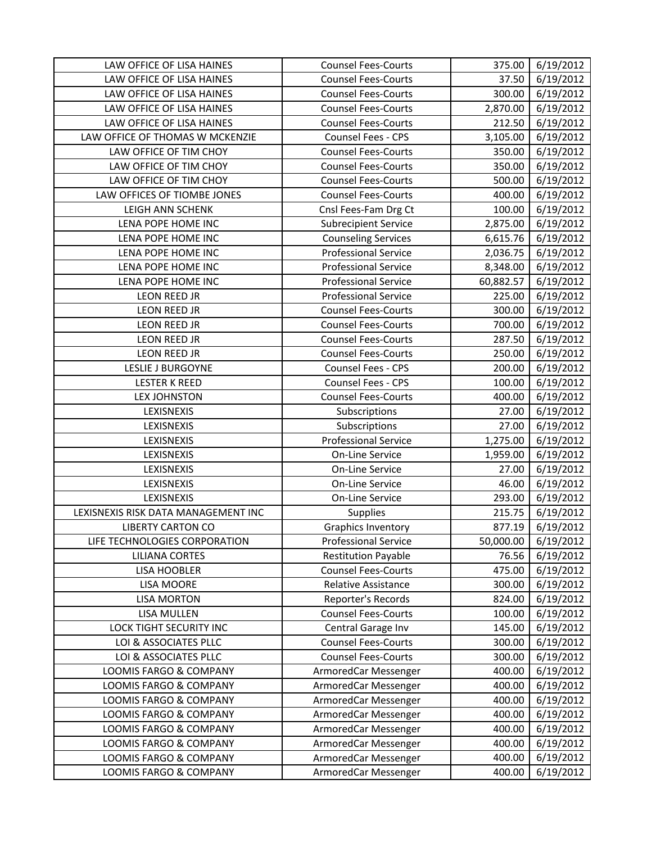| LAW OFFICE OF LISA HAINES                        | <b>Counsel Fees-Courts</b>                   | 375.00           | 6/19/2012              |
|--------------------------------------------------|----------------------------------------------|------------------|------------------------|
| LAW OFFICE OF LISA HAINES                        | <b>Counsel Fees-Courts</b>                   | 37.50            | 6/19/2012              |
| LAW OFFICE OF LISA HAINES                        | <b>Counsel Fees-Courts</b>                   | 300.00           | 6/19/2012              |
| LAW OFFICE OF LISA HAINES                        | <b>Counsel Fees-Courts</b>                   | 2,870.00         | 6/19/2012              |
| LAW OFFICE OF LISA HAINES                        | <b>Counsel Fees-Courts</b>                   | 212.50           | 6/19/2012              |
| LAW OFFICE OF THOMAS W MCKENZIE                  | Counsel Fees - CPS                           | 3,105.00         | 6/19/2012              |
| LAW OFFICE OF TIM CHOY                           | <b>Counsel Fees-Courts</b>                   | 350.00           | 6/19/2012              |
| LAW OFFICE OF TIM CHOY                           | <b>Counsel Fees-Courts</b>                   | 350.00           | 6/19/2012              |
| LAW OFFICE OF TIM CHOY                           | <b>Counsel Fees-Courts</b>                   | 500.00           | 6/19/2012              |
| LAW OFFICES OF TIOMBE JONES                      | <b>Counsel Fees-Courts</b>                   | 400.00           | 6/19/2012              |
| LEIGH ANN SCHENK                                 | Cnsl Fees-Fam Drg Ct                         | 100.00           | 6/19/2012              |
| LENA POPE HOME INC                               | <b>Subrecipient Service</b>                  | 2,875.00         | 6/19/2012              |
| LENA POPE HOME INC                               | <b>Counseling Services</b>                   | 6,615.76         | 6/19/2012              |
| LENA POPE HOME INC                               | <b>Professional Service</b>                  | 2,036.75         | 6/19/2012              |
| LENA POPE HOME INC                               | <b>Professional Service</b>                  | 8,348.00         | 6/19/2012              |
| LENA POPE HOME INC                               | <b>Professional Service</b>                  | 60,882.57        | 6/19/2012              |
| <b>LEON REED JR</b>                              | <b>Professional Service</b>                  | 225.00           | 6/19/2012              |
| LEON REED JR                                     | <b>Counsel Fees-Courts</b>                   | 300.00           | 6/19/2012              |
| LEON REED JR                                     | <b>Counsel Fees-Courts</b>                   | 700.00           | 6/19/2012              |
| LEON REED JR                                     | <b>Counsel Fees-Courts</b>                   | 287.50           | 6/19/2012              |
| LEON REED JR                                     | <b>Counsel Fees-Courts</b>                   | 250.00           | 6/19/2012              |
| <b>LESLIE J BURGOYNE</b>                         | Counsel Fees - CPS                           | 200.00           | 6/19/2012              |
| <b>LESTER K REED</b>                             | Counsel Fees - CPS                           | 100.00           | 6/19/2012              |
| <b>LEX JOHNSTON</b>                              | <b>Counsel Fees-Courts</b>                   | 400.00           | 6/19/2012              |
| LEXISNEXIS                                       | Subscriptions                                | 27.00            | 6/19/2012              |
| LEXISNEXIS                                       | Subscriptions                                | 27.00            | 6/19/2012              |
|                                                  |                                              |                  |                        |
| LEXISNEXIS                                       | <b>Professional Service</b>                  | 1,275.00         | 6/19/2012              |
| LEXISNEXIS                                       | On-Line Service                              | 1,959.00         | 6/19/2012              |
| LEXISNEXIS                                       | On-Line Service                              | 27.00            | 6/19/2012              |
| LEXISNEXIS                                       | <b>On-Line Service</b>                       | 46.00            | 6/19/2012              |
| LEXISNEXIS                                       | On-Line Service                              | 293.00           | 6/19/2012              |
| LEXISNEXIS RISK DATA MANAGEMENT INC              | Supplies                                     | 215.75           | 6/19/2012              |
| <b>LIBERTY CARTON CO</b>                         | <b>Graphics Inventory</b>                    | 877.19           | 6/19/2012              |
| LIFE TECHNOLOGIES CORPORATION                    | <b>Professional Service</b>                  | 50,000.00        | 6/19/2012              |
| <b>LILIANA CORTES</b>                            | <b>Restitution Payable</b>                   | 76.56            | 6/19/2012              |
| LISA HOOBLER                                     | <b>Counsel Fees-Courts</b>                   | 475.00           | 6/19/2012              |
| LISA MOORE                                       | Relative Assistance                          | 300.00           | 6/19/2012              |
| <b>LISA MORTON</b>                               | Reporter's Records                           | 824.00           | 6/19/2012              |
| LISA MULLEN                                      | <b>Counsel Fees-Courts</b>                   | 100.00           | 6/19/2012              |
| LOCK TIGHT SECURITY INC                          | Central Garage Inv                           | 145.00           | 6/19/2012              |
| LOI & ASSOCIATES PLLC                            | <b>Counsel Fees-Courts</b>                   | 300.00           | 6/19/2012              |
| LOI & ASSOCIATES PLLC                            | <b>Counsel Fees-Courts</b>                   | 300.00           | 6/19/2012              |
| LOOMIS FARGO & COMPANY                           | ArmoredCar Messenger                         | 400.00           | 6/19/2012              |
| LOOMIS FARGO & COMPANY                           | ArmoredCar Messenger                         | 400.00           | 6/19/2012              |
| LOOMIS FARGO & COMPANY                           | ArmoredCar Messenger                         | 400.00           | 6/19/2012              |
| LOOMIS FARGO & COMPANY                           | ArmoredCar Messenger                         | 400.00           | 6/19/2012              |
| LOOMIS FARGO & COMPANY                           | ArmoredCar Messenger                         | 400.00           | 6/19/2012              |
| LOOMIS FARGO & COMPANY                           | ArmoredCar Messenger                         | 400.00           | 6/19/2012              |
| LOOMIS FARGO & COMPANY<br>LOOMIS FARGO & COMPANY | ArmoredCar Messenger<br>ArmoredCar Messenger | 400.00<br>400.00 | 6/19/2012<br>6/19/2012 |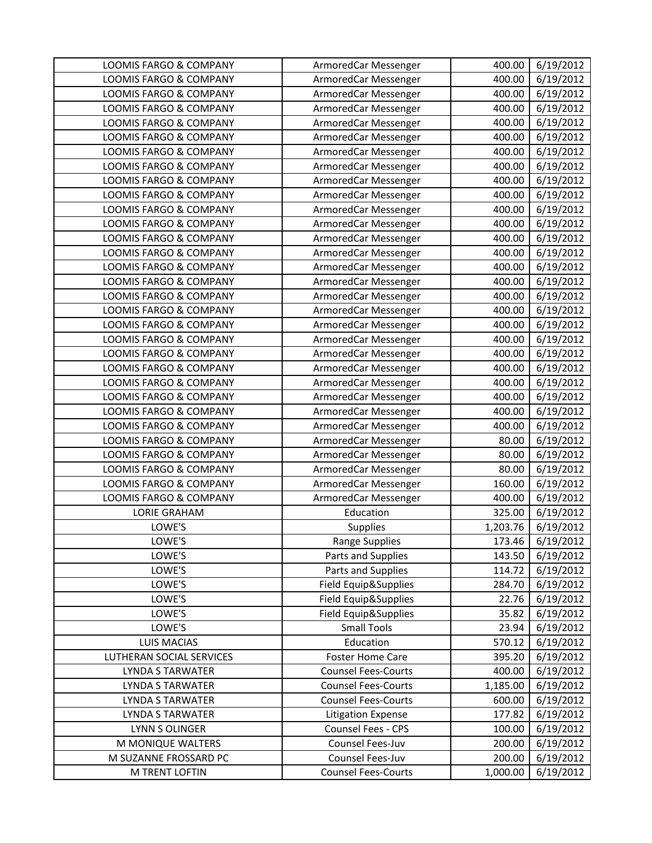| LOOMIS FARGO & COMPANY                  | ArmoredCar Messenger                           | 400.00             | 6/19/2012              |
|-----------------------------------------|------------------------------------------------|--------------------|------------------------|
| LOOMIS FARGO & COMPANY                  | ArmoredCar Messenger                           | 400.00             | 6/19/2012              |
| LOOMIS FARGO & COMPANY                  | ArmoredCar Messenger                           | 400.00             | 6/19/2012              |
| LOOMIS FARGO & COMPANY                  | ArmoredCar Messenger                           | 400.00             | 6/19/2012              |
| LOOMIS FARGO & COMPANY                  | ArmoredCar Messenger                           | 400.00             | 6/19/2012              |
| LOOMIS FARGO & COMPANY                  | ArmoredCar Messenger                           | 400.00             | 6/19/2012              |
| LOOMIS FARGO & COMPANY                  | ArmoredCar Messenger                           | 400.00             | 6/19/2012              |
| LOOMIS FARGO & COMPANY                  | ArmoredCar Messenger                           | 400.00             | 6/19/2012              |
| LOOMIS FARGO & COMPANY                  | ArmoredCar Messenger                           | 400.00             | 6/19/2012              |
| LOOMIS FARGO & COMPANY                  | ArmoredCar Messenger                           | 400.00             | 6/19/2012              |
| LOOMIS FARGO & COMPANY                  | ArmoredCar Messenger                           | 400.00             | 6/19/2012              |
| LOOMIS FARGO & COMPANY                  | ArmoredCar Messenger                           | 400.00             | 6/19/2012              |
| LOOMIS FARGO & COMPANY                  | ArmoredCar Messenger                           | 400.00             | 6/19/2012              |
| LOOMIS FARGO & COMPANY                  | ArmoredCar Messenger                           | 400.00             | 6/19/2012              |
| LOOMIS FARGO & COMPANY                  | ArmoredCar Messenger                           | 400.00             | 6/19/2012              |
| <b>LOOMIS FARGO &amp; COMPANY</b>       | ArmoredCar Messenger                           | 400.00             | 6/19/2012              |
| LOOMIS FARGO & COMPANY                  | ArmoredCar Messenger                           | 400.00             | 6/19/2012              |
| LOOMIS FARGO & COMPANY                  | ArmoredCar Messenger                           | 400.00             | 6/19/2012              |
| LOOMIS FARGO & COMPANY                  | ArmoredCar Messenger                           | 400.00             | 6/19/2012              |
| LOOMIS FARGO & COMPANY                  | ArmoredCar Messenger                           | 400.00             | 6/19/2012              |
| LOOMIS FARGO & COMPANY                  | ArmoredCar Messenger                           | 400.00             | 6/19/2012              |
| LOOMIS FARGO & COMPANY                  | ArmoredCar Messenger                           | 400.00             | 6/19/2012              |
| LOOMIS FARGO & COMPANY                  | ArmoredCar Messenger                           | 400.00             | 6/19/2012              |
| LOOMIS FARGO & COMPANY                  | ArmoredCar Messenger                           | 400.00             | 6/19/2012              |
| LOOMIS FARGO & COMPANY                  | ArmoredCar Messenger                           | 400.00             | 6/19/2012              |
| LOOMIS FARGO & COMPANY                  | ArmoredCar Messenger                           | 400.00             | 6/19/2012              |
| LOOMIS FARGO & COMPANY                  | ArmoredCar Messenger                           | 80.00              | 6/19/2012              |
| LOOMIS FARGO & COMPANY                  | ArmoredCar Messenger                           | 80.00              | 6/19/2012              |
| LOOMIS FARGO & COMPANY                  | ArmoredCar Messenger                           | 80.00              | 6/19/2012              |
| LOOMIS FARGO & COMPANY                  | ArmoredCar Messenger                           | 160.00             | 6/19/2012              |
| LOOMIS FARGO & COMPANY                  | ArmoredCar Messenger                           | 400.00             | 6/19/2012              |
| <b>LORIE GRAHAM</b>                     | Education                                      | 325.00             | 6/19/2012              |
| LOWE'S                                  | <b>Supplies</b>                                | 1,203.76           | 6/19/2012              |
| LOWE'S                                  | <b>Range Supplies</b>                          | 173.46             | 6/19/2012              |
| LOWE'S                                  | Parts and Supplies                             | 143.50             | 6/19/2012              |
| LOWE'S                                  | Parts and Supplies                             | 114.72             | 6/19/2012              |
| LOWE'S                                  | Field Equip&Supplies                           | 284.70             | 6/19/2012              |
| LOWE'S                                  | Field Equip&Supplies                           | 22.76              | 6/19/2012              |
| LOWE'S                                  | Field Equip&Supplies                           | 35.82              | 6/19/2012              |
| LOWE'S                                  | <b>Small Tools</b>                             | 23.94              | 6/19/2012              |
| <b>LUIS MACIAS</b>                      | Education                                      | 570.12             | 6/19/2012              |
| LUTHERAN SOCIAL SERVICES                | <b>Foster Home Care</b>                        | 395.20             | 6/19/2012              |
| LYNDA S TARWATER                        | <b>Counsel Fees-Courts</b>                     | 400.00             | 6/19/2012              |
| <b>LYNDA S TARWATER</b>                 | <b>Counsel Fees-Courts</b>                     | 1,185.00           | 6/19/2012              |
| LYNDA S TARWATER                        | <b>Counsel Fees-Courts</b>                     | 600.00             | 6/19/2012              |
| LYNDA S TARWATER                        | <b>Litigation Expense</b>                      | 177.82             | 6/19/2012              |
| LYNN S OLINGER                          | Counsel Fees - CPS                             | 100.00             | 6/19/2012              |
| M MONIQUE WALTERS                       | Counsel Fees-Juv                               | 200.00             | 6/19/2012              |
|                                         |                                                |                    |                        |
| M SUZANNE FROSSARD PC<br>M TRENT LOFTIN | Counsel Fees-Juv<br><b>Counsel Fees-Courts</b> | 200.00<br>1,000.00 | 6/19/2012<br>6/19/2012 |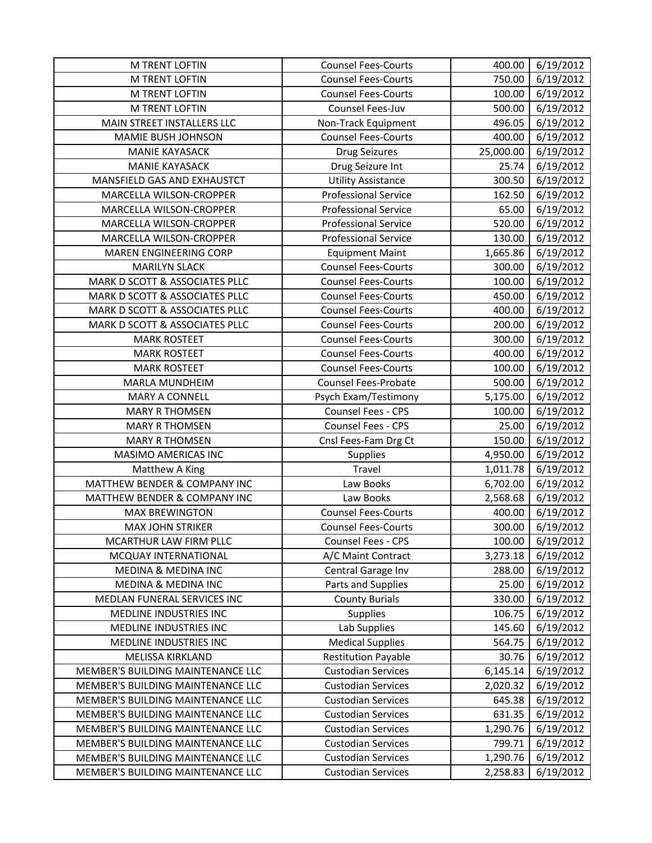| <b>M TRENT LOFTIN</b>             | <b>Counsel Fees-Courts</b>  | 400.00    | 6/19/2012 |
|-----------------------------------|-----------------------------|-----------|-----------|
| <b>M TRENT LOFTIN</b>             | <b>Counsel Fees-Courts</b>  | 750.00    | 6/19/2012 |
| M TRENT LOFTIN                    | <b>Counsel Fees-Courts</b>  | 100.00    | 6/19/2012 |
| M TRENT LOFTIN                    | Counsel Fees-Juv            | 500.00    | 6/19/2012 |
| MAIN STREET INSTALLERS LLC        | Non-Track Equipment         | 496.05    | 6/19/2012 |
| MAMIE BUSH JOHNSON                | <b>Counsel Fees-Courts</b>  | 400.00    | 6/19/2012 |
| <b>MANIE KAYASACK</b>             | <b>Drug Seizures</b>        | 25,000.00 | 6/19/2012 |
| <b>MANIE KAYASACK</b>             | Drug Seizure Int            | 25.74     | 6/19/2012 |
| MANSFIELD GAS AND EXHAUSTCT       | <b>Utility Assistance</b>   | 300.50    | 6/19/2012 |
| MARCELLA WILSON-CROPPER           | <b>Professional Service</b> | 162.50    | 6/19/2012 |
| MARCELLA WILSON-CROPPER           | <b>Professional Service</b> | 65.00     | 6/19/2012 |
| MARCELLA WILSON-CROPPER           | <b>Professional Service</b> | 520.00    | 6/19/2012 |
| MARCELLA WILSON-CROPPER           | <b>Professional Service</b> | 130.00    | 6/19/2012 |
| MAREN ENGINEERING CORP            | <b>Equipment Maint</b>      | 1,665.86  | 6/19/2012 |
| <b>MARILYN SLACK</b>              | <b>Counsel Fees-Courts</b>  | 300.00    | 6/19/2012 |
| MARK D SCOTT & ASSOCIATES PLLC    | <b>Counsel Fees-Courts</b>  | 100.00    | 6/19/2012 |
| MARK D SCOTT & ASSOCIATES PLLC    | <b>Counsel Fees-Courts</b>  | 450.00    | 6/19/2012 |
| MARK D SCOTT & ASSOCIATES PLLC    | <b>Counsel Fees-Courts</b>  | 400.00    | 6/19/2012 |
| MARK D SCOTT & ASSOCIATES PLLC    | <b>Counsel Fees-Courts</b>  | 200.00    | 6/19/2012 |
| <b>MARK ROSTEET</b>               | <b>Counsel Fees-Courts</b>  | 300.00    | 6/19/2012 |
| <b>MARK ROSTEET</b>               | <b>Counsel Fees-Courts</b>  | 400.00    | 6/19/2012 |
| <b>MARK ROSTEET</b>               | <b>Counsel Fees-Courts</b>  | 100.00    | 6/19/2012 |
| MARLA MUNDHEIM                    | <b>Counsel Fees-Probate</b> | 500.00    | 6/19/2012 |
| <b>MARY A CONNELL</b>             | Psych Exam/Testimony        | 5,175.00  | 6/19/2012 |
| <b>MARY R THOMSEN</b>             | Counsel Fees - CPS          | 100.00    | 6/19/2012 |
| <b>MARY R THOMSEN</b>             | Counsel Fees - CPS          | 25.00     | 6/19/2012 |
| <b>MARY R THOMSEN</b>             | Cnsl Fees-Fam Drg Ct        | 150.00    | 6/19/2012 |
| MASIMO AMERICAS INC               | <b>Supplies</b>             | 4,950.00  | 6/19/2012 |
| Matthew A King                    | Travel                      | 1,011.78  | 6/19/2012 |
| MATTHEW BENDER & COMPANY INC      | Law Books                   | 6,702.00  | 6/19/2012 |
| MATTHEW BENDER & COMPANY INC      | Law Books                   | 2,568.68  | 6/19/2012 |
| <b>MAX BREWINGTON</b>             | <b>Counsel Fees-Courts</b>  | 400.00    | 6/19/2012 |
| <b>MAX JOHN STRIKER</b>           | <b>Counsel Fees-Courts</b>  | 300.00    | 6/19/2012 |
| MCARTHUR LAW FIRM PLLC            | Counsel Fees - CPS          | 100.00    | 6/19/2012 |
| MCQUAY INTERNATIONAL              | A/C Maint Contract          | 3,273.18  | 6/19/2012 |
| MEDINA & MEDINA INC               | Central Garage Inv          | 288.00    | 6/19/2012 |
| MEDINA & MEDINA INC               | Parts and Supplies          | 25.00     | 6/19/2012 |
| MEDLAN FUNERAL SERVICES INC       | <b>County Burials</b>       | 330.00    | 6/19/2012 |
| MEDLINE INDUSTRIES INC            | <b>Supplies</b>             | 106.75    | 6/19/2012 |
| MEDLINE INDUSTRIES INC            | Lab Supplies                | 145.60    | 6/19/2012 |
| MEDLINE INDUSTRIES INC            | <b>Medical Supplies</b>     | 564.75    | 6/19/2012 |
| <b>MELISSA KIRKLAND</b>           | <b>Restitution Payable</b>  | 30.76     | 6/19/2012 |
| MEMBER'S BUILDING MAINTENANCE LLC | <b>Custodian Services</b>   | 6,145.14  | 6/19/2012 |
| MEMBER'S BUILDING MAINTENANCE LLC | <b>Custodian Services</b>   | 2,020.32  | 6/19/2012 |
| MEMBER'S BUILDING MAINTENANCE LLC | <b>Custodian Services</b>   | 645.38    | 6/19/2012 |
| MEMBER'S BUILDING MAINTENANCE LLC | <b>Custodian Services</b>   | 631.35    | 6/19/2012 |
| MEMBER'S BUILDING MAINTENANCE LLC | <b>Custodian Services</b>   | 1,290.76  | 6/19/2012 |
| MEMBER'S BUILDING MAINTENANCE LLC | <b>Custodian Services</b>   | 799.71    | 6/19/2012 |
| MEMBER'S BUILDING MAINTENANCE LLC | <b>Custodian Services</b>   | 1,290.76  | 6/19/2012 |
| MEMBER'S BUILDING MAINTENANCE LLC | <b>Custodian Services</b>   | 2,258.83  | 6/19/2012 |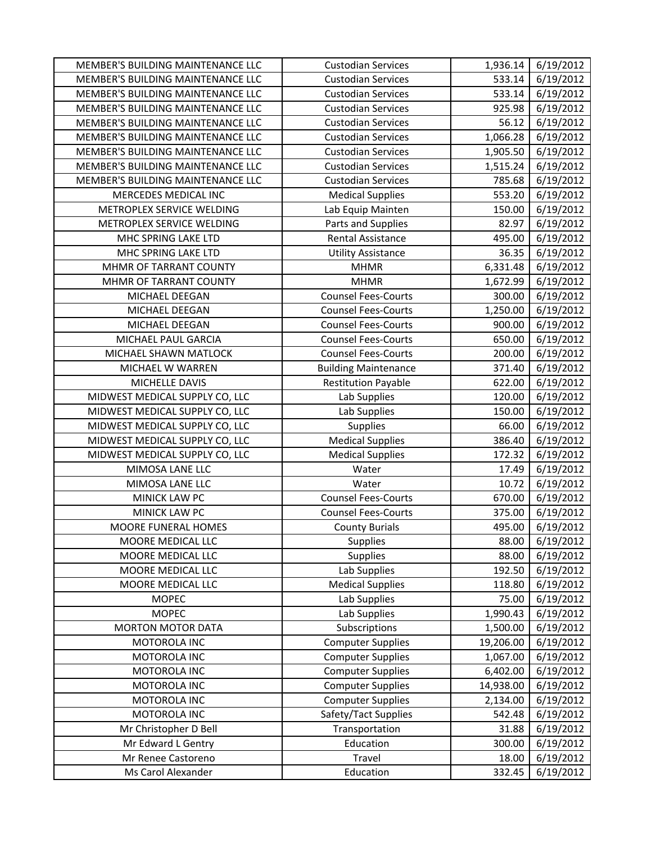| MEMBER'S BUILDING MAINTENANCE LLC | <b>Custodian Services</b>   | 1,936.14  | 6/19/2012 |
|-----------------------------------|-----------------------------|-----------|-----------|
| MEMBER'S BUILDING MAINTENANCE LLC | <b>Custodian Services</b>   | 533.14    | 6/19/2012 |
| MEMBER'S BUILDING MAINTENANCE LLC | <b>Custodian Services</b>   | 533.14    | 6/19/2012 |
| MEMBER'S BUILDING MAINTENANCE LLC | <b>Custodian Services</b>   | 925.98    | 6/19/2012 |
| MEMBER'S BUILDING MAINTENANCE LLC | <b>Custodian Services</b>   | 56.12     | 6/19/2012 |
| MEMBER'S BUILDING MAINTENANCE LLC | <b>Custodian Services</b>   | 1,066.28  | 6/19/2012 |
| MEMBER'S BUILDING MAINTENANCE LLC | <b>Custodian Services</b>   | 1,905.50  | 6/19/2012 |
| MEMBER'S BUILDING MAINTENANCE LLC | <b>Custodian Services</b>   | 1,515.24  | 6/19/2012 |
| MEMBER'S BUILDING MAINTENANCE LLC | <b>Custodian Services</b>   | 785.68    | 6/19/2012 |
| MERCEDES MEDICAL INC              | <b>Medical Supplies</b>     | 553.20    | 6/19/2012 |
| METROPLEX SERVICE WELDING         | Lab Equip Mainten           | 150.00    | 6/19/2012 |
| METROPLEX SERVICE WELDING         | Parts and Supplies          | 82.97     | 6/19/2012 |
| MHC SPRING LAKE LTD               | Rental Assistance           | 495.00    | 6/19/2012 |
| MHC SPRING LAKE LTD               | <b>Utility Assistance</b>   | 36.35     | 6/19/2012 |
| MHMR OF TARRANT COUNTY            | <b>MHMR</b>                 | 6,331.48  | 6/19/2012 |
| MHMR OF TARRANT COUNTY            | <b>MHMR</b>                 | 1,672.99  | 6/19/2012 |
| MICHAEL DEEGAN                    | <b>Counsel Fees-Courts</b>  | 300.00    | 6/19/2012 |
| MICHAEL DEEGAN                    | <b>Counsel Fees-Courts</b>  | 1,250.00  | 6/19/2012 |
| MICHAEL DEEGAN                    | <b>Counsel Fees-Courts</b>  | 900.00    | 6/19/2012 |
| MICHAEL PAUL GARCIA               | <b>Counsel Fees-Courts</b>  | 650.00    | 6/19/2012 |
| MICHAEL SHAWN MATLOCK             | <b>Counsel Fees-Courts</b>  | 200.00    | 6/19/2012 |
| MICHAEL W WARREN                  | <b>Building Maintenance</b> | 371.40    | 6/19/2012 |
| MICHELLE DAVIS                    | <b>Restitution Payable</b>  | 622.00    | 6/19/2012 |
| MIDWEST MEDICAL SUPPLY CO, LLC    | Lab Supplies                | 120.00    | 6/19/2012 |
| MIDWEST MEDICAL SUPPLY CO, LLC    | Lab Supplies                | 150.00    | 6/19/2012 |
| MIDWEST MEDICAL SUPPLY CO, LLC    | Supplies                    | 66.00     | 6/19/2012 |
| MIDWEST MEDICAL SUPPLY CO, LLC    | <b>Medical Supplies</b>     | 386.40    | 6/19/2012 |
| MIDWEST MEDICAL SUPPLY CO, LLC    | <b>Medical Supplies</b>     | 172.32    | 6/19/2012 |
| MIMOSA LANE LLC                   | Water                       | 17.49     | 6/19/2012 |
| MIMOSA LANE LLC                   | Water                       | 10.72     | 6/19/2012 |
| MINICK LAW PC                     | <b>Counsel Fees-Courts</b>  | 670.00    | 6/19/2012 |
| MINICK LAW PC                     | <b>Counsel Fees-Courts</b>  | 375.00    | 6/19/2012 |
| MOORE FUNERAL HOMES               | <b>County Burials</b>       | 495.00    | 6/19/2012 |
| MOORE MEDICAL LLC                 | Supplies                    | 88.00     | 6/19/2012 |
| MOORE MEDICAL LLC                 | Supplies                    | 88.00     | 6/19/2012 |
| MOORE MEDICAL LLC                 | Lab Supplies                | 192.50    | 6/19/2012 |
| MOORE MEDICAL LLC                 | <b>Medical Supplies</b>     | 118.80    | 6/19/2012 |
| <b>MOPEC</b>                      | Lab Supplies                | 75.00     | 6/19/2012 |
| <b>MOPEC</b>                      | Lab Supplies                | 1,990.43  | 6/19/2012 |
| <b>MORTON MOTOR DATA</b>          | Subscriptions               | 1,500.00  | 6/19/2012 |
| MOTOROLA INC                      | <b>Computer Supplies</b>    | 19,206.00 | 6/19/2012 |
| MOTOROLA INC                      | <b>Computer Supplies</b>    | 1,067.00  | 6/19/2012 |
| MOTOROLA INC                      | <b>Computer Supplies</b>    | 6,402.00  | 6/19/2012 |
| MOTOROLA INC                      | <b>Computer Supplies</b>    | 14,938.00 | 6/19/2012 |
| MOTOROLA INC                      | <b>Computer Supplies</b>    | 2,134.00  | 6/19/2012 |
| MOTOROLA INC                      | Safety/Tact Supplies        | 542.48    | 6/19/2012 |
| Mr Christopher D Bell             | Transportation              | 31.88     | 6/19/2012 |
| Mr Edward L Gentry                | Education                   | 300.00    | 6/19/2012 |
| Mr Renee Castoreno                | Travel                      | 18.00     | 6/19/2012 |
| Ms Carol Alexander                | Education                   | 332.45    | 6/19/2012 |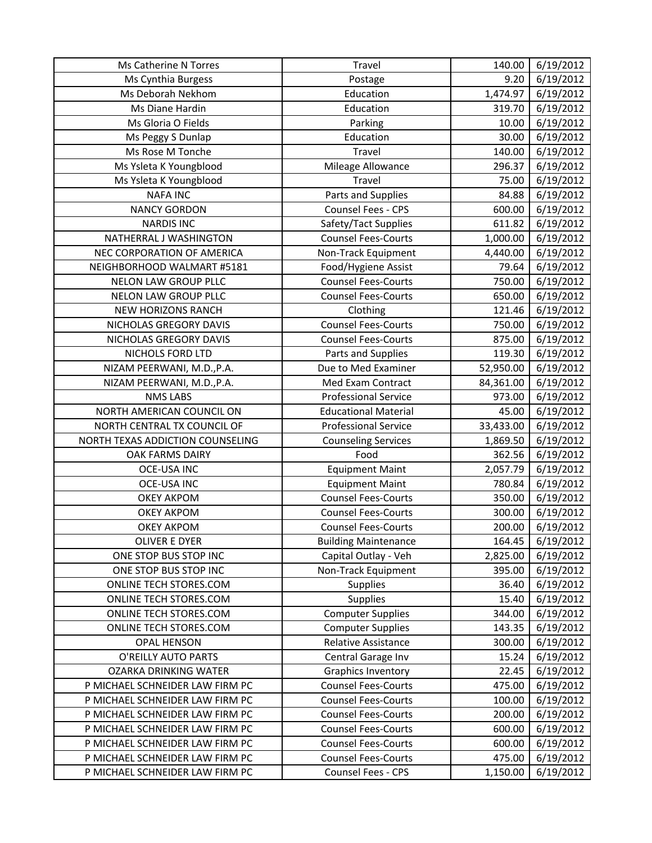| Ms Catherine N Torres            | Travel                      | 140.00    | 6/19/2012 |
|----------------------------------|-----------------------------|-----------|-----------|
| Ms Cynthia Burgess               | Postage                     | 9.20      | 6/19/2012 |
| Ms Deborah Nekhom                | Education                   | 1,474.97  | 6/19/2012 |
| Ms Diane Hardin                  | Education                   | 319.70    | 6/19/2012 |
| Ms Gloria O Fields               | Parking                     | 10.00     | 6/19/2012 |
| Ms Peggy S Dunlap                | Education                   | 30.00     | 6/19/2012 |
| Ms Rose M Tonche                 | Travel                      | 140.00    | 6/19/2012 |
| Ms Ysleta K Youngblood           | Mileage Allowance           | 296.37    | 6/19/2012 |
| Ms Ysleta K Youngblood           | Travel                      | 75.00     | 6/19/2012 |
| <b>NAFA INC</b>                  | Parts and Supplies          | 84.88     | 6/19/2012 |
| <b>NANCY GORDON</b>              | Counsel Fees - CPS          | 600.00    | 6/19/2012 |
| <b>NARDIS INC</b>                | Safety/Tact Supplies        | 611.82    | 6/19/2012 |
| NATHERRAL J WASHINGTON           | <b>Counsel Fees-Courts</b>  | 1,000.00  | 6/19/2012 |
| NEC CORPORATION OF AMERICA       | Non-Track Equipment         | 4,440.00  | 6/19/2012 |
| NEIGHBORHOOD WALMART #5181       | Food/Hygiene Assist         | 79.64     | 6/19/2012 |
| <b>NELON LAW GROUP PLLC</b>      | <b>Counsel Fees-Courts</b>  | 750.00    | 6/19/2012 |
| NELON LAW GROUP PLLC             | <b>Counsel Fees-Courts</b>  | 650.00    | 6/19/2012 |
| <b>NEW HORIZONS RANCH</b>        | Clothing                    | 121.46    | 6/19/2012 |
| NICHOLAS GREGORY DAVIS           | <b>Counsel Fees-Courts</b>  | 750.00    | 6/19/2012 |
| NICHOLAS GREGORY DAVIS           | <b>Counsel Fees-Courts</b>  | 875.00    | 6/19/2012 |
| NICHOLS FORD LTD                 | Parts and Supplies          | 119.30    | 6/19/2012 |
| NIZAM PEERWANI, M.D., P.A.       | Due to Med Examiner         | 52,950.00 | 6/19/2012 |
| NIZAM PEERWANI, M.D., P.A.       | Med Exam Contract           | 84,361.00 | 6/19/2012 |
| <b>NMS LABS</b>                  | <b>Professional Service</b> | 973.00    | 6/19/2012 |
| NORTH AMERICAN COUNCIL ON        | <b>Educational Material</b> | 45.00     | 6/19/2012 |
| NORTH CENTRAL TX COUNCIL OF      | <b>Professional Service</b> | 33,433.00 | 6/19/2012 |
| NORTH TEXAS ADDICTION COUNSELING | <b>Counseling Services</b>  | 1,869.50  | 6/19/2012 |
| OAK FARMS DAIRY                  | Food                        | 362.56    | 6/19/2012 |
| <b>OCE-USA INC</b>               | <b>Equipment Maint</b>      | 2,057.79  | 6/19/2012 |
| <b>OCE-USA INC</b>               | <b>Equipment Maint</b>      | 780.84    | 6/19/2012 |
| <b>OKEY AKPOM</b>                | <b>Counsel Fees-Courts</b>  | 350.00    | 6/19/2012 |
| <b>OKEY AKPOM</b>                | <b>Counsel Fees-Courts</b>  | 300.00    | 6/19/2012 |
| <b>OKEY AKPOM</b>                | <b>Counsel Fees-Courts</b>  | 200.00    | 6/19/2012 |
| <b>OLIVER E DYER</b>             | <b>Building Maintenance</b> | 164.45    | 6/19/2012 |
| ONE STOP BUS STOP INC            | Capital Outlay - Veh        | 2,825.00  | 6/19/2012 |
| ONE STOP BUS STOP INC            | Non-Track Equipment         | 395.00    | 6/19/2012 |
| ONLINE TECH STORES.COM           | <b>Supplies</b>             | 36.40     | 6/19/2012 |
| ONLINE TECH STORES.COM           | Supplies                    | 15.40     | 6/19/2012 |
| ONLINE TECH STORES.COM           | <b>Computer Supplies</b>    | 344.00    | 6/19/2012 |
| ONLINE TECH STORES.COM           | <b>Computer Supplies</b>    | 143.35    | 6/19/2012 |
| <b>OPAL HENSON</b>               | Relative Assistance         | 300.00    | 6/19/2012 |
| O'REILLY AUTO PARTS              | Central Garage Inv          | 15.24     | 6/19/2012 |
| OZARKA DRINKING WATER            | <b>Graphics Inventory</b>   | 22.45     | 6/19/2012 |
| P MICHAEL SCHNEIDER LAW FIRM PC  | <b>Counsel Fees-Courts</b>  | 475.00    | 6/19/2012 |
| P MICHAEL SCHNEIDER LAW FIRM PC  | <b>Counsel Fees-Courts</b>  | 100.00    | 6/19/2012 |
| P MICHAEL SCHNEIDER LAW FIRM PC  | <b>Counsel Fees-Courts</b>  | 200.00    | 6/19/2012 |
| P MICHAEL SCHNEIDER LAW FIRM PC  | <b>Counsel Fees-Courts</b>  | 600.00    | 6/19/2012 |
| P MICHAEL SCHNEIDER LAW FIRM PC  | <b>Counsel Fees-Courts</b>  | 600.00    | 6/19/2012 |
| P MICHAEL SCHNEIDER LAW FIRM PC  | <b>Counsel Fees-Courts</b>  | 475.00    | 6/19/2012 |
|                                  |                             | 1,150.00  |           |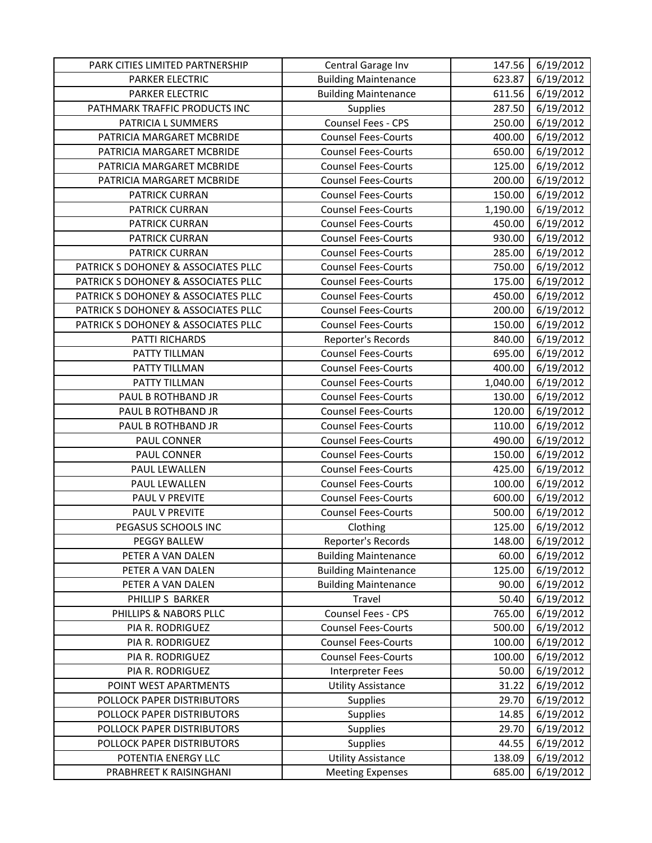| PARK CITIES LIMITED PARTNERSHIP     | Central Garage Inv          | 147.56   | 6/19/2012 |
|-------------------------------------|-----------------------------|----------|-----------|
| <b>PARKER ELECTRIC</b>              | <b>Building Maintenance</b> | 623.87   | 6/19/2012 |
| PARKER ELECTRIC                     | <b>Building Maintenance</b> | 611.56   | 6/19/2012 |
| PATHMARK TRAFFIC PRODUCTS INC       | <b>Supplies</b>             | 287.50   | 6/19/2012 |
| PATRICIA L SUMMERS                  | Counsel Fees - CPS          | 250.00   | 6/19/2012 |
| PATRICIA MARGARET MCBRIDE           | <b>Counsel Fees-Courts</b>  | 400.00   | 6/19/2012 |
| PATRICIA MARGARET MCBRIDE           | <b>Counsel Fees-Courts</b>  | 650.00   | 6/19/2012 |
| PATRICIA MARGARET MCBRIDE           | <b>Counsel Fees-Courts</b>  | 125.00   | 6/19/2012 |
| PATRICIA MARGARET MCBRIDE           | <b>Counsel Fees-Courts</b>  | 200.00   | 6/19/2012 |
| PATRICK CURRAN                      | <b>Counsel Fees-Courts</b>  | 150.00   | 6/19/2012 |
| PATRICK CURRAN                      | <b>Counsel Fees-Courts</b>  | 1,190.00 | 6/19/2012 |
| PATRICK CURRAN                      | <b>Counsel Fees-Courts</b>  | 450.00   | 6/19/2012 |
| PATRICK CURRAN                      | <b>Counsel Fees-Courts</b>  | 930.00   | 6/19/2012 |
| PATRICK CURRAN                      | <b>Counsel Fees-Courts</b>  | 285.00   | 6/19/2012 |
| PATRICK S DOHONEY & ASSOCIATES PLLC | <b>Counsel Fees-Courts</b>  | 750.00   | 6/19/2012 |
| PATRICK S DOHONEY & ASSOCIATES PLLC | <b>Counsel Fees-Courts</b>  | 175.00   | 6/19/2012 |
| PATRICK S DOHONEY & ASSOCIATES PLLC | <b>Counsel Fees-Courts</b>  | 450.00   | 6/19/2012 |
| PATRICK S DOHONEY & ASSOCIATES PLLC | <b>Counsel Fees-Courts</b>  | 200.00   | 6/19/2012 |
| PATRICK S DOHONEY & ASSOCIATES PLLC | <b>Counsel Fees-Courts</b>  | 150.00   | 6/19/2012 |
| PATTI RICHARDS                      | Reporter's Records          | 840.00   | 6/19/2012 |
| PATTY TILLMAN                       | <b>Counsel Fees-Courts</b>  | 695.00   | 6/19/2012 |
| PATTY TILLMAN                       | <b>Counsel Fees-Courts</b>  | 400.00   | 6/19/2012 |
| PATTY TILLMAN                       | <b>Counsel Fees-Courts</b>  | 1,040.00 | 6/19/2012 |
| PAUL B ROTHBAND JR                  | <b>Counsel Fees-Courts</b>  | 130.00   | 6/19/2012 |
| PAUL B ROTHBAND JR                  | <b>Counsel Fees-Courts</b>  | 120.00   | 6/19/2012 |
| PAUL B ROTHBAND JR                  | <b>Counsel Fees-Courts</b>  | 110.00   | 6/19/2012 |
| PAUL CONNER                         | <b>Counsel Fees-Courts</b>  | 490.00   | 6/19/2012 |
| PAUL CONNER                         | <b>Counsel Fees-Courts</b>  | 150.00   | 6/19/2012 |
| PAUL LEWALLEN                       | <b>Counsel Fees-Courts</b>  | 425.00   | 6/19/2012 |
| PAUL LEWALLEN                       | <b>Counsel Fees-Courts</b>  | 100.00   | 6/19/2012 |
| PAUL V PREVITE                      | <b>Counsel Fees-Courts</b>  | 600.00   | 6/19/2012 |
| PAUL V PREVITE                      | <b>Counsel Fees-Courts</b>  | 500.00   | 6/19/2012 |
| PEGASUS SCHOOLS INC                 | Clothing                    | 125.00   | 6/19/2012 |
| PEGGY BALLEW                        | Reporter's Records          | 148.00   | 6/19/2012 |
| PETER A VAN DALEN                   | <b>Building Maintenance</b> | 60.00    | 6/19/2012 |
| PETER A VAN DALEN                   | <b>Building Maintenance</b> | 125.00   | 6/19/2012 |
| PETER A VAN DALEN                   | <b>Building Maintenance</b> | 90.00    | 6/19/2012 |
| PHILLIP S BARKER                    | Travel                      | 50.40    | 6/19/2012 |
| PHILLIPS & NABORS PLLC              | Counsel Fees - CPS          | 765.00   | 6/19/2012 |
| PIA R. RODRIGUEZ                    | <b>Counsel Fees-Courts</b>  | 500.00   | 6/19/2012 |
| PIA R. RODRIGUEZ                    | <b>Counsel Fees-Courts</b>  | 100.00   | 6/19/2012 |
| PIA R. RODRIGUEZ                    | <b>Counsel Fees-Courts</b>  | 100.00   | 6/19/2012 |
| PIA R. RODRIGUEZ                    | Interpreter Fees            | 50.00    | 6/19/2012 |
| POINT WEST APARTMENTS               | <b>Utility Assistance</b>   | 31.22    | 6/19/2012 |
| POLLOCK PAPER DISTRIBUTORS          | <b>Supplies</b>             | 29.70    | 6/19/2012 |
| POLLOCK PAPER DISTRIBUTORS          | <b>Supplies</b>             | 14.85    | 6/19/2012 |
| POLLOCK PAPER DISTRIBUTORS          | <b>Supplies</b>             | 29.70    | 6/19/2012 |
| POLLOCK PAPER DISTRIBUTORS          | <b>Supplies</b>             | 44.55    | 6/19/2012 |
| POTENTIA ENERGY LLC                 | <b>Utility Assistance</b>   | 138.09   | 6/19/2012 |
| PRABHREET K RAISINGHANI             | <b>Meeting Expenses</b>     | 685.00   | 6/19/2012 |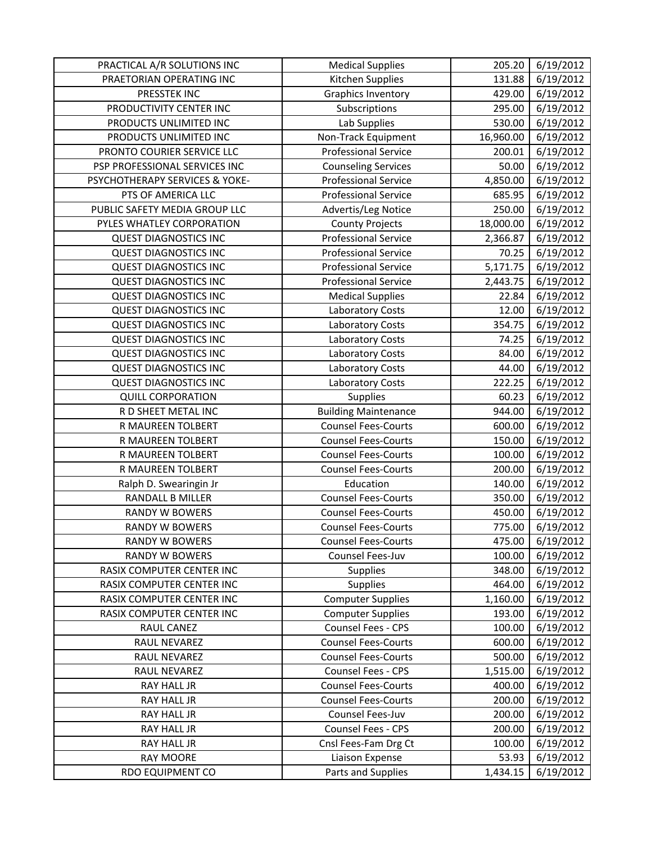| PRACTICAL A/R SOLUTIONS INC    | <b>Medical Supplies</b>     | 205.20                 | 6/19/2012 |
|--------------------------------|-----------------------------|------------------------|-----------|
| PRAETORIAN OPERATING INC       | Kitchen Supplies            | 131.88                 | 6/19/2012 |
| PRESSTEK INC                   | <b>Graphics Inventory</b>   | 429.00                 | 6/19/2012 |
| PRODUCTIVITY CENTER INC        | Subscriptions               | 295.00                 | 6/19/2012 |
| PRODUCTS UNLIMITED INC         | Lab Supplies                | 530.00                 | 6/19/2012 |
| PRODUCTS UNLIMITED INC         | Non-Track Equipment         | 16,960.00              | 6/19/2012 |
| PRONTO COURIER SERVICE LLC     | <b>Professional Service</b> | 200.01                 | 6/19/2012 |
| PSP PROFESSIONAL SERVICES INC  | <b>Counseling Services</b>  | 50.00                  | 6/19/2012 |
| PSYCHOTHERAPY SERVICES & YOKE- | <b>Professional Service</b> | 4,850.00               | 6/19/2012 |
| PTS OF AMERICA LLC             | <b>Professional Service</b> | 685.95                 | 6/19/2012 |
| PUBLIC SAFETY MEDIA GROUP LLC  | Advertis/Leg Notice         | 250.00                 | 6/19/2012 |
| PYLES WHATLEY CORPORATION      | <b>County Projects</b>      | 18,000.00              | 6/19/2012 |
| <b>QUEST DIAGNOSTICS INC</b>   | <b>Professional Service</b> | 2,366.87               | 6/19/2012 |
| <b>QUEST DIAGNOSTICS INC</b>   | <b>Professional Service</b> | 70.25                  | 6/19/2012 |
| <b>QUEST DIAGNOSTICS INC</b>   | <b>Professional Service</b> | $\overline{5,17}$ 1.75 | 6/19/2012 |
| <b>QUEST DIAGNOSTICS INC</b>   | <b>Professional Service</b> | 2,443.75               | 6/19/2012 |
| <b>QUEST DIAGNOSTICS INC</b>   | <b>Medical Supplies</b>     | 22.84                  | 6/19/2012 |
| <b>QUEST DIAGNOSTICS INC</b>   | Laboratory Costs            | 12.00                  | 6/19/2012 |
| <b>QUEST DIAGNOSTICS INC</b>   | Laboratory Costs            | 354.75                 | 6/19/2012 |
| <b>QUEST DIAGNOSTICS INC</b>   | Laboratory Costs            | 74.25                  | 6/19/2012 |
| <b>QUEST DIAGNOSTICS INC</b>   | Laboratory Costs            | 84.00                  | 6/19/2012 |
| <b>QUEST DIAGNOSTICS INC</b>   | Laboratory Costs            | 44.00                  | 6/19/2012 |
| <b>QUEST DIAGNOSTICS INC</b>   | <b>Laboratory Costs</b>     | 222.25                 | 6/19/2012 |
| <b>QUILL CORPORATION</b>       | Supplies                    | 60.23                  | 6/19/2012 |
| R D SHEET METAL INC            | <b>Building Maintenance</b> | 944.00                 | 6/19/2012 |
| R MAUREEN TOLBERT              | <b>Counsel Fees-Courts</b>  | 600.00                 | 6/19/2012 |
| R MAUREEN TOLBERT              | <b>Counsel Fees-Courts</b>  | 150.00                 | 6/19/2012 |
| R MAUREEN TOLBERT              | <b>Counsel Fees-Courts</b>  | 100.00                 | 6/19/2012 |
| R MAUREEN TOLBERT              | <b>Counsel Fees-Courts</b>  | 200.00                 | 6/19/2012 |
| Ralph D. Swearingin Jr         | Education                   | 140.00                 | 6/19/2012 |
| <b>RANDALL B MILLER</b>        | <b>Counsel Fees-Courts</b>  | 350.00                 | 6/19/2012 |
| <b>RANDY W BOWERS</b>          | <b>Counsel Fees-Courts</b>  | 450.00                 | 6/19/2012 |
| <b>RANDY W BOWERS</b>          | <b>Counsel Fees-Courts</b>  | 775.00                 | 6/19/2012 |
| <b>RANDY W BOWERS</b>          | <b>Counsel Fees-Courts</b>  | 475.00                 | 6/19/2012 |
| RANDY W BOWERS                 | Counsel Fees-Juv            | 100.00                 | 6/19/2012 |
| RASIX COMPUTER CENTER INC      | <b>Supplies</b>             | 348.00                 | 6/19/2012 |
| RASIX COMPUTER CENTER INC      | Supplies                    | 464.00                 | 6/19/2012 |
| RASIX COMPUTER CENTER INC      | <b>Computer Supplies</b>    | 1,160.00               | 6/19/2012 |
| RASIX COMPUTER CENTER INC      | <b>Computer Supplies</b>    | 193.00                 | 6/19/2012 |
| RAUL CANEZ                     | Counsel Fees - CPS          | 100.00                 | 6/19/2012 |
| RAUL NEVAREZ                   | <b>Counsel Fees-Courts</b>  | 600.00                 | 6/19/2012 |
| RAUL NEVAREZ                   | <b>Counsel Fees-Courts</b>  | 500.00                 | 6/19/2012 |
| RAUL NEVAREZ                   | <b>Counsel Fees - CPS</b>   | 1,515.00               | 6/19/2012 |
| RAY HALL JR                    | <b>Counsel Fees-Courts</b>  | 400.00                 | 6/19/2012 |
| RAY HALL JR                    | <b>Counsel Fees-Courts</b>  | 200.00                 | 6/19/2012 |
| RAY HALL JR                    | Counsel Fees-Juv            | 200.00                 | 6/19/2012 |
| RAY HALL JR                    | Counsel Fees - CPS          | 200.00                 | 6/19/2012 |
| RAY HALL JR                    | Cnsl Fees-Fam Drg Ct        | 100.00                 | 6/19/2012 |
| <b>RAY MOORE</b>               | Liaison Expense             | 53.93                  | 6/19/2012 |
| RDO EQUIPMENT CO               | Parts and Supplies          | 1,434.15               | 6/19/2012 |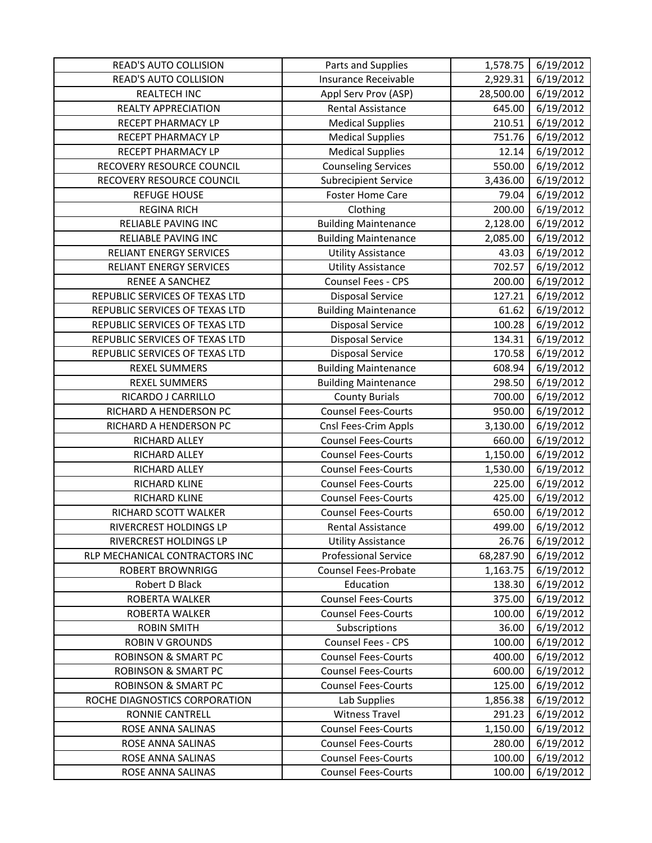| <b>READ'S AUTO COLLISION</b>   | Parts and Supplies          | 1,578.75  | 6/19/2012 |
|--------------------------------|-----------------------------|-----------|-----------|
| <b>READ'S AUTO COLLISION</b>   | Insurance Receivable        | 2,929.31  | 6/19/2012 |
| REALTECH INC                   | Appl Serv Prov (ASP)        | 28,500.00 | 6/19/2012 |
| REALTY APPRECIATION            | <b>Rental Assistance</b>    | 645.00    | 6/19/2012 |
| RECEPT PHARMACY LP             | <b>Medical Supplies</b>     | 210.51    | 6/19/2012 |
| RECEPT PHARMACY LP             | <b>Medical Supplies</b>     | 751.76    | 6/19/2012 |
| RECEPT PHARMACY LP             | <b>Medical Supplies</b>     | 12.14     | 6/19/2012 |
| RECOVERY RESOURCE COUNCIL      | <b>Counseling Services</b>  | 550.00    | 6/19/2012 |
| RECOVERY RESOURCE COUNCIL      | <b>Subrecipient Service</b> | 3,436.00  | 6/19/2012 |
| <b>REFUGE HOUSE</b>            | <b>Foster Home Care</b>     | 79.04     | 6/19/2012 |
| <b>REGINA RICH</b>             | Clothing                    | 200.00    | 6/19/2012 |
| RELIABLE PAVING INC            | <b>Building Maintenance</b> | 2,128.00  | 6/19/2012 |
| RELIABLE PAVING INC            | <b>Building Maintenance</b> | 2,085.00  | 6/19/2012 |
| RELIANT ENERGY SERVICES        | <b>Utility Assistance</b>   | 43.03     | 6/19/2012 |
| RELIANT ENERGY SERVICES        | <b>Utility Assistance</b>   | 702.57    | 6/19/2012 |
| RENEE A SANCHEZ                | Counsel Fees - CPS          | 200.00    | 6/19/2012 |
| REPUBLIC SERVICES OF TEXAS LTD | <b>Disposal Service</b>     | 127.21    | 6/19/2012 |
| REPUBLIC SERVICES OF TEXAS LTD | <b>Building Maintenance</b> | 61.62     | 6/19/2012 |
| REPUBLIC SERVICES OF TEXAS LTD | <b>Disposal Service</b>     | 100.28    | 6/19/2012 |
| REPUBLIC SERVICES OF TEXAS LTD | <b>Disposal Service</b>     | 134.31    | 6/19/2012 |
| REPUBLIC SERVICES OF TEXAS LTD | <b>Disposal Service</b>     | 170.58    | 6/19/2012 |
| <b>REXEL SUMMERS</b>           | <b>Building Maintenance</b> | 608.94    | 6/19/2012 |
| <b>REXEL SUMMERS</b>           | <b>Building Maintenance</b> | 298.50    | 6/19/2012 |
| RICARDO J CARRILLO             | <b>County Burials</b>       | 700.00    | 6/19/2012 |
| RICHARD A HENDERSON PC         | <b>Counsel Fees-Courts</b>  | 950.00    | 6/19/2012 |
| RICHARD A HENDERSON PC         | Cnsl Fees-Crim Appls        | 3,130.00  | 6/19/2012 |
| RICHARD ALLEY                  | <b>Counsel Fees-Courts</b>  | 660.00    | 6/19/2012 |
| RICHARD ALLEY                  | <b>Counsel Fees-Courts</b>  | 1,150.00  | 6/19/2012 |
| RICHARD ALLEY                  | <b>Counsel Fees-Courts</b>  | 1,530.00  | 6/19/2012 |
| RICHARD KLINE                  | <b>Counsel Fees-Courts</b>  | 225.00    | 6/19/2012 |
| RICHARD KLINE                  | <b>Counsel Fees-Courts</b>  | 425.00    | 6/19/2012 |
| RICHARD SCOTT WALKER           | <b>Counsel Fees-Courts</b>  | 650.00    | 6/19/2012 |
| RIVERCREST HOLDINGS LP         | <b>Rental Assistance</b>    | 499.00    | 6/19/2012 |
| RIVERCREST HOLDINGS LP         | <b>Utility Assistance</b>   | 26.76     | 6/19/2012 |
| RLP MECHANICAL CONTRACTORS INC | <b>Professional Service</b> | 68,287.90 | 6/19/2012 |
| <b>ROBERT BROWNRIGG</b>        | <b>Counsel Fees-Probate</b> | 1,163.75  | 6/19/2012 |
| Robert D Black                 | Education                   | 138.30    | 6/19/2012 |
| ROBERTA WALKER                 | <b>Counsel Fees-Courts</b>  | 375.00    | 6/19/2012 |
| ROBERTA WALKER                 | <b>Counsel Fees-Courts</b>  | 100.00    | 6/19/2012 |
| <b>ROBIN SMITH</b>             | Subscriptions               | 36.00     | 6/19/2012 |
| <b>ROBIN V GROUNDS</b>         | Counsel Fees - CPS          | 100.00    | 6/19/2012 |
| <b>ROBINSON &amp; SMART PC</b> | <b>Counsel Fees-Courts</b>  | 400.00    | 6/19/2012 |
| <b>ROBINSON &amp; SMART PC</b> | <b>Counsel Fees-Courts</b>  | 600.00    | 6/19/2012 |
| <b>ROBINSON &amp; SMART PC</b> | <b>Counsel Fees-Courts</b>  | 125.00    | 6/19/2012 |
| ROCHE DIAGNOSTICS CORPORATION  | Lab Supplies                | 1,856.38  | 6/19/2012 |
| RONNIE CANTRELL                | <b>Witness Travel</b>       | 291.23    | 6/19/2012 |
| ROSE ANNA SALINAS              | <b>Counsel Fees-Courts</b>  | 1,150.00  | 6/19/2012 |
| ROSE ANNA SALINAS              | <b>Counsel Fees-Courts</b>  | 280.00    | 6/19/2012 |
| ROSE ANNA SALINAS              | <b>Counsel Fees-Courts</b>  | 100.00    | 6/19/2012 |
| ROSE ANNA SALINAS              | <b>Counsel Fees-Courts</b>  | 100.00    | 6/19/2012 |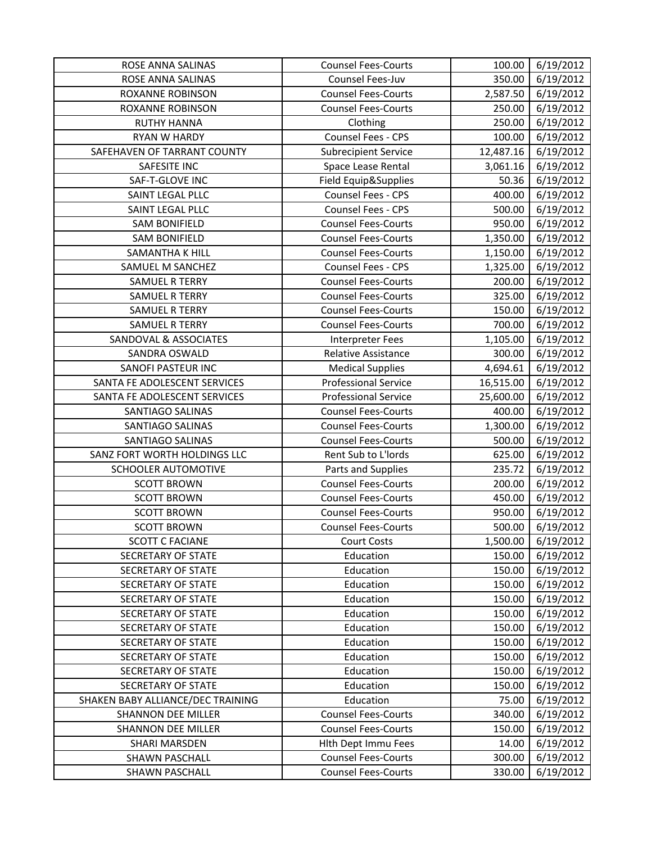| ROSE ANNA SALINAS                 | <b>Counsel Fees-Courts</b>  | 100.00    | 6/19/2012 |
|-----------------------------------|-----------------------------|-----------|-----------|
| ROSE ANNA SALINAS                 | Counsel Fees-Juv            | 350.00    | 6/19/2012 |
| ROXANNE ROBINSON                  | <b>Counsel Fees-Courts</b>  | 2,587.50  | 6/19/2012 |
| ROXANNE ROBINSON                  | <b>Counsel Fees-Courts</b>  | 250.00    | 6/19/2012 |
| <b>RUTHY HANNA</b>                | Clothing                    | 250.00    | 6/19/2012 |
| <b>RYAN W HARDY</b>               | Counsel Fees - CPS          | 100.00    | 6/19/2012 |
| SAFEHAVEN OF TARRANT COUNTY       | <b>Subrecipient Service</b> | 12,487.16 | 6/19/2012 |
| SAFESITE INC                      | Space Lease Rental          | 3,061.16  | 6/19/2012 |
| SAF-T-GLOVE INC                   | Field Equip&Supplies        | 50.36     | 6/19/2012 |
| SAINT LEGAL PLLC                  | Counsel Fees - CPS          | 400.00    | 6/19/2012 |
| SAINT LEGAL PLLC                  | Counsel Fees - CPS          | 500.00    | 6/19/2012 |
| <b>SAM BONIFIELD</b>              | <b>Counsel Fees-Courts</b>  | 950.00    | 6/19/2012 |
| <b>SAM BONIFIELD</b>              | <b>Counsel Fees-Courts</b>  | 1,350.00  | 6/19/2012 |
| SAMANTHA K HILL                   | <b>Counsel Fees-Courts</b>  | 1,150.00  | 6/19/2012 |
| SAMUEL M SANCHEZ                  | Counsel Fees - CPS          | 1,325.00  | 6/19/2012 |
| <b>SAMUEL R TERRY</b>             | <b>Counsel Fees-Courts</b>  | 200.00    | 6/19/2012 |
| <b>SAMUEL R TERRY</b>             | <b>Counsel Fees-Courts</b>  | 325.00    | 6/19/2012 |
| <b>SAMUEL R TERRY</b>             | <b>Counsel Fees-Courts</b>  | 150.00    | 6/19/2012 |
| <b>SAMUEL R TERRY</b>             | <b>Counsel Fees-Courts</b>  | 700.00    | 6/19/2012 |
| SANDOVAL & ASSOCIATES             | Interpreter Fees            | 1,105.00  | 6/19/2012 |
| SANDRA OSWALD                     | Relative Assistance         | 300.00    | 6/19/2012 |
| SANOFI PASTEUR INC                | <b>Medical Supplies</b>     | 4,694.61  | 6/19/2012 |
| SANTA FE ADOLESCENT SERVICES      | <b>Professional Service</b> | 16,515.00 | 6/19/2012 |
| SANTA FE ADOLESCENT SERVICES      | <b>Professional Service</b> | 25,600.00 | 6/19/2012 |
| SANTIAGO SALINAS                  | <b>Counsel Fees-Courts</b>  | 400.00    | 6/19/2012 |
| SANTIAGO SALINAS                  | <b>Counsel Fees-Courts</b>  | 1,300.00  | 6/19/2012 |
| SANTIAGO SALINAS                  | <b>Counsel Fees-Courts</b>  | 500.00    | 6/19/2012 |
| SANZ FORT WORTH HOLDINGS LLC      | Rent Sub to L'Iords         | 625.00    | 6/19/2012 |
| SCHOOLER AUTOMOTIVE               | Parts and Supplies          | 235.72    | 6/19/2012 |
| <b>SCOTT BROWN</b>                | <b>Counsel Fees-Courts</b>  | 200.00    | 6/19/2012 |
| <b>SCOTT BROWN</b>                | <b>Counsel Fees-Courts</b>  | 450.00    | 6/19/2012 |
| <b>SCOTT BROWN</b>                | <b>Counsel Fees-Courts</b>  | 950.00    | 6/19/2012 |
| <b>SCOTT BROWN</b>                | <b>Counsel Fees-Courts</b>  | 500.00    | 6/19/2012 |
| <b>SCOTT C FACIANE</b>            | <b>Court Costs</b>          | 1,500.00  | 6/19/2012 |
| <b>SECRETARY OF STATE</b>         | Education                   | 150.00    | 6/19/2012 |
| SECRETARY OF STATE                | Education                   | 150.00    | 6/19/2012 |
| SECRETARY OF STATE                | Education                   | 150.00    | 6/19/2012 |
| SECRETARY OF STATE                | Education                   | 150.00    | 6/19/2012 |
| SECRETARY OF STATE                | Education                   | 150.00    | 6/19/2012 |
| SECRETARY OF STATE                | Education                   | 150.00    | 6/19/2012 |
| SECRETARY OF STATE                | Education                   | 150.00    | 6/19/2012 |
| <b>SECRETARY OF STATE</b>         | Education                   | 150.00    | 6/19/2012 |
| <b>SECRETARY OF STATE</b>         | Education                   | 150.00    | 6/19/2012 |
| <b>SECRETARY OF STATE</b>         | Education                   | 150.00    | 6/19/2012 |
| SHAKEN BABY ALLIANCE/DEC TRAINING | Education                   | 75.00     | 6/19/2012 |
| <b>SHANNON DEE MILLER</b>         | <b>Counsel Fees-Courts</b>  | 340.00    | 6/19/2012 |
| <b>SHANNON DEE MILLER</b>         | <b>Counsel Fees-Courts</b>  | 150.00    | 6/19/2012 |
| SHARI MARSDEN                     | <b>Hith Dept Immu Fees</b>  | 14.00     | 6/19/2012 |
| <b>SHAWN PASCHALL</b>             | <b>Counsel Fees-Courts</b>  | 300.00    | 6/19/2012 |
| <b>SHAWN PASCHALL</b>             | <b>Counsel Fees-Courts</b>  | 330.00    | 6/19/2012 |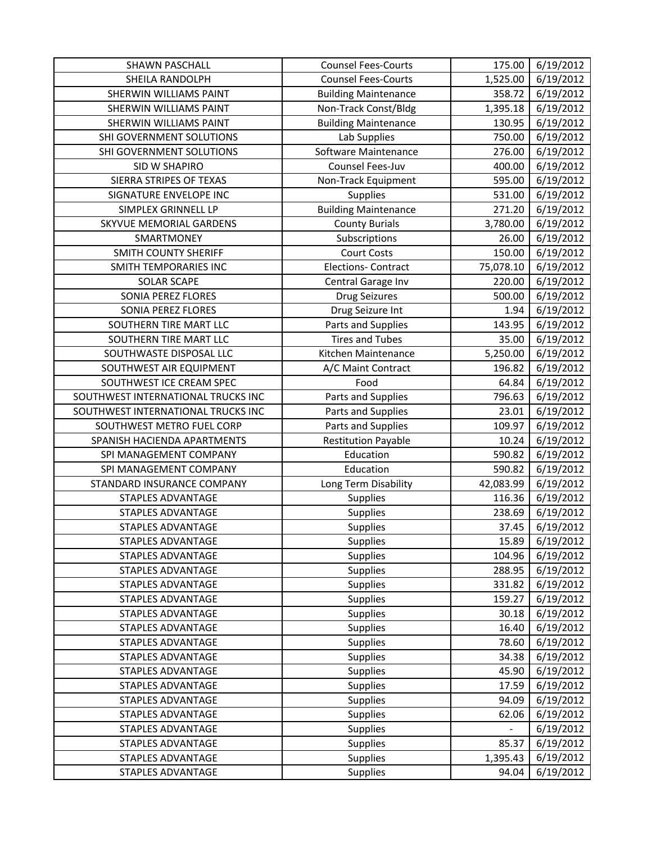| <b>SHAWN PASCHALL</b>              | <b>Counsel Fees-Courts</b>  | 175.00    | 6/19/2012 |
|------------------------------------|-----------------------------|-----------|-----------|
| <b>SHEILA RANDOLPH</b>             | <b>Counsel Fees-Courts</b>  | 1,525.00  | 6/19/2012 |
| <b>SHERWIN WILLIAMS PAINT</b>      | <b>Building Maintenance</b> | 358.72    | 6/19/2012 |
| SHERWIN WILLIAMS PAINT             | Non-Track Const/Bldg        | 1,395.18  | 6/19/2012 |
| SHERWIN WILLIAMS PAINT             | <b>Building Maintenance</b> | 130.95    | 6/19/2012 |
| SHI GOVERNMENT SOLUTIONS           | Lab Supplies                | 750.00    | 6/19/2012 |
| SHI GOVERNMENT SOLUTIONS           | Software Maintenance        | 276.00    | 6/19/2012 |
| SID W SHAPIRO                      | Counsel Fees-Juv            | 400.00    | 6/19/2012 |
| SIERRA STRIPES OF TEXAS            | Non-Track Equipment         | 595.00    | 6/19/2012 |
| SIGNATURE ENVELOPE INC             | Supplies                    | 531.00    | 6/19/2012 |
| SIMPLEX GRINNELL LP                | <b>Building Maintenance</b> | 271.20    | 6/19/2012 |
| SKYVUE MEMORIAL GARDENS            | <b>County Burials</b>       | 3,780.00  | 6/19/2012 |
| SMARTMONEY                         | Subscriptions               | 26.00     | 6/19/2012 |
| <b>SMITH COUNTY SHERIFF</b>        | <b>Court Costs</b>          | 150.00    | 6/19/2012 |
| SMITH TEMPORARIES INC              | <b>Elections- Contract</b>  | 75,078.10 | 6/19/2012 |
| <b>SOLAR SCAPE</b>                 | Central Garage Inv          | 220.00    | 6/19/2012 |
| SONIA PEREZ FLORES                 | Drug Seizures               | 500.00    | 6/19/2012 |
| <b>SONIA PEREZ FLORES</b>          | Drug Seizure Int            | 1.94      | 6/19/2012 |
| SOUTHERN TIRE MART LLC             | Parts and Supplies          | 143.95    | 6/19/2012 |
| SOUTHERN TIRE MART LLC             | <b>Tires and Tubes</b>      | 35.00     | 6/19/2012 |
| SOUTHWASTE DISPOSAL LLC            | Kitchen Maintenance         | 5,250.00  | 6/19/2012 |
| SOUTHWEST AIR EQUIPMENT            | A/C Maint Contract          | 196.82    | 6/19/2012 |
| SOUTHWEST ICE CREAM SPEC           | Food                        | 64.84     | 6/19/2012 |
| SOUTHWEST INTERNATIONAL TRUCKS INC | Parts and Supplies          | 796.63    | 6/19/2012 |
| SOUTHWEST INTERNATIONAL TRUCKS INC | Parts and Supplies          | 23.01     | 6/19/2012 |
| SOUTHWEST METRO FUEL CORP          | Parts and Supplies          | 109.97    | 6/19/2012 |
| SPANISH HACIENDA APARTMENTS        | <b>Restitution Payable</b>  | 10.24     | 6/19/2012 |
| SPI MANAGEMENT COMPANY             | Education                   | 590.82    | 6/19/2012 |
| SPI MANAGEMENT COMPANY             | Education                   | 590.82    | 6/19/2012 |
| STANDARD INSURANCE COMPANY         | Long Term Disability        | 42,083.99 | 6/19/2012 |
| STAPLES ADVANTAGE                  | Supplies                    | 116.36    | 6/19/2012 |
| STAPLES ADVANTAGE                  | Supplies                    | 238.69    | 6/19/2012 |
| <b>STAPLES ADVANTAGE</b>           | Supplies                    | 37.45     | 6/19/2012 |
| STAPLES ADVANTAGE                  | <b>Supplies</b>             | 15.89     | 6/19/2012 |
| STAPLES ADVANTAGE                  | Supplies                    | 104.96    | 6/19/2012 |
| <b>STAPLES ADVANTAGE</b>           | Supplies                    | 288.95    | 6/19/2012 |
| <b>STAPLES ADVANTAGE</b>           | Supplies                    | 331.82    | 6/19/2012 |
| <b>STAPLES ADVANTAGE</b>           | Supplies                    | 159.27    | 6/19/2012 |
| <b>STAPLES ADVANTAGE</b>           | Supplies                    | 30.18     | 6/19/2012 |
| STAPLES ADVANTAGE                  | Supplies                    | 16.40     | 6/19/2012 |
| <b>STAPLES ADVANTAGE</b>           | <b>Supplies</b>             | 78.60     | 6/19/2012 |
| <b>STAPLES ADVANTAGE</b>           | <b>Supplies</b>             | 34.38     | 6/19/2012 |
| STAPLES ADVANTAGE                  | <b>Supplies</b>             | 45.90     | 6/19/2012 |
| STAPLES ADVANTAGE                  | <b>Supplies</b>             | 17.59     | 6/19/2012 |
| STAPLES ADVANTAGE                  | <b>Supplies</b>             | 94.09     | 6/19/2012 |
| STAPLES ADVANTAGE                  | <b>Supplies</b>             | 62.06     | 6/19/2012 |
| STAPLES ADVANTAGE                  | Supplies                    |           | 6/19/2012 |
| STAPLES ADVANTAGE                  | Supplies                    | 85.37     | 6/19/2012 |
| <b>STAPLES ADVANTAGE</b>           | <b>Supplies</b>             | 1,395.43  | 6/19/2012 |
| <b>STAPLES ADVANTAGE</b>           | <b>Supplies</b>             | 94.04     | 6/19/2012 |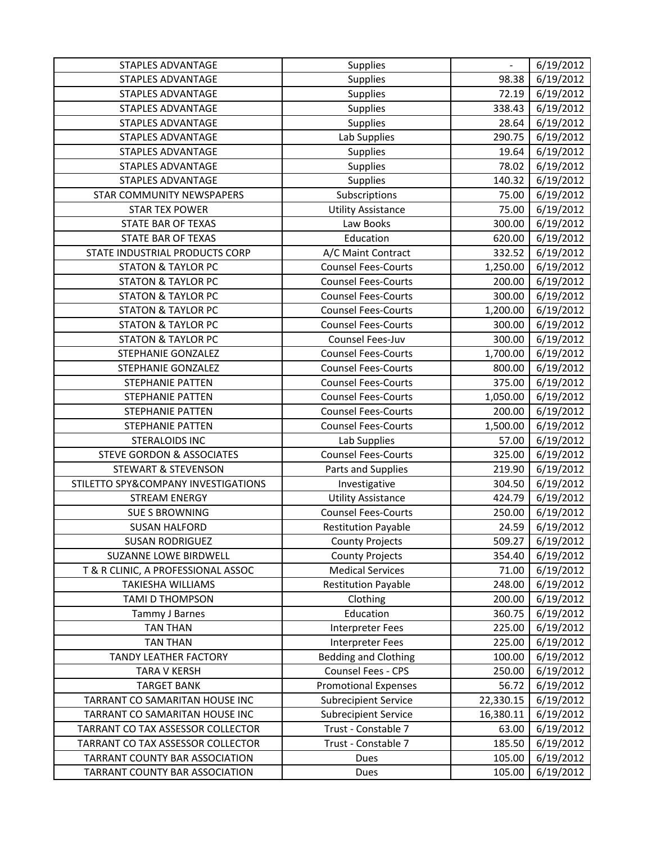| <b>STAPLES ADVANTAGE</b>             | Supplies                    | $\qquad \qquad \blacksquare$ | 6/19/2012 |
|--------------------------------------|-----------------------------|------------------------------|-----------|
| <b>STAPLES ADVANTAGE</b>             | Supplies                    | 98.38                        | 6/19/2012 |
| <b>STAPLES ADVANTAGE</b>             | Supplies                    | 72.19                        | 6/19/2012 |
| <b>STAPLES ADVANTAGE</b>             | Supplies                    | 338.43                       | 6/19/2012 |
| STAPLES ADVANTAGE                    | Supplies                    | 28.64                        | 6/19/2012 |
| <b>STAPLES ADVANTAGE</b>             | Lab Supplies                | 290.75                       | 6/19/2012 |
| <b>STAPLES ADVANTAGE</b>             | Supplies                    | 19.64                        | 6/19/2012 |
| <b>STAPLES ADVANTAGE</b>             | Supplies                    | 78.02                        | 6/19/2012 |
| STAPLES ADVANTAGE                    | Supplies                    | 140.32                       | 6/19/2012 |
| STAR COMMUNITY NEWSPAPERS            | Subscriptions               | 75.00                        | 6/19/2012 |
| <b>STAR TEX POWER</b>                | <b>Utility Assistance</b>   | 75.00                        | 6/19/2012 |
| STATE BAR OF TEXAS                   | Law Books                   | 300.00                       | 6/19/2012 |
| STATE BAR OF TEXAS                   | Education                   | 620.00                       | 6/19/2012 |
| STATE INDUSTRIAL PRODUCTS CORP       | A/C Maint Contract          | 332.52                       | 6/19/2012 |
| <b>STATON &amp; TAYLOR PC</b>        | <b>Counsel Fees-Courts</b>  | 1,250.00                     | 6/19/2012 |
| <b>STATON &amp; TAYLOR PC</b>        | <b>Counsel Fees-Courts</b>  | 200.00                       | 6/19/2012 |
| <b>STATON &amp; TAYLOR PC</b>        | <b>Counsel Fees-Courts</b>  | 300.00                       | 6/19/2012 |
| <b>STATON &amp; TAYLOR PC</b>        | <b>Counsel Fees-Courts</b>  | 1,200.00                     | 6/19/2012 |
| <b>STATON &amp; TAYLOR PC</b>        | <b>Counsel Fees-Courts</b>  | 300.00                       | 6/19/2012 |
| <b>STATON &amp; TAYLOR PC</b>        | Counsel Fees-Juv            | 300.00                       | 6/19/2012 |
| STEPHANIE GONZALEZ                   | <b>Counsel Fees-Courts</b>  | 1,700.00                     | 6/19/2012 |
| STEPHANIE GONZALEZ                   | <b>Counsel Fees-Courts</b>  | 800.00                       | 6/19/2012 |
| <b>STEPHANIE PATTEN</b>              | <b>Counsel Fees-Courts</b>  | 375.00                       | 6/19/2012 |
| STEPHANIE PATTEN                     | <b>Counsel Fees-Courts</b>  | 1,050.00                     | 6/19/2012 |
| STEPHANIE PATTEN                     | <b>Counsel Fees-Courts</b>  | 200.00                       | 6/19/2012 |
| STEPHANIE PATTEN                     | <b>Counsel Fees-Courts</b>  | 1,500.00                     | 6/19/2012 |
| <b>STERALOIDS INC</b>                | Lab Supplies                | 57.00                        | 6/19/2012 |
| <b>STEVE GORDON &amp; ASSOCIATES</b> | <b>Counsel Fees-Courts</b>  | 325.00                       | 6/19/2012 |
| <b>STEWART &amp; STEVENSON</b>       | Parts and Supplies          | 219.90                       | 6/19/2012 |
| STILETTO SPY&COMPANY INVESTIGATIONS  | Investigative               | 304.50                       | 6/19/2012 |
| <b>STREAM ENERGY</b>                 | <b>Utility Assistance</b>   | 424.79                       | 6/19/2012 |
| <b>SUE S BROWNING</b>                | <b>Counsel Fees-Courts</b>  | 250.00                       | 6/19/2012 |
| <b>SUSAN HALFORD</b>                 | <b>Restitution Payable</b>  | 24.59                        | 6/19/2012 |
| <b>SUSAN RODRIGUEZ</b>               | <b>County Projects</b>      | 509.27                       | 6/19/2012 |
| <b>SUZANNE LOWE BIRDWELL</b>         | <b>County Projects</b>      | 354.40                       | 6/19/2012 |
| T & R CLINIC, A PROFESSIONAL ASSOC   | <b>Medical Services</b>     | 71.00                        | 6/19/2012 |
| <b>TAKIESHA WILLIAMS</b>             | <b>Restitution Payable</b>  | 248.00                       | 6/19/2012 |
| TAMI D THOMPSON                      | Clothing                    | 200.00                       | 6/19/2012 |
| Tammy J Barnes                       | Education                   | 360.75                       | 6/19/2012 |
| <b>TAN THAN</b>                      | Interpreter Fees            | 225.00                       | 6/19/2012 |
| <b>TAN THAN</b>                      | <b>Interpreter Fees</b>     | 225.00                       | 6/19/2012 |
| <b>TANDY LEATHER FACTORY</b>         | <b>Bedding and Clothing</b> | 100.00                       | 6/19/2012 |
| <b>TARA V KERSH</b>                  | Counsel Fees - CPS          | 250.00                       | 6/19/2012 |
| <b>TARGET BANK</b>                   | <b>Promotional Expenses</b> | 56.72                        | 6/19/2012 |
| TARRANT CO SAMARITAN HOUSE INC       | <b>Subrecipient Service</b> | 22,330.15                    | 6/19/2012 |
| TARRANT CO SAMARITAN HOUSE INC       | <b>Subrecipient Service</b> | 16,380.11                    | 6/19/2012 |
| TARRANT CO TAX ASSESSOR COLLECTOR    | Trust - Constable 7         | 63.00                        | 6/19/2012 |
| TARRANT CO TAX ASSESSOR COLLECTOR    | Trust - Constable 7         | 185.50                       | 6/19/2012 |
| TARRANT COUNTY BAR ASSOCIATION       | Dues                        | 105.00                       | 6/19/2012 |
| TARRANT COUNTY BAR ASSOCIATION       | Dues                        | 105.00                       | 6/19/2012 |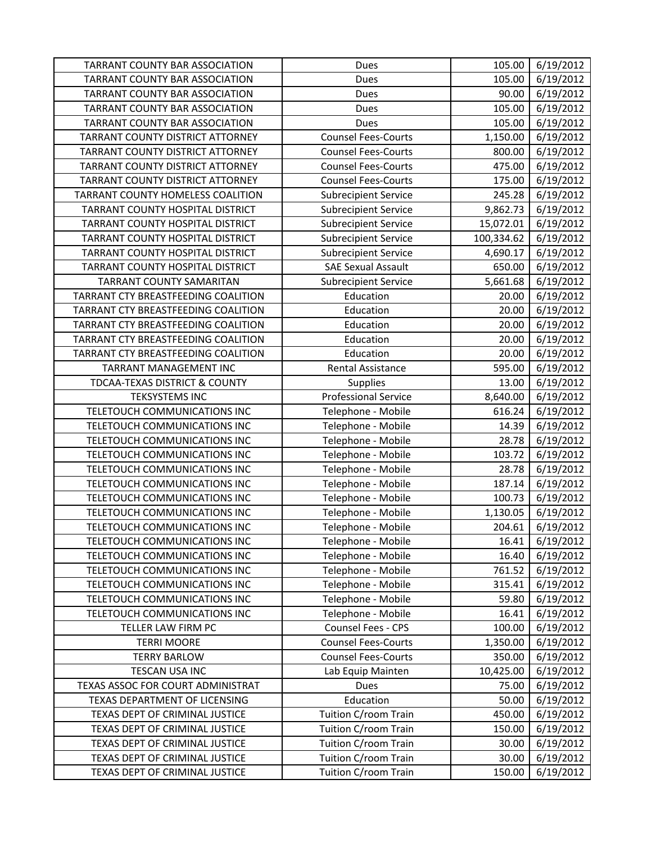| TARRANT COUNTY BAR ASSOCIATION        | Dues                        | 105.00     | 6/19/2012 |
|---------------------------------------|-----------------------------|------------|-----------|
| <b>TARRANT COUNTY BAR ASSOCIATION</b> | Dues                        | 105.00     | 6/19/2012 |
| TARRANT COUNTY BAR ASSOCIATION        | Dues                        | 90.00      | 6/19/2012 |
| TARRANT COUNTY BAR ASSOCIATION        | Dues                        | 105.00     | 6/19/2012 |
| TARRANT COUNTY BAR ASSOCIATION        | Dues                        | 105.00     | 6/19/2012 |
| TARRANT COUNTY DISTRICT ATTORNEY      | <b>Counsel Fees-Courts</b>  | 1,150.00   | 6/19/2012 |
| TARRANT COUNTY DISTRICT ATTORNEY      | <b>Counsel Fees-Courts</b>  | 800.00     | 6/19/2012 |
| TARRANT COUNTY DISTRICT ATTORNEY      | <b>Counsel Fees-Courts</b>  | 475.00     | 6/19/2012 |
| TARRANT COUNTY DISTRICT ATTORNEY      | <b>Counsel Fees-Courts</b>  | 175.00     | 6/19/2012 |
| TARRANT COUNTY HOMELESS COALITION     | <b>Subrecipient Service</b> | 245.28     | 6/19/2012 |
| TARRANT COUNTY HOSPITAL DISTRICT      | <b>Subrecipient Service</b> | 9,862.73   | 6/19/2012 |
| TARRANT COUNTY HOSPITAL DISTRICT      | <b>Subrecipient Service</b> | 15,072.01  | 6/19/2012 |
| TARRANT COUNTY HOSPITAL DISTRICT      | <b>Subrecipient Service</b> | 100,334.62 | 6/19/2012 |
| TARRANT COUNTY HOSPITAL DISTRICT      | <b>Subrecipient Service</b> | 4,690.17   | 6/19/2012 |
| TARRANT COUNTY HOSPITAL DISTRICT      | <b>SAE Sexual Assault</b>   | 650.00     | 6/19/2012 |
| <b>TARRANT COUNTY SAMARITAN</b>       | <b>Subrecipient Service</b> | 5,661.68   | 6/19/2012 |
| TARRANT CTY BREASTFEEDING COALITION   | Education                   | 20.00      | 6/19/2012 |
| TARRANT CTY BREASTFEEDING COALITION   | Education                   | 20.00      | 6/19/2012 |
| TARRANT CTY BREASTFEEDING COALITION   | Education                   | 20.00      | 6/19/2012 |
| TARRANT CTY BREASTFEEDING COALITION   | Education                   | 20.00      | 6/19/2012 |
| TARRANT CTY BREASTFEEDING COALITION   | Education                   | 20.00      | 6/19/2012 |
| <b>TARRANT MANAGEMENT INC</b>         | <b>Rental Assistance</b>    | 595.00     | 6/19/2012 |
| TDCAA-TEXAS DISTRICT & COUNTY         | Supplies                    | 13.00      | 6/19/2012 |
| <b>TEKSYSTEMS INC</b>                 | <b>Professional Service</b> | 8,640.00   | 6/19/2012 |
| TELETOUCH COMMUNICATIONS INC          | Telephone - Mobile          | 616.24     | 6/19/2012 |
| TELETOUCH COMMUNICATIONS INC          | Telephone - Mobile          | 14.39      | 6/19/2012 |
| TELETOUCH COMMUNICATIONS INC          | Telephone - Mobile          | 28.78      | 6/19/2012 |
| TELETOUCH COMMUNICATIONS INC          | Telephone - Mobile          | 103.72     | 6/19/2012 |
| TELETOUCH COMMUNICATIONS INC          | Telephone - Mobile          | 28.78      | 6/19/2012 |
| TELETOUCH COMMUNICATIONS INC          | Telephone - Mobile          | 187.14     | 6/19/2012 |
| TELETOUCH COMMUNICATIONS INC          | Telephone - Mobile          | 100.73     | 6/19/2012 |
| TELETOUCH COMMUNICATIONS INC          | Telephone - Mobile          | 1,130.05   | 6/19/2012 |
| TELETOUCH COMMUNICATIONS INC          | Telephone - Mobile          | 204.61     | 6/19/2012 |
| TELETOUCH COMMUNICATIONS INC          | Telephone - Mobile          | 16.41      | 6/19/2012 |
| TELETOUCH COMMUNICATIONS INC          | Telephone - Mobile          | 16.40      | 6/19/2012 |
| TELETOUCH COMMUNICATIONS INC          | Telephone - Mobile          | 761.52     | 6/19/2012 |
| TELETOUCH COMMUNICATIONS INC          | Telephone - Mobile          | 315.41     | 6/19/2012 |
| TELETOUCH COMMUNICATIONS INC          | Telephone - Mobile          | 59.80      | 6/19/2012 |
| TELETOUCH COMMUNICATIONS INC          | Telephone - Mobile          | 16.41      | 6/19/2012 |
| TELLER LAW FIRM PC                    | Counsel Fees - CPS          | 100.00     | 6/19/2012 |
| <b>TERRI MOORE</b>                    | <b>Counsel Fees-Courts</b>  | 1,350.00   | 6/19/2012 |
| <b>TERRY BARLOW</b>                   | <b>Counsel Fees-Courts</b>  | 350.00     | 6/19/2012 |
| TESCAN USA INC                        | Lab Equip Mainten           | 10,425.00  | 6/19/2012 |
| TEXAS ASSOC FOR COURT ADMINISTRAT     | Dues                        | 75.00      | 6/19/2012 |
| TEXAS DEPARTMENT OF LICENSING         | Education                   | 50.00      | 6/19/2012 |
| TEXAS DEPT OF CRIMINAL JUSTICE        | Tuition C/room Train        | 450.00     | 6/19/2012 |
| TEXAS DEPT OF CRIMINAL JUSTICE        | Tuition C/room Train        | 150.00     | 6/19/2012 |
| TEXAS DEPT OF CRIMINAL JUSTICE        | Tuition C/room Train        | 30.00      | 6/19/2012 |
| TEXAS DEPT OF CRIMINAL JUSTICE        | Tuition C/room Train        | 30.00      | 6/19/2012 |
| TEXAS DEPT OF CRIMINAL JUSTICE        | Tuition C/room Train        | 150.00     | 6/19/2012 |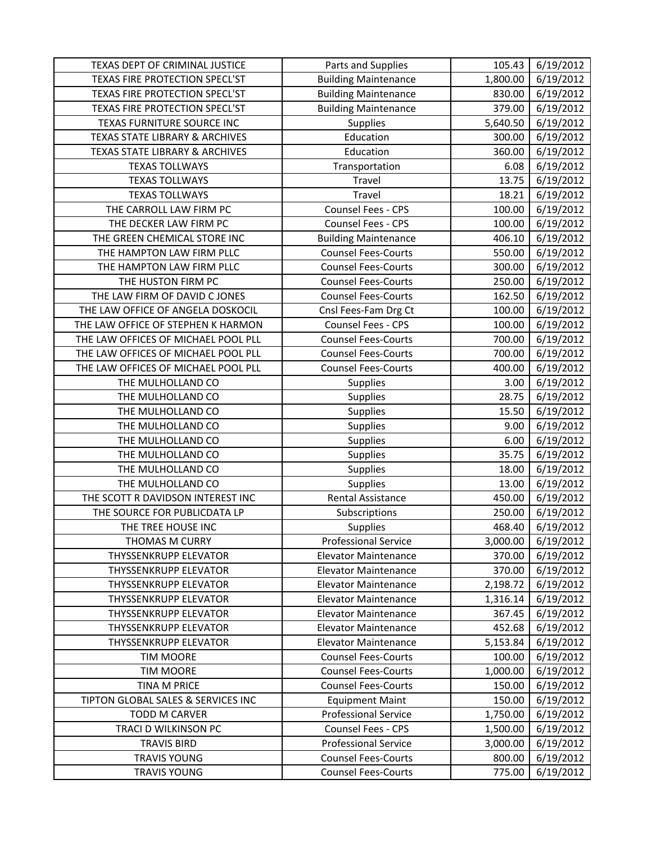| TEXAS DEPT OF CRIMINAL JUSTICE            | Parts and Supplies          | 105.43   | 6/19/2012 |
|-------------------------------------------|-----------------------------|----------|-----------|
| TEXAS FIRE PROTECTION SPECL'ST            | <b>Building Maintenance</b> | 1,800.00 | 6/19/2012 |
| TEXAS FIRE PROTECTION SPECL'ST            | <b>Building Maintenance</b> | 830.00   | 6/19/2012 |
| TEXAS FIRE PROTECTION SPECL'ST            | <b>Building Maintenance</b> | 379.00   | 6/19/2012 |
| TEXAS FURNITURE SOURCE INC                | Supplies                    | 5,640.50 | 6/19/2012 |
| <b>TEXAS STATE LIBRARY &amp; ARCHIVES</b> | Education                   | 300.00   | 6/19/2012 |
| TEXAS STATE LIBRARY & ARCHIVES            | Education                   | 360.00   | 6/19/2012 |
| <b>TEXAS TOLLWAYS</b>                     | Transportation              | 6.08     | 6/19/2012 |
| <b>TEXAS TOLLWAYS</b>                     | Travel                      | 13.75    | 6/19/2012 |
| <b>TEXAS TOLLWAYS</b>                     | Travel                      | 18.21    | 6/19/2012 |
| THE CARROLL LAW FIRM PC                   | Counsel Fees - CPS          | 100.00   | 6/19/2012 |
| THE DECKER LAW FIRM PC                    | Counsel Fees - CPS          | 100.00   | 6/19/2012 |
| THE GREEN CHEMICAL STORE INC              | <b>Building Maintenance</b> | 406.10   | 6/19/2012 |
| THE HAMPTON LAW FIRM PLLC                 | <b>Counsel Fees-Courts</b>  | 550.00   | 6/19/2012 |
| THE HAMPTON LAW FIRM PLLC                 | <b>Counsel Fees-Courts</b>  | 300.00   | 6/19/2012 |
| THE HUSTON FIRM PC                        | <b>Counsel Fees-Courts</b>  | 250.00   | 6/19/2012 |
| THE LAW FIRM OF DAVID C JONES             | <b>Counsel Fees-Courts</b>  | 162.50   | 6/19/2012 |
| THE LAW OFFICE OF ANGELA DOSKOCIL         | Cnsl Fees-Fam Drg Ct        | 100.00   | 6/19/2012 |
| THE LAW OFFICE OF STEPHEN K HARMON        | Counsel Fees - CPS          | 100.00   | 6/19/2012 |
| THE LAW OFFICES OF MICHAEL POOL PLL       | <b>Counsel Fees-Courts</b>  | 700.00   | 6/19/2012 |
| THE LAW OFFICES OF MICHAEL POOL PLL       | <b>Counsel Fees-Courts</b>  | 700.00   | 6/19/2012 |
| THE LAW OFFICES OF MICHAEL POOL PLL       | <b>Counsel Fees-Courts</b>  | 400.00   | 6/19/2012 |
| THE MULHOLLAND CO                         | Supplies                    | 3.00     | 6/19/2012 |
| THE MULHOLLAND CO                         | Supplies                    | 28.75    | 6/19/2012 |
| THE MULHOLLAND CO                         | Supplies                    | 15.50    | 6/19/2012 |
| THE MULHOLLAND CO                         | Supplies                    | 9.00     | 6/19/2012 |
| THE MULHOLLAND CO                         | <b>Supplies</b>             | 6.00     | 6/19/2012 |
| THE MULHOLLAND CO                         | Supplies                    | 35.75    | 6/19/2012 |
| THE MULHOLLAND CO                         | Supplies                    | 18.00    | 6/19/2012 |
| THE MULHOLLAND CO                         | Supplies                    | 13.00    | 6/19/2012 |
| THE SCOTT R DAVIDSON INTEREST INC         | Rental Assistance           | 450.00   | 6/19/2012 |
| THE SOURCE FOR PUBLICDATA LP              | Subscriptions               | 250.00   | 6/19/2012 |
| THE TREE HOUSE INC                        | Supplies                    | 468.40   | 6/19/2012 |
| THOMAS M CURRY                            | <b>Professional Service</b> | 3,000.00 | 6/19/2012 |
| <b>THYSSENKRUPP ELEVATOR</b>              | <b>Elevator Maintenance</b> | 370.00   | 6/19/2012 |
| THYSSENKRUPP ELEVATOR                     | <b>Elevator Maintenance</b> | 370.00   | 6/19/2012 |
| <b>THYSSENKRUPP ELEVATOR</b>              | <b>Elevator Maintenance</b> | 2,198.72 | 6/19/2012 |
| <b>THYSSENKRUPP ELEVATOR</b>              | <b>Elevator Maintenance</b> | 1,316.14 | 6/19/2012 |
| THYSSENKRUPP ELEVATOR                     | <b>Elevator Maintenance</b> | 367.45   | 6/19/2012 |
| <b>THYSSENKRUPP ELEVATOR</b>              | <b>Elevator Maintenance</b> | 452.68   | 6/19/2012 |
| <b>THYSSENKRUPP ELEVATOR</b>              | <b>Elevator Maintenance</b> | 5,153.84 | 6/19/2012 |
| <b>TIM MOORE</b>                          | <b>Counsel Fees-Courts</b>  | 100.00   | 6/19/2012 |
| <b>TIM MOORE</b>                          | <b>Counsel Fees-Courts</b>  | 1,000.00 | 6/19/2012 |
| TINA M PRICE                              | <b>Counsel Fees-Courts</b>  | 150.00   | 6/19/2012 |
| TIPTON GLOBAL SALES & SERVICES INC        | <b>Equipment Maint</b>      | 150.00   | 6/19/2012 |
| <b>TODD M CARVER</b>                      | <b>Professional Service</b> | 1,750.00 | 6/19/2012 |
| TRACI D WILKINSON PC                      | Counsel Fees - CPS          | 1,500.00 | 6/19/2012 |
| <b>TRAVIS BIRD</b>                        | <b>Professional Service</b> | 3,000.00 | 6/19/2012 |
| <b>TRAVIS YOUNG</b>                       | <b>Counsel Fees-Courts</b>  | 800.00   | 6/19/2012 |
| <b>TRAVIS YOUNG</b>                       | <b>Counsel Fees-Courts</b>  | 775.00   | 6/19/2012 |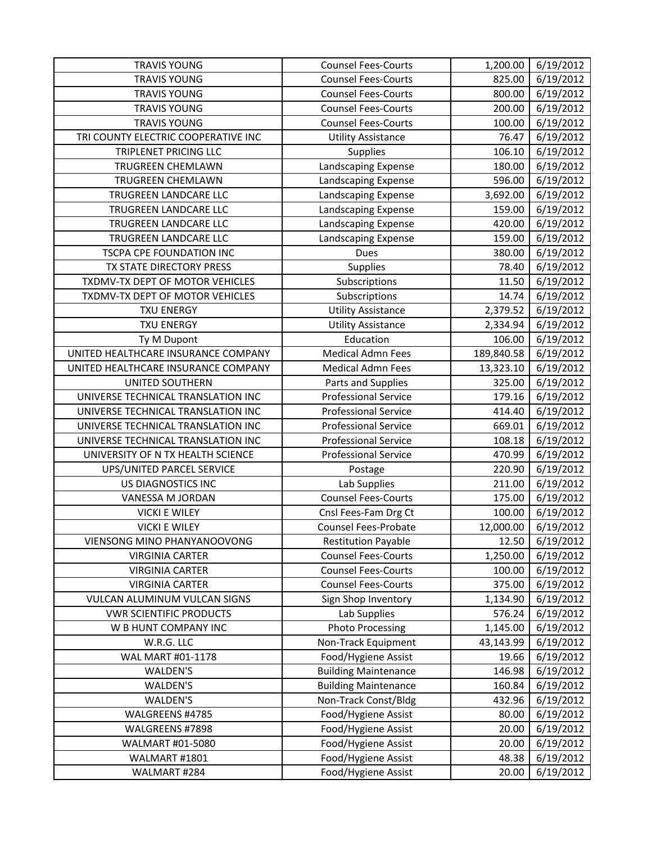| <b>TRAVIS YOUNG</b>                 | <b>Counsel Fees-Courts</b>  | 1,200.00   | 6/19/2012 |
|-------------------------------------|-----------------------------|------------|-----------|
| <b>TRAVIS YOUNG</b>                 | <b>Counsel Fees-Courts</b>  | 825.00     | 6/19/2012 |
| <b>TRAVIS YOUNG</b>                 | <b>Counsel Fees-Courts</b>  | 800.00     | 6/19/2012 |
| <b>TRAVIS YOUNG</b>                 | <b>Counsel Fees-Courts</b>  | 200.00     | 6/19/2012 |
| <b>TRAVIS YOUNG</b>                 | <b>Counsel Fees-Courts</b>  | 100.00     | 6/19/2012 |
| TRI COUNTY ELECTRIC COOPERATIVE INC | <b>Utility Assistance</b>   | 76.47      | 6/19/2012 |
| TRIPLENET PRICING LLC               | <b>Supplies</b>             | 106.10     | 6/19/2012 |
| TRUGREEN CHEMLAWN                   | Landscaping Expense         | 180.00     | 6/19/2012 |
| TRUGREEN CHEMLAWN                   | Landscaping Expense         | 596.00     | 6/19/2012 |
| TRUGREEN LANDCARE LLC               | Landscaping Expense         | 3,692.00   | 6/19/2012 |
| TRUGREEN LANDCARE LLC               | Landscaping Expense         | 159.00     | 6/19/2012 |
| TRUGREEN LANDCARE LLC               | Landscaping Expense         | 420.00     | 6/19/2012 |
| TRUGREEN LANDCARE LLC               | Landscaping Expense         | 159.00     | 6/19/2012 |
| TSCPA CPE FOUNDATION INC            | Dues                        | 380.00     | 6/19/2012 |
| TX STATE DIRECTORY PRESS            | Supplies                    | 78.40      | 6/19/2012 |
| TXDMV-TX DEPT OF MOTOR VEHICLES     | Subscriptions               | 11.50      | 6/19/2012 |
| TXDMV-TX DEPT OF MOTOR VEHICLES     | Subscriptions               | 14.74      | 6/19/2012 |
| <b>TXU ENERGY</b>                   | <b>Utility Assistance</b>   | 2,379.52   | 6/19/2012 |
| <b>TXU ENERGY</b>                   | <b>Utility Assistance</b>   | 2,334.94   | 6/19/2012 |
| Ty M Dupont                         | Education                   | 106.00     | 6/19/2012 |
| UNITED HEALTHCARE INSURANCE COMPANY | <b>Medical Admn Fees</b>    | 189,840.58 | 6/19/2012 |
| UNITED HEALTHCARE INSURANCE COMPANY | <b>Medical Admn Fees</b>    | 13,323.10  | 6/19/2012 |
| UNITED SOUTHERN                     | Parts and Supplies          | 325.00     | 6/19/2012 |
| UNIVERSE TECHNICAL TRANSLATION INC  | <b>Professional Service</b> | 179.16     | 6/19/2012 |
| UNIVERSE TECHNICAL TRANSLATION INC  | <b>Professional Service</b> | 414.40     | 6/19/2012 |
| UNIVERSE TECHNICAL TRANSLATION INC  | <b>Professional Service</b> | 669.01     | 6/19/2012 |
| UNIVERSE TECHNICAL TRANSLATION INC  | <b>Professional Service</b> | 108.18     | 6/19/2012 |
| UNIVERSITY OF N TX HEALTH SCIENCE   | <b>Professional Service</b> | 470.99     | 6/19/2012 |
| UPS/UNITED PARCEL SERVICE           | Postage                     | 220.90     | 6/19/2012 |
| US DIAGNOSTICS INC                  | Lab Supplies                | 211.00     | 6/19/2012 |
| VANESSA M JORDAN                    | <b>Counsel Fees-Courts</b>  | 175.00     | 6/19/2012 |
| <b>VICKI E WILEY</b>                | Cnsl Fees-Fam Drg Ct        | 100.00     | 6/19/2012 |
| <b>VICKI E WILEY</b>                | <b>Counsel Fees-Probate</b> | 12,000.00  | 6/19/2012 |
| VIENSONG MINO PHANYANOOVONG         | <b>Restitution Payable</b>  | 12.50      | 6/19/2012 |
| <b>VIRGINIA CARTER</b>              | <b>Counsel Fees-Courts</b>  | 1,250.00   | 6/19/2012 |
| <b>VIRGINIA CARTER</b>              | <b>Counsel Fees-Courts</b>  | 100.00     | 6/19/2012 |
| <b>VIRGINIA CARTER</b>              | <b>Counsel Fees-Courts</b>  | 375.00     | 6/19/2012 |
| VULCAN ALUMINUM VULCAN SIGNS        | Sign Shop Inventory         | 1,134.90   | 6/19/2012 |
| <b>VWR SCIENTIFIC PRODUCTS</b>      | Lab Supplies                | 576.24     | 6/19/2012 |
| W B HUNT COMPANY INC                | <b>Photo Processing</b>     | 1,145.00   | 6/19/2012 |
| W.R.G. LLC                          | Non-Track Equipment         | 43,143.99  | 6/19/2012 |
| WAL MART #01-1178                   | Food/Hygiene Assist         | 19.66      | 6/19/2012 |
| WALDEN'S                            | <b>Building Maintenance</b> | 146.98     | 6/19/2012 |
| WALDEN'S                            | <b>Building Maintenance</b> | 160.84     | 6/19/2012 |
| WALDEN'S                            | Non-Track Const/Bldg        | 432.96     | 6/19/2012 |
| WALGREENS #4785                     | Food/Hygiene Assist         | 80.00      | 6/19/2012 |
| WALGREENS #7898                     | Food/Hygiene Assist         | 20.00      | 6/19/2012 |
| WALMART #01-5080                    | Food/Hygiene Assist         | 20.00      | 6/19/2012 |
| WALMART #1801                       | Food/Hygiene Assist         | 48.38      | 6/19/2012 |
| WALMART #284                        | Food/Hygiene Assist         | 20.00      | 6/19/2012 |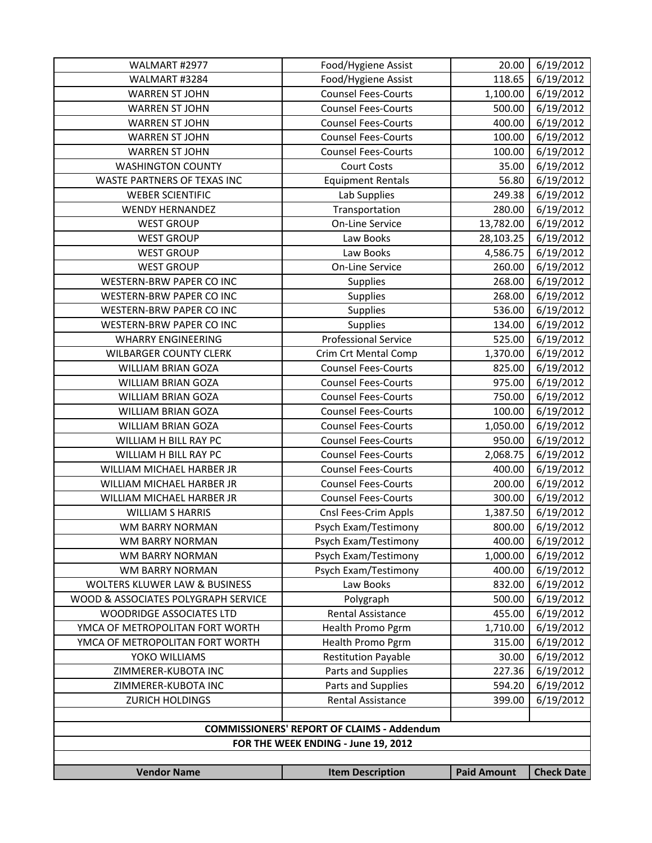| WALMART #2977                       | Food/Hygiene Assist                               | 20.00              | 6/19/2012         |
|-------------------------------------|---------------------------------------------------|--------------------|-------------------|
| WALMART #3284                       | Food/Hygiene Assist                               | 118.65             | 6/19/2012         |
| <b>WARREN ST JOHN</b>               | <b>Counsel Fees-Courts</b>                        | 1,100.00           | 6/19/2012         |
| <b>WARREN ST JOHN</b>               | <b>Counsel Fees-Courts</b>                        | 500.00             | 6/19/2012         |
| <b>WARREN ST JOHN</b>               | <b>Counsel Fees-Courts</b>                        | 400.00             | 6/19/2012         |
| <b>WARREN ST JOHN</b>               | <b>Counsel Fees-Courts</b>                        | 100.00             | 6/19/2012         |
| <b>WARREN ST JOHN</b>               | <b>Counsel Fees-Courts</b>                        | 100.00             | 6/19/2012         |
| <b>WASHINGTON COUNTY</b>            | <b>Court Costs</b>                                | 35.00              | 6/19/2012         |
| WASTE PARTNERS OF TEXAS INC         | <b>Equipment Rentals</b>                          | 56.80              | 6/19/2012         |
| <b>WEBER SCIENTIFIC</b>             | Lab Supplies                                      | 249.38             | 6/19/2012         |
| <b>WENDY HERNANDEZ</b>              | Transportation                                    | 280.00             | 6/19/2012         |
| <b>WEST GROUP</b>                   | <b>On-Line Service</b>                            | 13,782.00          | 6/19/2012         |
| <b>WEST GROUP</b>                   | Law Books                                         | 28,103.25          | 6/19/2012         |
| <b>WEST GROUP</b>                   | Law Books                                         | 4,586.75           | 6/19/2012         |
| <b>WEST GROUP</b>                   | On-Line Service                                   | 260.00             | 6/19/2012         |
| WESTERN-BRW PAPER CO INC            | <b>Supplies</b>                                   | 268.00             | 6/19/2012         |
| WESTERN-BRW PAPER CO INC            | Supplies                                          | 268.00             | 6/19/2012         |
| WESTERN-BRW PAPER CO INC            | Supplies                                          | 536.00             | 6/19/2012         |
| <b>WESTERN-BRW PAPER CO INC</b>     | Supplies                                          | 134.00             | 6/19/2012         |
| <b>WHARRY ENGINEERING</b>           | <b>Professional Service</b>                       | 525.00             | 6/19/2012         |
| <b>WILBARGER COUNTY CLERK</b>       | Crim Crt Mental Comp                              | 1,370.00           | 6/19/2012         |
| <b>WILLIAM BRIAN GOZA</b>           | <b>Counsel Fees-Courts</b>                        | 825.00             | 6/19/2012         |
| <b>WILLIAM BRIAN GOZA</b>           | <b>Counsel Fees-Courts</b>                        | 975.00             | 6/19/2012         |
| <b>WILLIAM BRIAN GOZA</b>           | <b>Counsel Fees-Courts</b>                        | 750.00             | 6/19/2012         |
| WILLIAM BRIAN GOZA                  | <b>Counsel Fees-Courts</b>                        | 100.00             | 6/19/2012         |
| WILLIAM BRIAN GOZA                  | <b>Counsel Fees-Courts</b>                        | 1,050.00           | 6/19/2012         |
| WILLIAM H BILL RAY PC               | <b>Counsel Fees-Courts</b>                        | 950.00             | 6/19/2012         |
| WILLIAM H BILL RAY PC               | <b>Counsel Fees-Courts</b>                        | 2,068.75           | 6/19/2012         |
| WILLIAM MICHAEL HARBER JR           | <b>Counsel Fees-Courts</b>                        | 400.00             | 6/19/2012         |
| WILLIAM MICHAEL HARBER JR           | <b>Counsel Fees-Courts</b>                        | 200.00             | 6/19/2012         |
| WILLIAM MICHAEL HARBER JR           | <b>Counsel Fees-Courts</b>                        | 300.00             | 6/19/2012         |
| <b>WILLIAM S HARRIS</b>             | Cnsl Fees-Crim Appls                              | 1,387.50           | 6/19/2012         |
| WM BARRY NORMAN                     | Psych Exam/Testimony                              | 800.00             | 6/19/2012         |
| WM BARRY NORMAN                     | Psych Exam/Testimony                              | 400.00             | 6/19/2012         |
| WM BARRY NORMAN                     | Psych Exam/Testimony                              | 1,000.00           | 6/19/2012         |
| WM BARRY NORMAN                     | Psych Exam/Testimony                              | 400.00             | 6/19/2012         |
| WOLTERS KLUWER LAW & BUSINESS       | Law Books                                         | 832.00             | 6/19/2012         |
| WOOD & ASSOCIATES POLYGRAPH SERVICE | Polygraph                                         | 500.00             | 6/19/2012         |
| WOODRIDGE ASSOCIATES LTD            | Rental Assistance                                 | 455.00             | 6/19/2012         |
| YMCA OF METROPOLITAN FORT WORTH     | Health Promo Pgrm                                 | 1,710.00           | 6/19/2012         |
| YMCA OF METROPOLITAN FORT WORTH     | Health Promo Pgrm                                 | 315.00             | 6/19/2012         |
| YOKO WILLIAMS                       | <b>Restitution Payable</b>                        | 30.00              | 6/19/2012         |
| ZIMMERER-KUBOTA INC                 | Parts and Supplies                                | 227.36             | 6/19/2012         |
| ZIMMERER-KUBOTA INC                 | Parts and Supplies                                | 594.20             | 6/19/2012         |
| <b>ZURICH HOLDINGS</b>              | Rental Assistance                                 | 399.00             | 6/19/2012         |
|                                     |                                                   |                    |                   |
|                                     | <b>COMMISSIONERS' REPORT OF CLAIMS - Addendum</b> |                    |                   |
|                                     | FOR THE WEEK ENDING - June 19, 2012               |                    |                   |
|                                     |                                                   |                    |                   |
| <b>Vendor Name</b>                  | <b>Item Description</b>                           | <b>Paid Amount</b> | <b>Check Date</b> |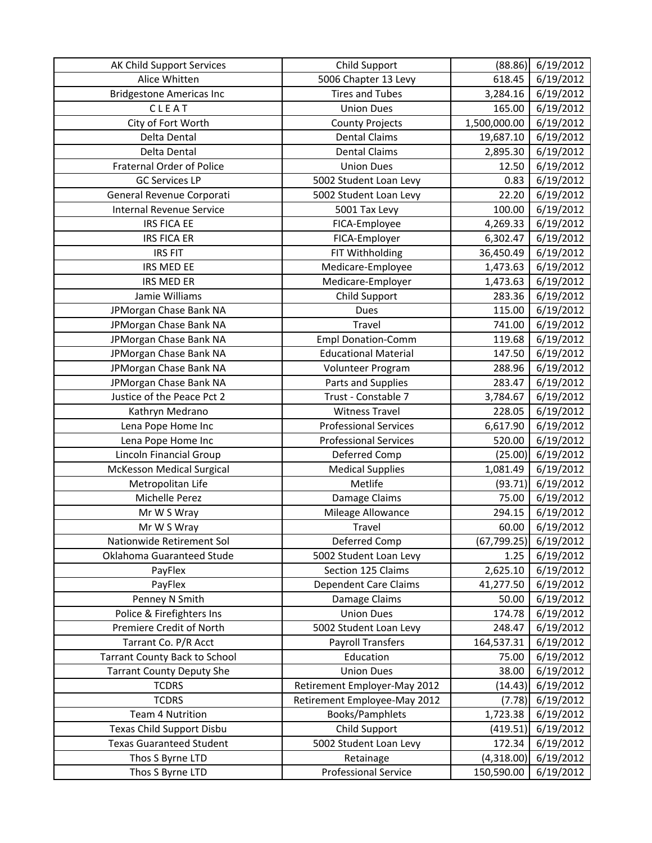| AK Child Support Services            | Child Support                | (88.86)      | 6/19/2012           |
|--------------------------------------|------------------------------|--------------|---------------------|
| Alice Whitten                        | 5006 Chapter 13 Levy         | 618.45       | 6/19/2012           |
| <b>Bridgestone Americas Inc</b>      | Tires and Tubes              | 3,284.16     | $\frac{6}{19/2012}$ |
| CLEAT                                | <b>Union Dues</b>            | 165.00       | 6/19/2012           |
| City of Fort Worth                   | <b>County Projects</b>       | 1,500,000.00 | 6/19/2012           |
| Delta Dental                         | <b>Dental Claims</b>         | 19,687.10    | 6/19/2012           |
| Delta Dental                         | <b>Dental Claims</b>         | 2,895.30     | 6/19/2012           |
| Fraternal Order of Police            | <b>Union Dues</b>            | 12.50        | 6/19/2012           |
| <b>GC Services LP</b>                | 5002 Student Loan Levy       | 0.83         | 6/19/2012           |
| General Revenue Corporati            | 5002 Student Loan Levy       | 22.20        | 6/19/2012           |
| <b>Internal Revenue Service</b>      | 5001 Tax Levy                | 100.00       | 6/19/2012           |
| <b>IRS FICA EE</b>                   | FICA-Employee                | 4,269.33     | 6/19/2012           |
| <b>IRS FICA ER</b>                   | FICA-Employer                | 6,302.47     | 6/19/2012           |
| <b>IRS FIT</b>                       | FIT Withholding              | 36,450.49    | 6/19/2012           |
| IRS MED EE                           | Medicare-Employee            | 1,473.63     | 6/19/2012           |
| IRS MED ER                           | Medicare-Employer            | 1,473.63     | 6/19/2012           |
| Jamie Williams                       | <b>Child Support</b>         | 283.36       | 6/19/2012           |
| JPMorgan Chase Bank NA               | Dues                         | 115.00       | 6/19/2012           |
| JPMorgan Chase Bank NA               | Travel                       | 741.00       | 6/19/2012           |
| JPMorgan Chase Bank NA               | <b>Empl Donation-Comm</b>    | 119.68       | 6/19/2012           |
| JPMorgan Chase Bank NA               | <b>Educational Material</b>  | 147.50       | 6/19/2012           |
| JPMorgan Chase Bank NA               | Volunteer Program            | 288.96       | 6/19/2012           |
| JPMorgan Chase Bank NA               | Parts and Supplies           | 283.47       | 6/19/2012           |
| Justice of the Peace Pct 2           | Trust - Constable 7          | 3,784.67     | 6/19/2012           |
| Kathryn Medrano                      | <b>Witness Travel</b>        | 228.05       | 6/19/2012           |
| Lena Pope Home Inc                   | <b>Professional Services</b> | 6,617.90     | 6/19/2012           |
| Lena Pope Home Inc                   | <b>Professional Services</b> | 520.00       | 6/19/2012           |
| Lincoln Financial Group              | Deferred Comp                | (25.00)      | 6/19/2012           |
| McKesson Medical Surgical            | <b>Medical Supplies</b>      | 1,081.49     | 6/19/2012           |
| Metropolitan Life                    | Metlife                      | (93.71)      | 6/19/2012           |
| Michelle Perez                       | Damage Claims                | 75.00        | 6/19/2012           |
| Mr W S Wray                          | Mileage Allowance            | 294.15       | 6/19/2012           |
| Mr W S Wray                          | Travel                       | 60.00        | 6/19/2012           |
| Nationwide Retirement Sol            | Deferred Comp                | (67, 799.25) | 6/19/2012           |
| Oklahoma Guaranteed Stude            | 5002 Student Loan Levy       | 1.25         | 6/19/2012           |
| PayFlex                              | Section 125 Claims           | 2,625.10     | 6/19/2012           |
| PayFlex                              | Dependent Care Claims        | 41,277.50    | 6/19/2012           |
| Penney N Smith                       | Damage Claims                | 50.00        | 6/19/2012           |
| Police & Firefighters Ins            | <b>Union Dues</b>            | 174.78       | 6/19/2012           |
| Premiere Credit of North             | 5002 Student Loan Levy       | 248.47       | 6/19/2012           |
| Tarrant Co. P/R Acct                 | <b>Payroll Transfers</b>     | 164,537.31   | 6/19/2012           |
| <b>Tarrant County Back to School</b> | Education                    | 75.00        | 6/19/2012           |
| <b>Tarrant County Deputy She</b>     | <b>Union Dues</b>            | 38.00        | 6/19/2012           |
| <b>TCDRS</b>                         | Retirement Employer-May 2012 | (14.43)      | 6/19/2012           |
| <b>TCDRS</b>                         | Retirement Employee-May 2012 | (7.78)       | 6/19/2012           |
| <b>Team 4 Nutrition</b>              | Books/Pamphlets              | 1,723.38     | 6/19/2012           |
| Texas Child Support Disbu            | Child Support                | (419.51)     | 6/19/2012           |
| <b>Texas Guaranteed Student</b>      | 5002 Student Loan Levy       | 172.34       | 6/19/2012           |
| Thos S Byrne LTD                     | Retainage                    | (4,318.00)   | 6/19/2012           |
| Thos S Byrne LTD                     | <b>Professional Service</b>  | 150,590.00   | 6/19/2012           |